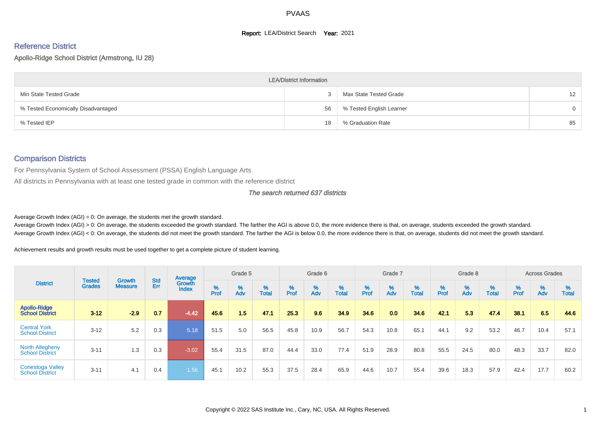#### **Report: LEA/District Search Year: 2021**

# Reference District

Apollo-Ridge School District (Armstrong, IU 28)

|                                     | <b>LEA/District Information</b> |                          |                   |
|-------------------------------------|---------------------------------|--------------------------|-------------------|
| Min State Tested Grade              |                                 | Max State Tested Grade   | $12 \overline{ }$ |
| % Tested Economically Disadvantaged | 56                              | % Tested English Learner | $\Omega$          |
| % Tested IEP                        | 18                              | % Graduation Rate        | 85                |

#### Comparison Districts

For Pennsylvania System of School Assessment (PSSA) English Language Arts

All districts in Pennsylvania with at least one tested grade in common with the reference district

#### The search returned 637 districts

Average Growth Index  $(AGI) = 0$ : On average, the students met the growth standard.

Average Growth Index (AGI) > 0: On average, the students exceeded the growth standard. The farther the AGI is above 0.0, the more evidence there is that, on average, students exceeded the growth standard. Average Growth Index (AGI) < 0: On average, the students did not meet the growth standard. The farther the AGI is below 0.0, the more evidence there is that, on average, students did not meet the growth standard.

Achievement results and growth results must be used together to get a complete picture of student learning.

|                                                   |                                |                                 |            | Average                |           | Grade 5  |                   |        | Grade 6  |                   |           | Grade 7  |                   |           | Grade 8  |                   |           | <b>Across Grades</b> |                   |
|---------------------------------------------------|--------------------------------|---------------------------------|------------|------------------------|-----------|----------|-------------------|--------|----------|-------------------|-----------|----------|-------------------|-----------|----------|-------------------|-----------|----------------------|-------------------|
| <b>District</b>                                   | <b>Tested</b><br><b>Grades</b> | <b>Growth</b><br><b>Measure</b> | Std<br>Err | Growth<br><b>Index</b> | %<br>Prof | %<br>Adv | %<br><b>Total</b> | % Pref | %<br>Adv | %<br><b>Total</b> | %<br>Prof | %<br>Adv | %<br><b>Total</b> | %<br>Prof | %<br>Adv | %<br><b>Total</b> | %<br>Prof | %<br>Adv             | %<br><b>Total</b> |
| <b>Apollo-Ridge</b><br><b>School District</b>     | $3 - 12$                       | $-2.9$                          | 0.7        | $-4.42$                | 45.6      | 1.5      | 47.1              | 25.3   | 9.6      | 34.9              | 34.6      | 0.0      | 34.6              | 42.1      | 5.3      | 47.4              | 38.1      | 6.5                  | 44.6              |
| <b>Central York</b><br><b>School District</b>     | $3 - 12$                       | 5.2                             | 0.3        | 5.18                   | 51.5      | 5.0      | 56.5              | 45.8   | 10.9     | 56.7              | 54.3      | 10.8     | 65.1              | 44.1      | 9.2      | 53.2              | 46.7      | 10.4                 | 57.1              |
| <b>North Allegheny</b><br><b>School District</b>  | $3 - 11$                       | 1.3                             | 0.3        | $-3.02$                | 55.4      | 31.5     | 87.0              | 44.4   | 33.0     | 77.4              | 51.9      | 28.9     | 80.8              | 55.5      | 24.5     | 80.0              | 48.3      | 33.7                 | 82.0              |
| <b>Conestoga Valley</b><br><b>School District</b> | $3 - 11$                       | 4.1                             | 0.4        | 1.56                   | 45.1      | 10.2     | 55.3              | 37.5   | 28.4     | 65.9              | 44.6      | 10.7     | 55.4              | 39.6      | 18.3     | 57.9              | 42.4      | 17.7                 | 60.2              |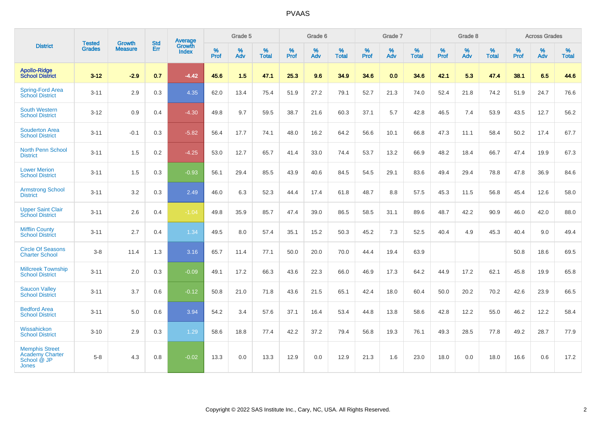|                                                                                | <b>Tested</b> | <b>Growth</b>  | <b>Std</b> | <b>Average</b>  |           | Grade 5  |                   |                  | Grade 6  |                   |           | Grade 7  |                   |                  | Grade 8  |                   |                  | <b>Across Grades</b> |                   |
|--------------------------------------------------------------------------------|---------------|----------------|------------|-----------------|-----------|----------|-------------------|------------------|----------|-------------------|-----------|----------|-------------------|------------------|----------|-------------------|------------------|----------------------|-------------------|
| <b>District</b>                                                                | <b>Grades</b> | <b>Measure</b> | Err        | Growth<br>Index | %<br>Prof | %<br>Adv | %<br><b>Total</b> | %<br><b>Prof</b> | %<br>Adv | %<br><b>Total</b> | %<br>Prof | %<br>Adv | %<br><b>Total</b> | %<br><b>Prof</b> | %<br>Adv | %<br><b>Total</b> | %<br><b>Prof</b> | %<br>Adv             | %<br><b>Total</b> |
| <b>Apollo-Ridge</b><br><b>School District</b>                                  | $3 - 12$      | $-2.9$         | 0.7        | $-4.42$         | 45.6      | 1.5      | 47.1              | 25.3             | 9.6      | 34.9              | 34.6      | 0.0      | 34.6              | 42.1             | 5.3      | 47.4              | 38.1             | 6.5                  | 44.6              |
| <b>Spring-Ford Area</b><br><b>School District</b>                              | $3 - 11$      | 2.9            | 0.3        | 4.35            | 62.0      | 13.4     | 75.4              | 51.9             | 27.2     | 79.1              | 52.7      | 21.3     | 74.0              | 52.4             | 21.8     | 74.2              | 51.9             | 24.7                 | 76.6              |
| <b>South Western</b><br><b>School District</b>                                 | $3 - 12$      | 0.9            | 0.4        | $-4.30$         | 49.8      | 9.7      | 59.5              | 38.7             | 21.6     | 60.3              | 37.1      | 5.7      | 42.8              | 46.5             | 7.4      | 53.9              | 43.5             | 12.7                 | 56.2              |
| <b>Souderton Area</b><br><b>School District</b>                                | $3 - 11$      | $-0.1$         | 0.3        | $-5.82$         | 56.4      | 17.7     | 74.1              | 48.0             | 16.2     | 64.2              | 56.6      | 10.1     | 66.8              | 47.3             | 11.1     | 58.4              | 50.2             | 17.4                 | 67.7              |
| <b>North Penn School</b><br><b>District</b>                                    | $3 - 11$      | 1.5            | 0.2        | $-4.25$         | 53.0      | 12.7     | 65.7              | 41.4             | 33.0     | 74.4              | 53.7      | 13.2     | 66.9              | 48.2             | 18.4     | 66.7              | 47.4             | 19.9                 | 67.3              |
| <b>Lower Merion</b><br><b>School District</b>                                  | $3 - 11$      | 1.5            | 0.3        | $-0.93$         | 56.1      | 29.4     | 85.5              | 43.9             | 40.6     | 84.5              | 54.5      | 29.1     | 83.6              | 49.4             | 29.4     | 78.8              | 47.8             | 36.9                 | 84.6              |
| <b>Armstrong School</b><br><b>District</b>                                     | $3 - 11$      | 3.2            | 0.3        | 2.49            | 46.0      | 6.3      | 52.3              | 44.4             | 17.4     | 61.8              | 48.7      | 8.8      | 57.5              | 45.3             | 11.5     | 56.8              | 45.4             | 12.6                 | 58.0              |
| <b>Upper Saint Clair</b><br><b>School District</b>                             | $3 - 11$      | 2.6            | 0.4        | $-1.04$         | 49.8      | 35.9     | 85.7              | 47.4             | 39.0     | 86.5              | 58.5      | 31.1     | 89.6              | 48.7             | 42.2     | 90.9              | 46.0             | 42.0                 | 88.0              |
| <b>Mifflin County</b><br><b>School District</b>                                | $3 - 11$      | 2.7            | 0.4        | 1.34            | 49.5      | 8.0      | 57.4              | 35.1             | 15.2     | 50.3              | 45.2      | 7.3      | 52.5              | 40.4             | 4.9      | 45.3              | 40.4             | 9.0                  | 49.4              |
| <b>Circle Of Seasons</b><br><b>Charter School</b>                              | $3 - 8$       | 11.4           | 1.3        | 3.16            | 65.7      | 11.4     | 77.1              | 50.0             | 20.0     | 70.0              | 44.4      | 19.4     | 63.9              |                  |          |                   | 50.8             | 18.6                 | 69.5              |
| <b>Millcreek Township</b><br><b>School District</b>                            | $3 - 11$      | 2.0            | 0.3        | $-0.09$         | 49.1      | 17.2     | 66.3              | 43.6             | 22.3     | 66.0              | 46.9      | 17.3     | 64.2              | 44.9             | 17.2     | 62.1              | 45.8             | 19.9                 | 65.8              |
| <b>Saucon Valley</b><br><b>School District</b>                                 | $3 - 11$      | 3.7            | 0.6        | $-0.12$         | 50.8      | 21.0     | 71.8              | 43.6             | 21.5     | 65.1              | 42.4      | 18.0     | 60.4              | 50.0             | 20.2     | 70.2              | 42.6             | 23.9                 | 66.5              |
| <b>Bedford Area</b><br><b>School District</b>                                  | $3 - 11$      | 5.0            | 0.6        | 3.94            | 54.2      | 3.4      | 57.6              | 37.1             | 16.4     | 53.4              | 44.8      | 13.8     | 58.6              | 42.8             | 12.2     | 55.0              | 46.2             | 12.2                 | 58.4              |
| Wissahickon<br><b>School District</b>                                          | $3 - 10$      | 2.9            | 0.3        | 1.29            | 58.6      | 18.8     | 77.4              | 42.2             | 37.2     | 79.4              | 56.8      | 19.3     | 76.1              | 49.3             | 28.5     | 77.8              | 49.2             | 28.7                 | 77.9              |
| <b>Memphis Street</b><br><b>Academy Charter</b><br>School @ JP<br><b>Jones</b> | $5 - 8$       | 4.3            | 0.8        | $-0.02$         | 13.3      | 0.0      | 13.3              | 12.9             | 0.0      | 12.9              | 21.3      | 1.6      | 23.0              | 18.0             | 0.0      | 18.0              | 16.6             | 0.6                  | 17.2              |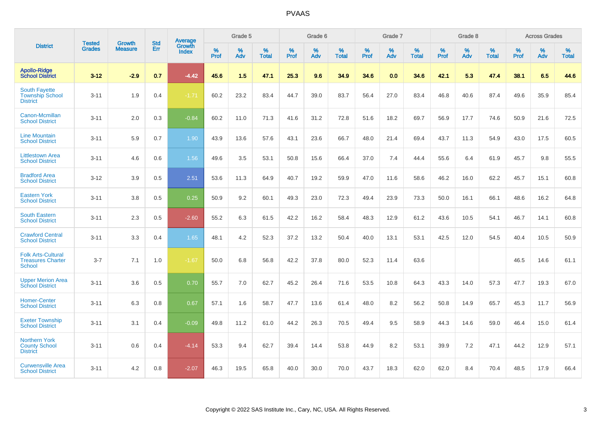|                                                                        | <b>Tested</b> | <b>Growth</b>  | <b>Std</b> | Average                       |           | Grade 5  |                   |           | Grade 6  |                   |           | Grade 7  |                   |           | Grade 8  |                   |           | <b>Across Grades</b> |                   |
|------------------------------------------------------------------------|---------------|----------------|------------|-------------------------------|-----------|----------|-------------------|-----------|----------|-------------------|-----------|----------|-------------------|-----------|----------|-------------------|-----------|----------------------|-------------------|
| <b>District</b>                                                        | <b>Grades</b> | <b>Measure</b> | Err        | <b>Growth</b><br><b>Index</b> | %<br>Prof | %<br>Adv | %<br><b>Total</b> | %<br>Prof | %<br>Adv | %<br><b>Total</b> | %<br>Prof | %<br>Adv | %<br><b>Total</b> | %<br>Prof | %<br>Adv | %<br><b>Total</b> | %<br>Prof | %<br>Adv             | %<br><b>Total</b> |
| <b>Apollo-Ridge</b><br><b>School District</b>                          | $3 - 12$      | $-2.9$         | 0.7        | $-4.42$                       | 45.6      | 1.5      | 47.1              | 25.3      | 9.6      | 34.9              | 34.6      | 0.0      | 34.6              | 42.1      | 5.3      | 47.4              | 38.1      | 6.5                  | 44.6              |
| <b>South Fayette</b><br><b>Township School</b><br><b>District</b>      | $3 - 11$      | 1.9            | 0.4        | $-1.71$                       | 60.2      | 23.2     | 83.4              | 44.7      | 39.0     | 83.7              | 56.4      | 27.0     | 83.4              | 46.8      | 40.6     | 87.4              | 49.6      | 35.9                 | 85.4              |
| Canon-Mcmillan<br><b>School District</b>                               | $3 - 11$      | 2.0            | 0.3        | $-0.84$                       | 60.2      | 11.0     | 71.3              | 41.6      | 31.2     | 72.8              | 51.6      | 18.2     | 69.7              | 56.9      | 17.7     | 74.6              | 50.9      | 21.6                 | 72.5              |
| <b>Line Mountain</b><br><b>School District</b>                         | $3 - 11$      | 5.9            | 0.7        | 1.90                          | 43.9      | 13.6     | 57.6              | 43.1      | 23.6     | 66.7              | 48.0      | 21.4     | 69.4              | 43.7      | 11.3     | 54.9              | 43.0      | 17.5                 | 60.5              |
| <b>Littlestown Area</b><br><b>School District</b>                      | $3 - 11$      | 4.6            | 0.6        | 1.56                          | 49.6      | 3.5      | 53.1              | 50.8      | 15.6     | 66.4              | 37.0      | 7.4      | 44.4              | 55.6      | 6.4      | 61.9              | 45.7      | 9.8                  | 55.5              |
| <b>Bradford Area</b><br><b>School District</b>                         | $3 - 12$      | 3.9            | 0.5        | 2.51                          | 53.6      | 11.3     | 64.9              | 40.7      | 19.2     | 59.9              | 47.0      | 11.6     | 58.6              | 46.2      | 16.0     | 62.2              | 45.7      | 15.1                 | 60.8              |
| <b>Eastern York</b><br><b>School District</b>                          | $3 - 11$      | 3.8            | 0.5        | 0.25                          | 50.9      | 9.2      | 60.1              | 49.3      | 23.0     | 72.3              | 49.4      | 23.9     | 73.3              | 50.0      | 16.1     | 66.1              | 48.6      | 16.2                 | 64.8              |
| <b>South Eastern</b><br><b>School District</b>                         | $3 - 11$      | 2.3            | 0.5        | $-2.60$                       | 55.2      | 6.3      | 61.5              | 42.2      | 16.2     | 58.4              | 48.3      | 12.9     | 61.2              | 43.6      | 10.5     | 54.1              | 46.7      | 14.1                 | 60.8              |
| <b>Crawford Central</b><br><b>School District</b>                      | $3 - 11$      | 3.3            | 0.4        | 1.65                          | 48.1      | 4.2      | 52.3              | 37.2      | 13.2     | 50.4              | 40.0      | 13.1     | 53.1              | 42.5      | 12.0     | 54.5              | 40.4      | 10.5                 | 50.9              |
| <b>Folk Arts-Cultural</b><br><b>Treasures Charter</b><br><b>School</b> | $3 - 7$       | 7.1            | 1.0        | $-1.67$                       | 50.0      | 6.8      | 56.8              | 42.2      | 37.8     | 80.0              | 52.3      | 11.4     | 63.6              |           |          |                   | 46.5      | 14.6                 | 61.1              |
| <b>Upper Merion Area</b><br><b>School District</b>                     | $3 - 11$      | 3.6            | 0.5        | 0.70                          | 55.7      | 7.0      | 62.7              | 45.2      | 26.4     | 71.6              | 53.5      | 10.8     | 64.3              | 43.3      | 14.0     | 57.3              | 47.7      | 19.3                 | 67.0              |
| <b>Homer-Center</b><br><b>School District</b>                          | $3 - 11$      | 6.3            | 0.8        | 0.67                          | 57.1      | 1.6      | 58.7              | 47.7      | 13.6     | 61.4              | 48.0      | 8.2      | 56.2              | 50.8      | 14.9     | 65.7              | 45.3      | 11.7                 | 56.9              |
| <b>Exeter Township</b><br><b>School District</b>                       | $3 - 11$      | 3.1            | 0.4        | $-0.09$                       | 49.8      | 11.2     | 61.0              | 44.2      | 26.3     | 70.5              | 49.4      | 9.5      | 58.9              | 44.3      | 14.6     | 59.0              | 46.4      | 15.0                 | 61.4              |
| <b>Northern York</b><br><b>County School</b><br><b>District</b>        | $3 - 11$      | 0.6            | 0.4        | $-4.14$                       | 53.3      | 9.4      | 62.7              | 39.4      | 14.4     | 53.8              | 44.9      | 8.2      | 53.1              | 39.9      | 7.2      | 47.1              | 44.2      | 12.9                 | 57.1              |
| <b>Curwensville Area</b><br><b>School District</b>                     | $3 - 11$      | 4.2            | 0.8        | $-2.07$                       | 46.3      | 19.5     | 65.8              | 40.0      | 30.0     | 70.0              | 43.7      | 18.3     | 62.0              | 62.0      | 8.4      | 70.4              | 48.5      | 17.9                 | 66.4              |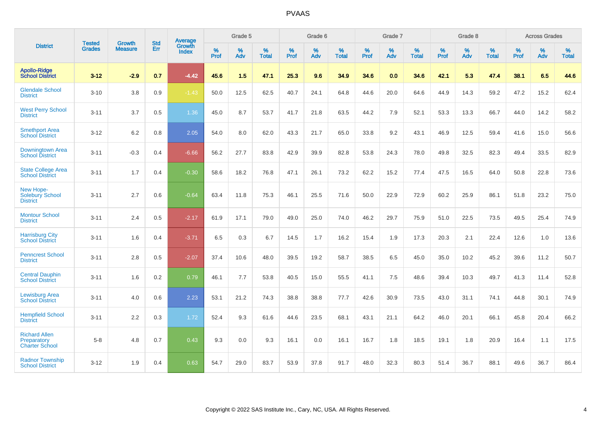| <b>District</b>                                              | <b>Tested</b> | <b>Growth</b>  | <b>Std</b> | <b>Average</b>         |           | Grade 5  |                   |           | Grade 6  |                   |           | Grade 7  |                   |           | Grade 8  |                   |           | <b>Across Grades</b> |                   |
|--------------------------------------------------------------|---------------|----------------|------------|------------------------|-----------|----------|-------------------|-----------|----------|-------------------|-----------|----------|-------------------|-----------|----------|-------------------|-----------|----------------------|-------------------|
|                                                              | <b>Grades</b> | <b>Measure</b> | Err        | Growth<br><b>Index</b> | %<br>Prof | %<br>Adv | %<br><b>Total</b> | %<br>Prof | %<br>Adv | %<br><b>Total</b> | %<br>Prof | %<br>Adv | %<br><b>Total</b> | %<br>Prof | %<br>Adv | %<br><b>Total</b> | %<br>Prof | %<br>Adv             | %<br><b>Total</b> |
| <b>Apollo-Ridge</b><br><b>School District</b>                | $3 - 12$      | $-2.9$         | 0.7        | $-4.42$                | 45.6      | 1.5      | 47.1              | 25.3      | 9.6      | 34.9              | 34.6      | 0.0      | 34.6              | 42.1      | 5.3      | 47.4              | 38.1      | 6.5                  | 44.6              |
| <b>Glendale School</b><br><b>District</b>                    | $3 - 10$      | 3.8            | 0.9        | $-1.43$                | 50.0      | 12.5     | 62.5              | 40.7      | 24.1     | 64.8              | 44.6      | 20.0     | 64.6              | 44.9      | 14.3     | 59.2              | 47.2      | 15.2                 | 62.4              |
| <b>West Perry School</b><br><b>District</b>                  | $3 - 11$      | 3.7            | 0.5        | 1.36                   | 45.0      | 8.7      | 53.7              | 41.7      | 21.8     | 63.5              | 44.2      | 7.9      | 52.1              | 53.3      | 13.3     | 66.7              | 44.0      | 14.2                 | 58.2              |
| <b>Smethport Area</b><br><b>School District</b>              | $3 - 12$      | 6.2            | 0.8        | 2.05                   | 54.0      | 8.0      | 62.0              | 43.3      | 21.7     | 65.0              | 33.8      | 9.2      | 43.1              | 46.9      | 12.5     | 59.4              | 41.6      | 15.0                 | 56.6              |
| Downingtown Area<br><b>School District</b>                   | $3 - 11$      | $-0.3$         | 0.4        | $-6.66$                | 56.2      | 27.7     | 83.8              | 42.9      | 39.9     | 82.8              | 53.8      | 24.3     | 78.0              | 49.8      | 32.5     | 82.3              | 49.4      | 33.5                 | 82.9              |
| <b>State College Area</b><br><b>School District</b>          | $3 - 11$      | 1.7            | 0.4        | $-0.30$                | 58.6      | 18.2     | 76.8              | 47.1      | 26.1     | 73.2              | 62.2      | 15.2     | 77.4              | 47.5      | 16.5     | 64.0              | 50.8      | 22.8                 | 73.6              |
| New Hope-<br><b>Solebury School</b><br><b>District</b>       | $3 - 11$      | 2.7            | 0.6        | $-0.64$                | 63.4      | 11.8     | 75.3              | 46.1      | 25.5     | 71.6              | 50.0      | 22.9     | 72.9              | 60.2      | 25.9     | 86.1              | 51.8      | 23.2                 | 75.0              |
| <b>Montour School</b><br><b>District</b>                     | $3 - 11$      | 2.4            | 0.5        | $-2.17$                | 61.9      | 17.1     | 79.0              | 49.0      | 25.0     | 74.0              | 46.2      | 29.7     | 75.9              | 51.0      | 22.5     | 73.5              | 49.5      | 25.4                 | 74.9              |
| <b>Harrisburg City</b><br><b>School District</b>             | $3 - 11$      | 1.6            | 0.4        | $-3.71$                | 6.5       | 0.3      | 6.7               | 14.5      | 1.7      | 16.2              | 15.4      | 1.9      | 17.3              | 20.3      | 2.1      | 22.4              | 12.6      | 1.0                  | 13.6              |
| <b>Penncrest School</b><br><b>District</b>                   | $3 - 11$      | 2.8            | 0.5        | $-2.07$                | 37.4      | 10.6     | 48.0              | 39.5      | 19.2     | 58.7              | 38.5      | 6.5      | 45.0              | 35.0      | 10.2     | 45.2              | 39.6      | 11.2                 | 50.7              |
| <b>Central Dauphin</b><br><b>School District</b>             | $3 - 11$      | 1.6            | 0.2        | 0.79                   | 46.1      | 7.7      | 53.8              | 40.5      | 15.0     | 55.5              | 41.1      | 7.5      | 48.6              | 39.4      | 10.3     | 49.7              | 41.3      | 11.4                 | 52.8              |
| <b>Lewisburg Area</b><br><b>School District</b>              | $3 - 11$      | 4.0            | 0.6        | 2.23                   | 53.1      | 21.2     | 74.3              | 38.8      | 38.8     | 77.7              | 42.6      | 30.9     | 73.5              | 43.0      | 31.1     | 74.1              | 44.8      | 30.1                 | 74.9              |
| <b>Hempfield School</b><br><b>District</b>                   | $3 - 11$      | 2.2            | 0.3        | 1.72                   | 52.4      | 9.3      | 61.6              | 44.6      | 23.5     | 68.1              | 43.1      | 21.1     | 64.2              | 46.0      | 20.1     | 66.1              | 45.8      | 20.4                 | 66.2              |
| <b>Richard Allen</b><br>Preparatory<br><b>Charter School</b> | $5-8$         | 4.8            | 0.7        | 0.43                   | 9.3       | 0.0      | 9.3               | 16.1      | 0.0      | 16.1              | 16.7      | 1.8      | 18.5              | 19.1      | 1.8      | 20.9              | 16.4      | 1.1                  | 17.5              |
| <b>Radnor Township</b><br><b>School District</b>             | $3 - 12$      | 1.9            | 0.4        | 0.63                   | 54.7      | 29.0     | 83.7              | 53.9      | 37.8     | 91.7              | 48.0      | 32.3     | 80.3              | 51.4      | 36.7     | 88.1              | 49.6      | 36.7                 | 86.4              |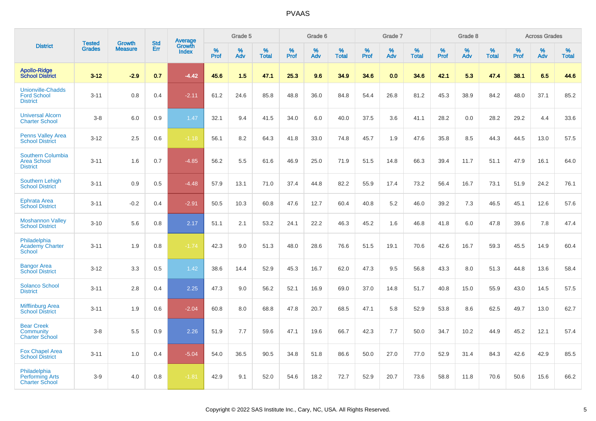|                                                                   |                                | <b>Growth</b>  | <b>Std</b> | Average                |                  | Grade 5  |                   |                  | Grade 6  |                   |                  | Grade 7  |                   |           | Grade 8  |                   |                  | <b>Across Grades</b> |                   |
|-------------------------------------------------------------------|--------------------------------|----------------|------------|------------------------|------------------|----------|-------------------|------------------|----------|-------------------|------------------|----------|-------------------|-----------|----------|-------------------|------------------|----------------------|-------------------|
| <b>District</b>                                                   | <b>Tested</b><br><b>Grades</b> | <b>Measure</b> | Err        | Growth<br><b>Index</b> | %<br><b>Prof</b> | %<br>Adv | %<br><b>Total</b> | %<br><b>Prof</b> | %<br>Adv | %<br><b>Total</b> | %<br><b>Prof</b> | %<br>Adv | %<br><b>Total</b> | %<br>Prof | %<br>Adv | %<br><b>Total</b> | %<br><b>Prof</b> | %<br>Adv             | %<br><b>Total</b> |
| <b>Apollo-Ridge</b><br><b>School District</b>                     | $3 - 12$                       | $-2.9$         | 0.7        | $-4.42$                | 45.6             | 1.5      | 47.1              | 25.3             | 9.6      | 34.9              | 34.6             | 0.0      | 34.6              | 42.1      | 5.3      | 47.4              | 38.1             | 6.5                  | 44.6              |
| <b>Unionville-Chadds</b><br><b>Ford School</b><br><b>District</b> | $3 - 11$                       | 0.8            | 0.4        | $-2.11$                | 61.2             | 24.6     | 85.8              | 48.8             | 36.0     | 84.8              | 54.4             | 26.8     | 81.2              | 45.3      | 38.9     | 84.2              | 48.0             | 37.1                 | 85.2              |
| <b>Universal Alcorn</b><br><b>Charter School</b>                  | $3-8$                          | 6.0            | 0.9        | 1.47                   | 32.1             | 9.4      | 41.5              | 34.0             | 6.0      | 40.0              | 37.5             | 3.6      | 41.1              | 28.2      | 0.0      | 28.2              | 29.2             | 4.4                  | 33.6              |
| <b>Penns Valley Area</b><br><b>School District</b>                | $3 - 12$                       | 2.5            | 0.6        | $-1.18$                | 56.1             | 8.2      | 64.3              | 41.8             | 33.0     | 74.8              | 45.7             | 1.9      | 47.6              | 35.8      | 8.5      | 44.3              | 44.5             | 13.0                 | 57.5              |
| Southern Columbia<br><b>Area School</b><br><b>District</b>        | $3 - 11$                       | 1.6            | 0.7        | $-4.85$                | 56.2             | 5.5      | 61.6              | 46.9             | 25.0     | 71.9              | 51.5             | 14.8     | 66.3              | 39.4      | 11.7     | 51.1              | 47.9             | 16.1                 | 64.0              |
| <b>Southern Lehigh</b><br><b>School District</b>                  | $3 - 11$                       | 0.9            | 0.5        | $-4.48$                | 57.9             | 13.1     | 71.0              | 37.4             | 44.8     | 82.2              | 55.9             | 17.4     | 73.2              | 56.4      | 16.7     | 73.1              | 51.9             | 24.2                 | 76.1              |
| <b>Ephrata Area</b><br><b>School District</b>                     | $3 - 11$                       | $-0.2$         | 0.4        | $-2.91$                | 50.5             | 10.3     | 60.8              | 47.6             | 12.7     | 60.4              | 40.8             | 5.2      | 46.0              | 39.2      | 7.3      | 46.5              | 45.1             | 12.6                 | 57.6              |
| <b>Moshannon Valley</b><br><b>School District</b>                 | $3 - 10$                       | 5.6            | 0.8        | 2.17                   | 51.1             | 2.1      | 53.2              | 24.1             | 22.2     | 46.3              | 45.2             | 1.6      | 46.8              | 41.8      | 6.0      | 47.8              | 39.6             | 7.8                  | 47.4              |
| Philadelphia<br><b>Academy Charter</b><br><b>School</b>           | $3 - 11$                       | 1.9            | 0.8        | $-1.74$                | 42.3             | 9.0      | 51.3              | 48.0             | 28.6     | 76.6              | 51.5             | 19.1     | 70.6              | 42.6      | 16.7     | 59.3              | 45.5             | 14.9                 | 60.4              |
| <b>Bangor Area</b><br><b>School District</b>                      | $3 - 12$                       | 3.3            | 0.5        | 1.42                   | 38.6             | 14.4     | 52.9              | 45.3             | 16.7     | 62.0              | 47.3             | 9.5      | 56.8              | 43.3      | 8.0      | 51.3              | 44.8             | 13.6                 | 58.4              |
| <b>Solanco School</b><br><b>District</b>                          | $3 - 11$                       | 2.8            | 0.4        | 2.25                   | 47.3             | 9.0      | 56.2              | 52.1             | 16.9     | 69.0              | 37.0             | 14.8     | 51.7              | 40.8      | 15.0     | 55.9              | 43.0             | 14.5                 | 57.5              |
| <b>Mifflinburg Area</b><br><b>School District</b>                 | $3 - 11$                       | 1.9            | 0.6        | $-2.04$                | 60.8             | 8.0      | 68.8              | 47.8             | 20.7     | 68.5              | 47.1             | 5.8      | 52.9              | 53.8      | 8.6      | 62.5              | 49.7             | 13.0                 | 62.7              |
| <b>Bear Creek</b><br>Community<br><b>Charter School</b>           | $3-8$                          | 5.5            | 0.9        | 2.26                   | 51.9             | 7.7      | 59.6              | 47.1             | 19.6     | 66.7              | 42.3             | 7.7      | 50.0              | 34.7      | 10.2     | 44.9              | 45.2             | 12.1                 | 57.4              |
| <b>Fox Chapel Area</b><br><b>School District</b>                  | $3 - 11$                       | 1.0            | 0.4        | $-5.04$                | 54.0             | 36.5     | 90.5              | 34.8             | 51.8     | 86.6              | 50.0             | 27.0     | 77.0              | 52.9      | 31.4     | 84.3              | 42.6             | 42.9                 | 85.5              |
| Philadelphia<br><b>Performing Arts</b><br><b>Charter School</b>   | $3-9$                          | 4.0            | 0.8        | $-1.81$                | 42.9             | 9.1      | 52.0              | 54.6             | 18.2     | 72.7              | 52.9             | 20.7     | 73.6              | 58.8      | 11.8     | 70.6              | 50.6             | 15.6                 | 66.2              |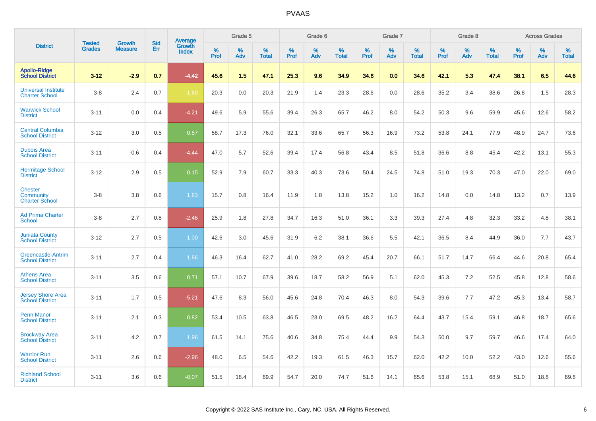| <b>District</b>                                      | <b>Tested</b> |                          | <b>Std</b> | <b>Average</b>         |              | Grade 5  |                      |                     | Grade 6     |                      |              | Grade 7     |                   |              | Grade 8     |                   |                     | <b>Across Grades</b> |                   |
|------------------------------------------------------|---------------|--------------------------|------------|------------------------|--------------|----------|----------------------|---------------------|-------------|----------------------|--------------|-------------|-------------------|--------------|-------------|-------------------|---------------------|----------------------|-------------------|
|                                                      | <b>Grades</b> | Growth<br><b>Measure</b> | Err        | Growth<br><b>Index</b> | $\%$<br>Prof | %<br>Adv | $\%$<br><b>Total</b> | $\%$<br><b>Prof</b> | $\%$<br>Adv | $\%$<br><b>Total</b> | $\%$<br>Prof | $\%$<br>Adv | %<br><b>Total</b> | $\%$<br>Prof | $\%$<br>Adv | %<br><b>Total</b> | $\%$<br><b>Prof</b> | $\%$<br>Adv          | %<br><b>Total</b> |
| <b>Apollo-Ridge</b><br><b>School District</b>        | $3 - 12$      | $-2.9$                   | 0.7        | $-4.42$                | 45.6         | 1.5      | 47.1                 | 25.3                | 9.6         | 34.9                 | 34.6         | 0.0         | 34.6              | 42.1         | 5.3         | 47.4              | 38.1                | 6.5                  | 44.6              |
| <b>Universal Institute</b><br><b>Charter School</b>  | $3 - 8$       | 2.4                      | 0.7        | $-1.60$                | 20.3         | 0.0      | 20.3                 | 21.9                | 1.4         | 23.3                 | 28.6         | 0.0         | 28.6              | 35.2         | 3.4         | 38.6              | 26.8                | 1.5                  | 28.3              |
| <b>Warwick School</b><br><b>District</b>             | $3 - 11$      | 0.0                      | 0.4        | $-4.21$                | 49.6         | 5.9      | 55.6                 | 39.4                | 26.3        | 65.7                 | 46.2         | 8.0         | 54.2              | 50.3         | 9.6         | 59.9              | 45.6                | 12.6                 | 58.2              |
| <b>Central Columbia</b><br><b>School District</b>    | $3 - 12$      | 3.0                      | 0.5        | 0.57                   | 58.7         | 17.3     | 76.0                 | 32.1                | 33.6        | 65.7                 | 56.3         | 16.9        | 73.2              | 53.8         | 24.1        | 77.9              | 48.9                | 24.7                 | 73.6              |
| <b>Dubois Area</b><br><b>School District</b>         | $3 - 11$      | $-0.6$                   | 0.4        | $-4.44$                | 47.0         | 5.7      | 52.6                 | 39.4                | 17.4        | 56.8                 | 43.4         | 8.5         | 51.8              | 36.6         | 8.8         | 45.4              | 42.2                | 13.1                 | 55.3              |
| <b>Hermitage School</b><br><b>District</b>           | $3 - 12$      | 2.9                      | 0.5        | 0.15                   | 52.9         | 7.9      | 60.7                 | 33.3                | 40.3        | 73.6                 | 50.4         | 24.5        | 74.8              | 51.0         | 19.3        | 70.3              | 47.0                | 22.0                 | 69.0              |
| <b>Chester</b><br>Community<br><b>Charter School</b> | $3 - 8$       | 3.8                      | 0.6        | 1.83                   | 15.7         | 0.8      | 16.4                 | 11.9                | 1.8         | 13.8                 | 15.2         | 1.0         | 16.2              | 14.8         | 0.0         | 14.8              | 13.2                | 0.7                  | 13.9              |
| <b>Ad Prima Charter</b><br><b>School</b>             | $3 - 8$       | 2.7                      | 0.8        | $-2.46$                | 25.9         | 1.8      | 27.8                 | 34.7                | 16.3        | 51.0                 | 36.1         | 3.3         | 39.3              | 27.4         | 4.8         | 32.3              | 33.2                | 4.8                  | 38.1              |
| <b>Juniata County</b><br><b>School District</b>      | $3 - 12$      | 2.7                      | 0.5        | 1.00                   | 42.6         | 3.0      | 45.6                 | 31.9                | 6.2         | 38.1                 | 36.6         | 5.5         | 42.1              | 36.5         | 8.4         | 44.9              | 36.0                | 7.7                  | 43.7              |
| Greencastle-Antrim<br><b>School District</b>         | $3 - 11$      | 2.7                      | 0.4        | 1.86                   | 46.3         | 16.4     | 62.7                 | 41.0                | 28.2        | 69.2                 | 45.4         | 20.7        | 66.1              | 51.7         | 14.7        | 66.4              | 44.6                | 20.8                 | 65.4              |
| <b>Athens Area</b><br><b>School District</b>         | $3 - 11$      | 3.5                      | 0.6        | 0.71                   | 57.1         | 10.7     | 67.9                 | 39.6                | 18.7        | 58.2                 | 56.9         | 5.1         | 62.0              | 45.3         | 7.2         | 52.5              | 45.8                | 12.8                 | 58.6              |
| <b>Jersey Shore Area</b><br><b>School District</b>   | $3 - 11$      | 1.7                      | 0.5        | $-5.21$                | 47.6         | 8.3      | 56.0                 | 45.6                | 24.8        | 70.4                 | 46.3         | 8.0         | 54.3              | 39.6         | 7.7         | 47.2              | 45.3                | 13.4                 | 58.7              |
| <b>Penn Manor</b><br><b>School District</b>          | $3 - 11$      | 2.1                      | 0.3        | 0.82                   | 53.4         | 10.5     | 63.8                 | 46.5                | 23.0        | 69.5                 | 48.2         | 16.2        | 64.4              | 43.7         | 15.4        | 59.1              | 46.8                | 18.7                 | 65.6              |
| <b>Brockway Area</b><br><b>School District</b>       | $3 - 11$      | 4.2                      | 0.7        | 1.96                   | 61.5         | 14.1     | 75.6                 | 40.6                | 34.8        | 75.4                 | 44.4         | 9.9         | 54.3              | 50.0         | 9.7         | 59.7              | 46.6                | 17.4                 | 64.0              |
| <b>Warrior Run</b><br><b>School District</b>         | $3 - 11$      | 2.6                      | 0.6        | $-2.96$                | 48.0         | 6.5      | 54.6                 | 42.2                | 19.3        | 61.5                 | 46.3         | 15.7        | 62.0              | 42.2         | 10.0        | 52.2              | 43.0                | 12.6                 | 55.6              |
| <b>Richland School</b><br><b>District</b>            | $3 - 11$      | 3.6                      | 0.6        | $-0.07$                | 51.5         | 18.4     | 69.9                 | 54.7                | 20.0        | 74.7                 | 51.6         | 14.1        | 65.6              | 53.8         | 15.1        | 68.9              | 51.0                | 18.8                 | 69.8              |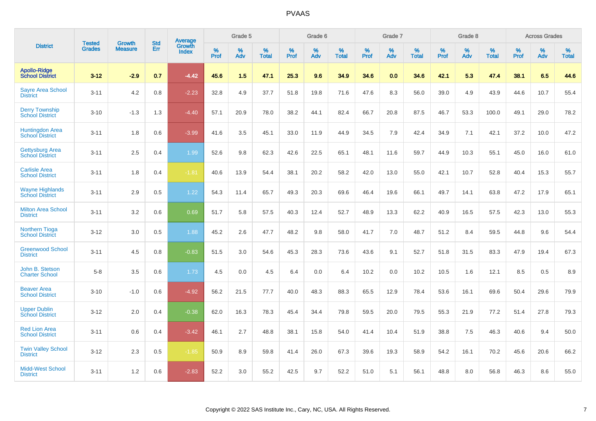| <b>District</b>                                  |                                |                                 | <b>Std</b> | Average                |           | Grade 5  |                   |           | Grade 6  |                   |              | Grade 7  |                   |           | Grade 8  |                   |           | <b>Across Grades</b> |                   |
|--------------------------------------------------|--------------------------------|---------------------------------|------------|------------------------|-----------|----------|-------------------|-----------|----------|-------------------|--------------|----------|-------------------|-----------|----------|-------------------|-----------|----------------------|-------------------|
|                                                  | <b>Tested</b><br><b>Grades</b> | <b>Growth</b><br><b>Measure</b> | Err        | Growth<br><b>Index</b> | %<br>Prof | %<br>Adv | %<br><b>Total</b> | %<br>Prof | %<br>Adv | %<br><b>Total</b> | $\%$<br>Prof | %<br>Adv | %<br><b>Total</b> | %<br>Prof | %<br>Adv | %<br><b>Total</b> | %<br>Prof | %<br>Adv             | %<br><b>Total</b> |
| <b>Apollo-Ridge</b><br><b>School District</b>    | $3 - 12$                       | $-2.9$                          | 0.7        | $-4.42$                | 45.6      | 1.5      | 47.1              | 25.3      | 9.6      | 34.9              | 34.6         | 0.0      | 34.6              | 42.1      | 5.3      | 47.4              | 38.1      | 6.5                  | 44.6              |
| <b>Sayre Area School</b><br><b>District</b>      | $3 - 11$                       | 4.2                             | 0.8        | $-2.23$                | 32.8      | 4.9      | 37.7              | 51.8      | 19.8     | 71.6              | 47.6         | 8.3      | 56.0              | 39.0      | 4.9      | 43.9              | 44.6      | 10.7                 | 55.4              |
| <b>Derry Township</b><br><b>School District</b>  | $3 - 10$                       | $-1.3$                          | 1.3        | $-4.40$                | 57.1      | 20.9     | 78.0              | 38.2      | 44.1     | 82.4              | 66.7         | 20.8     | 87.5              | 46.7      | 53.3     | 100.0             | 49.1      | 29.0                 | 78.2              |
| Huntingdon Area<br>School District               | $3 - 11$                       | 1.8                             | 0.6        | $-3.99$                | 41.6      | 3.5      | 45.1              | 33.0      | 11.9     | 44.9              | 34.5         | 7.9      | 42.4              | 34.9      | 7.1      | 42.1              | 37.2      | 10.0                 | 47.2              |
| <b>Gettysburg Area</b><br><b>School District</b> | $3 - 11$                       | 2.5                             | 0.4        | 1.99                   | 52.6      | 9.8      | 62.3              | 42.6      | 22.5     | 65.1              | 48.1         | 11.6     | 59.7              | 44.9      | 10.3     | 55.1              | 45.0      | 16.0                 | 61.0              |
| <b>Carlisle Area</b><br><b>School District</b>   | $3 - 11$                       | 1.8                             | 0.4        | $-1.81$                | 40.6      | 13.9     | 54.4              | 38.1      | 20.2     | 58.2              | 42.0         | 13.0     | 55.0              | 42.1      | 10.7     | 52.8              | 40.4      | 15.3                 | 55.7              |
| <b>Wayne Highlands</b><br><b>School District</b> | $3 - 11$                       | 2.9                             | 0.5        | 1.22                   | 54.3      | 11.4     | 65.7              | 49.3      | 20.3     | 69.6              | 46.4         | 19.6     | 66.1              | 49.7      | 14.1     | 63.8              | 47.2      | 17.9                 | 65.1              |
| <b>Milton Area School</b><br><b>District</b>     | $3 - 11$                       | 3.2                             | 0.6        | 0.69                   | 51.7      | 5.8      | 57.5              | 40.3      | 12.4     | 52.7              | 48.9         | 13.3     | 62.2              | 40.9      | 16.5     | 57.5              | 42.3      | 13.0                 | 55.3              |
| <b>Northern Tioga</b><br><b>School District</b>  | $3 - 12$                       | 3.0                             | 0.5        | 1.88                   | 45.2      | 2.6      | 47.7              | 48.2      | 9.8      | 58.0              | 41.7         | 7.0      | 48.7              | 51.2      | 8.4      | 59.5              | 44.8      | 9.6                  | 54.4              |
| <b>Greenwood School</b><br><b>District</b>       | $3 - 11$                       | 4.5                             | 0.8        | $-0.83$                | 51.5      | 3.0      | 54.6              | 45.3      | 28.3     | 73.6              | 43.6         | 9.1      | 52.7              | 51.8      | 31.5     | 83.3              | 47.9      | 19.4                 | 67.3              |
| John B. Stetson<br><b>Charter School</b>         | $5 - 8$                        | 3.5                             | 0.6        | 1.73                   | 4.5       | 0.0      | 4.5               | 6.4       | 0.0      | 6.4               | 10.2         | 0.0      | 10.2              | 10.5      | 1.6      | 12.1              | 8.5       | 0.5                  | 8.9               |
| <b>Beaver Area</b><br><b>School District</b>     | $3 - 10$                       | $-1.0$                          | 0.6        | $-4.92$                | 56.2      | 21.5     | 77.7              | 40.0      | 48.3     | 88.3              | 65.5         | 12.9     | 78.4              | 53.6      | 16.1     | 69.6              | 50.4      | 29.6                 | 79.9              |
| <b>Upper Dublin</b><br><b>School District</b>    | $3 - 12$                       | 2.0                             | 0.4        | $-0.38$                | 62.0      | 16.3     | 78.3              | 45.4      | 34.4     | 79.8              | 59.5         | 20.0     | 79.5              | 55.3      | 21.9     | 77.2              | 51.4      | 27.8                 | 79.3              |
| <b>Red Lion Area</b><br><b>School District</b>   | $3 - 11$                       | 0.6                             | 0.4        | $-3.42$                | 46.1      | 2.7      | 48.8              | 38.1      | 15.8     | 54.0              | 41.4         | 10.4     | 51.9              | 38.8      | 7.5      | 46.3              | 40.6      | 9.4                  | 50.0              |
| <b>Twin Valley School</b><br><b>District</b>     | $3 - 12$                       | 2.3                             | 0.5        | $-1.85$                | 50.9      | 8.9      | 59.8              | 41.4      | 26.0     | 67.3              | 39.6         | 19.3     | 58.9              | 54.2      | 16.1     | 70.2              | 45.6      | 20.6                 | 66.2              |
| <b>Midd-West School</b><br><b>District</b>       | $3 - 11$                       | 1.2                             | 0.6        | $-2.83$                | 52.2      | 3.0      | 55.2              | 42.5      | 9.7      | 52.2              | 51.0         | 5.1      | 56.1              | 48.8      | 8.0      | 56.8              | 46.3      | 8.6                  | 55.0              |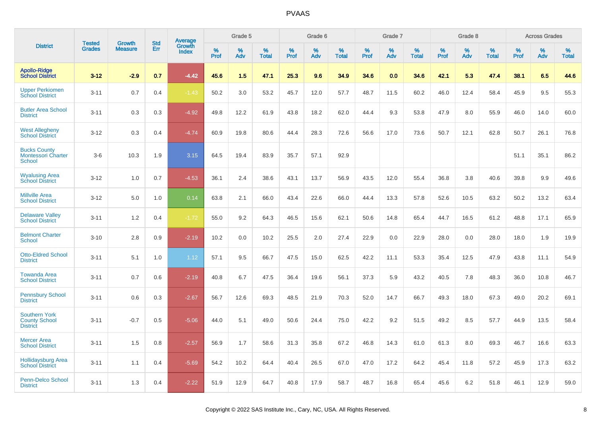|                                                                 | <b>Tested</b> | <b>Growth</b>  | <b>Std</b> | <b>Average</b>         |              | Grade 5  |                   |              | Grade 6  |                   |              | Grade 7  |                   |              | Grade 8  |                   |              | <b>Across Grades</b> |                   |
|-----------------------------------------------------------------|---------------|----------------|------------|------------------------|--------------|----------|-------------------|--------------|----------|-------------------|--------------|----------|-------------------|--------------|----------|-------------------|--------------|----------------------|-------------------|
| <b>District</b>                                                 | <b>Grades</b> | <b>Measure</b> | Err        | Growth<br><b>Index</b> | $\%$<br>Prof | %<br>Adv | %<br><b>Total</b> | $\%$<br>Prof | %<br>Adv | %<br><b>Total</b> | $\%$<br>Prof | %<br>Adv | %<br><b>Total</b> | $\%$<br>Prof | %<br>Adv | %<br><b>Total</b> | $\%$<br>Prof | %<br>Adv             | %<br><b>Total</b> |
| <b>Apollo-Ridge</b><br><b>School District</b>                   | $3 - 12$      | $-2.9$         | 0.7        | $-4.42$                | 45.6         | 1.5      | 47.1              | 25.3         | 9.6      | 34.9              | 34.6         | 0.0      | 34.6              | 42.1         | 5.3      | 47.4              | 38.1         | 6.5                  | 44.6              |
| <b>Upper Perkiomen</b><br><b>School District</b>                | $3 - 11$      | 0.7            | 0.4        | $-1.43$                | 50.2         | 3.0      | 53.2              | 45.7         | 12.0     | 57.7              | 48.7         | 11.5     | 60.2              | 46.0         | 12.4     | 58.4              | 45.9         | 9.5                  | 55.3              |
| <b>Butler Area School</b><br><b>District</b>                    | $3 - 11$      | 0.3            | 0.3        | $-4.92$                | 49.8         | 12.2     | 61.9              | 43.8         | 18.2     | 62.0              | 44.4         | 9.3      | 53.8              | 47.9         | 8.0      | 55.9              | 46.0         | 14.0                 | 60.0              |
| <b>West Allegheny</b><br><b>School District</b>                 | $3 - 12$      | 0.3            | 0.4        | $-4.74$                | 60.9         | 19.8     | 80.6              | 44.4         | 28.3     | 72.6              | 56.6         | 17.0     | 73.6              | 50.7         | 12.1     | 62.8              | 50.7         | 26.1                 | 76.8              |
| <b>Bucks County</b><br><b>Montessori Charter</b><br>School      | $3-6$         | 10.3           | 1.9        | 3.15                   | 64.5         | 19.4     | 83.9              | 35.7         | 57.1     | 92.9              |              |          |                   |              |          |                   | 51.1         | 35.1                 | 86.2              |
| <b>Wyalusing Area</b><br><b>School District</b>                 | $3 - 12$      | 1.0            | 0.7        | $-4.53$                | 36.1         | 2.4      | 38.6              | 43.1         | 13.7     | 56.9              | 43.5         | 12.0     | 55.4              | 36.8         | 3.8      | 40.6              | 39.8         | 9.9                  | 49.6              |
| <b>Millville Area</b><br><b>School District</b>                 | $3 - 12$      | 5.0            | 1.0        | 0.14                   | 63.8         | 2.1      | 66.0              | 43.4         | 22.6     | 66.0              | 44.4         | 13.3     | 57.8              | 52.6         | 10.5     | 63.2              | 50.2         | 13.2                 | 63.4              |
| <b>Delaware Valley</b><br><b>School District</b>                | $3 - 11$      | 1.2            | 0.4        | $-1.72$                | 55.0         | 9.2      | 64.3              | 46.5         | 15.6     | 62.1              | 50.6         | 14.8     | 65.4              | 44.7         | 16.5     | 61.2              | 48.8         | 17.1                 | 65.9              |
| <b>Belmont Charter</b><br><b>School</b>                         | $3 - 10$      | 2.8            | 0.9        | $-2.19$                | 10.2         | 0.0      | 10.2              | 25.5         | 2.0      | 27.4              | 22.9         | 0.0      | 22.9              | 28.0         | 0.0      | 28.0              | 18.0         | 1.9                  | 19.9              |
| <b>Otto-Eldred School</b><br><b>District</b>                    | $3 - 11$      | 5.1            | 1.0        | 1.12                   | 57.1         | 9.5      | 66.7              | 47.5         | 15.0     | 62.5              | 42.2         | 11.1     | 53.3              | 35.4         | 12.5     | 47.9              | 43.8         | 11.1                 | 54.9              |
| <b>Towanda Area</b><br><b>School District</b>                   | $3 - 11$      | 0.7            | 0.6        | $-2.19$                | 40.8         | 6.7      | 47.5              | 36.4         | 19.6     | 56.1              | 37.3         | 5.9      | 43.2              | 40.5         | 7.8      | 48.3              | 36.0         | 10.8                 | 46.7              |
| <b>Pennsbury School</b><br><b>District</b>                      | $3 - 11$      | 0.6            | 0.3        | $-2.67$                | 56.7         | 12.6     | 69.3              | 48.5         | 21.9     | 70.3              | 52.0         | 14.7     | 66.7              | 49.3         | 18.0     | 67.3              | 49.0         | 20.2                 | 69.1              |
| <b>Southern York</b><br><b>County School</b><br><b>District</b> | $3 - 11$      | $-0.7$         | 0.5        | $-5.06$                | 44.0         | 5.1      | 49.0              | 50.6         | 24.4     | 75.0              | 42.2         | 9.2      | 51.5              | 49.2         | 8.5      | 57.7              | 44.9         | 13.5                 | 58.4              |
| <b>Mercer Area</b><br><b>School District</b>                    | $3 - 11$      | 1.5            | 0.8        | $-2.57$                | 56.9         | 1.7      | 58.6              | 31.3         | 35.8     | 67.2              | 46.8         | 14.3     | 61.0              | 61.3         | 8.0      | 69.3              | 46.7         | 16.6                 | 63.3              |
| <b>Hollidaysburg Area</b><br><b>School District</b>             | $3 - 11$      | 1.1            | 0.4        | $-5.69$                | 54.2         | 10.2     | 64.4              | 40.4         | 26.5     | 67.0              | 47.0         | 17.2     | 64.2              | 45.4         | 11.8     | 57.2              | 45.9         | 17.3                 | 63.2              |
| <b>Penn-Delco School</b><br><b>District</b>                     | $3 - 11$      | 1.3            | 0.4        | $-2.22$                | 51.9         | 12.9     | 64.7              | 40.8         | 17.9     | 58.7              | 48.7         | 16.8     | 65.4              | 45.6         | 6.2      | 51.8              | 46.1         | 12.9                 | 59.0              |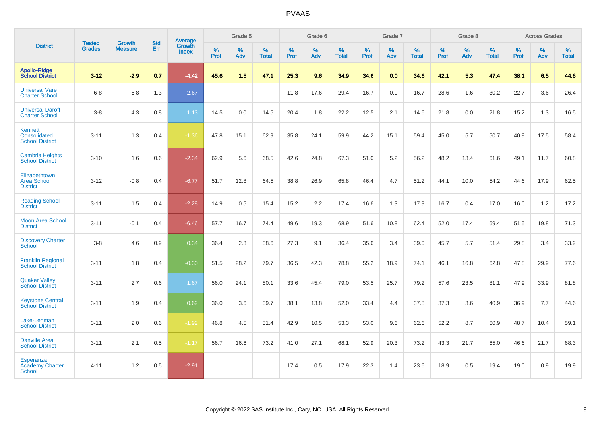|                                                             | <b>Tested</b> | <b>Growth</b>  | <b>Std</b> | <b>Average</b>         |           | Grade 5  |                   |           | Grade 6  |                   |           | Grade 7  |                   |           | Grade 8  |                   |           | <b>Across Grades</b> |                   |
|-------------------------------------------------------------|---------------|----------------|------------|------------------------|-----------|----------|-------------------|-----------|----------|-------------------|-----------|----------|-------------------|-----------|----------|-------------------|-----------|----------------------|-------------------|
| <b>District</b>                                             | <b>Grades</b> | <b>Measure</b> | Err        | Growth<br><b>Index</b> | %<br>Prof | %<br>Adv | %<br><b>Total</b> | %<br>Prof | %<br>Adv | %<br><b>Total</b> | %<br>Prof | %<br>Adv | %<br><b>Total</b> | %<br>Prof | %<br>Adv | %<br><b>Total</b> | %<br>Prof | %<br>Adv             | %<br><b>Total</b> |
| <b>Apollo-Ridge</b><br><b>School District</b>               | $3 - 12$      | $-2.9$         | 0.7        | $-4.42$                | 45.6      | 1.5      | 47.1              | 25.3      | 9.6      | 34.9              | 34.6      | 0.0      | 34.6              | 42.1      | 5.3      | 47.4              | 38.1      | 6.5                  | 44.6              |
| <b>Universal Vare</b><br><b>Charter School</b>              | $6 - 8$       | 6.8            | 1.3        | 2.67                   |           |          |                   | 11.8      | 17.6     | 29.4              | 16.7      | 0.0      | 16.7              | 28.6      | 1.6      | 30.2              | 22.7      | 3.6                  | 26.4              |
| <b>Universal Daroff</b><br><b>Charter School</b>            | $3-8$         | 4.3            | 0.8        | 1.13                   | 14.5      | 0.0      | 14.5              | 20.4      | 1.8      | 22.2              | 12.5      | 2.1      | 14.6              | 21.8      | 0.0      | 21.8              | 15.2      | 1.3                  | 16.5              |
| <b>Kennett</b><br>Consolidated<br><b>School District</b>    | $3 - 11$      | 1.3            | 0.4        | $-1.36$                | 47.8      | 15.1     | 62.9              | 35.8      | 24.1     | 59.9              | 44.2      | 15.1     | 59.4              | 45.0      | 5.7      | 50.7              | 40.9      | 17.5                 | 58.4              |
| <b>Cambria Heights</b><br><b>School District</b>            | $3 - 10$      | 1.6            | 0.6        | $-2.34$                | 62.9      | 5.6      | 68.5              | 42.6      | 24.8     | 67.3              | 51.0      | $5.2\,$  | 56.2              | 48.2      | 13.4     | 61.6              | 49.1      | 11.7                 | 60.8              |
| Elizabethtown<br><b>Area School</b><br><b>District</b>      | $3 - 12$      | $-0.8$         | 0.4        | $-6.77$                | 51.7      | 12.8     | 64.5              | 38.8      | 26.9     | 65.8              | 46.4      | 4.7      | 51.2              | 44.1      | 10.0     | 54.2              | 44.6      | 17.9                 | 62.5              |
| <b>Reading School</b><br><b>District</b>                    | $3 - 11$      | 1.5            | 0.4        | $-2.28$                | 14.9      | 0.5      | 15.4              | 15.2      | 2.2      | 17.4              | 16.6      | 1.3      | 17.9              | 16.7      | 0.4      | 17.0              | 16.0      | 1.2                  | 17.2              |
| <b>Moon Area School</b><br><b>District</b>                  | $3 - 11$      | $-0.1$         | 0.4        | $-6.46$                | 57.7      | 16.7     | 74.4              | 49.6      | 19.3     | 68.9              | 51.6      | 10.8     | 62.4              | 52.0      | 17.4     | 69.4              | 51.5      | 19.8                 | 71.3              |
| <b>Discovery Charter</b><br><b>School</b>                   | $3 - 8$       | 4.6            | 0.9        | 0.34                   | 36.4      | 2.3      | 38.6              | 27.3      | 9.1      | 36.4              | 35.6      | 3.4      | 39.0              | 45.7      | 5.7      | 51.4              | 29.8      | 3.4                  | 33.2              |
| <b>Franklin Regional</b><br><b>School District</b>          | $3 - 11$      | 1.8            | 0.4        | $-0.30$                | 51.5      | 28.2     | 79.7              | 36.5      | 42.3     | 78.8              | 55.2      | 18.9     | 74.1              | 46.1      | 16.8     | 62.8              | 47.8      | 29.9                 | 77.6              |
| <b>Quaker Valley</b><br><b>School District</b>              | $3 - 11$      | 2.7            | 0.6        | 1.67                   | 56.0      | 24.1     | 80.1              | 33.6      | 45.4     | 79.0              | 53.5      | 25.7     | 79.2              | 57.6      | 23.5     | 81.1              | 47.9      | 33.9                 | 81.8              |
| <b>Keystone Central</b><br><b>School District</b>           | $3 - 11$      | 1.9            | 0.4        | 0.62                   | 36.0      | 3.6      | 39.7              | 38.1      | 13.8     | 52.0              | 33.4      | 4.4      | 37.8              | 37.3      | 3.6      | 40.9              | 36.9      | 7.7                  | 44.6              |
| Lake-Lehman<br><b>School District</b>                       | $3 - 11$      | 2.0            | 0.6        | $-1.92$                | 46.8      | 4.5      | 51.4              | 42.9      | 10.5     | 53.3              | 53.0      | 9.6      | 62.6              | 52.2      | 8.7      | 60.9              | 48.7      | 10.4                 | 59.1              |
| <b>Danville Area</b><br><b>School District</b>              | $3 - 11$      | 2.1            | 0.5        | $-1.17$                | 56.7      | 16.6     | 73.2              | 41.0      | 27.1     | 68.1              | 52.9      | 20.3     | 73.2              | 43.3      | 21.7     | 65.0              | 46.6      | 21.7                 | 68.3              |
| <b>Esperanza</b><br><b>Academy Charter</b><br><b>School</b> | $4 - 11$      | 1.2            | 0.5        | $-2.91$                |           |          |                   | 17.4      | 0.5      | 17.9              | 22.3      | 1.4      | 23.6              | 18.9      | 0.5      | 19.4              | 19.0      | 0.9                  | 19.9              |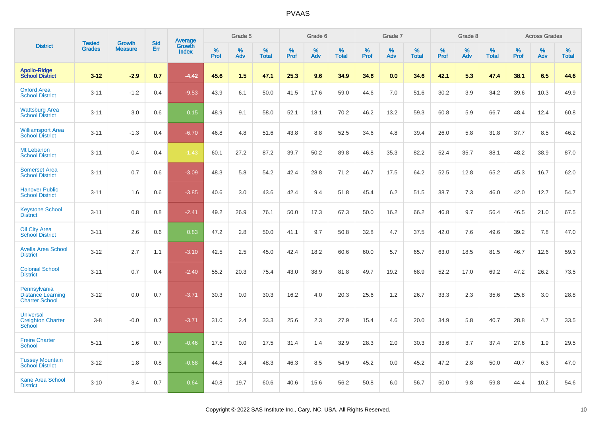|                                                                   | <b>Tested</b> | <b>Growth</b>  | <b>Std</b> |                                          |                     | Grade 5  |                   |                     | Grade 6  |                   |                     | Grade 7  |                   |              | Grade 8  |                   |           | <b>Across Grades</b> |                   |
|-------------------------------------------------------------------|---------------|----------------|------------|------------------------------------------|---------------------|----------|-------------------|---------------------|----------|-------------------|---------------------|----------|-------------------|--------------|----------|-------------------|-----------|----------------------|-------------------|
| <b>District</b>                                                   | <b>Grades</b> | <b>Measure</b> | Err        | <b>Average</b><br>Growth<br><b>Index</b> | $\%$<br><b>Prof</b> | %<br>Adv | %<br><b>Total</b> | $\%$<br><b>Prof</b> | %<br>Adv | %<br><b>Total</b> | $\%$<br><b>Prof</b> | %<br>Adv | %<br><b>Total</b> | $\%$<br>Prof | %<br>Adv | %<br><b>Total</b> | %<br>Prof | %<br>Adv             | %<br><b>Total</b> |
| <b>Apollo-Ridge</b><br><b>School District</b>                     | $3 - 12$      | $-2.9$         | 0.7        | $-4.42$                                  | 45.6                | 1.5      | 47.1              | 25.3                | 9.6      | 34.9              | 34.6                | 0.0      | 34.6              | 42.1         | 5.3      | 47.4              | 38.1      | 6.5                  | 44.6              |
| <b>Oxford Area</b><br><b>School District</b>                      | $3 - 11$      | $-1.2$         | 0.4        | $-9.53$                                  | 43.9                | 6.1      | 50.0              | 41.5                | 17.6     | 59.0              | 44.6                | 7.0      | 51.6              | 30.2         | 3.9      | 34.2              | 39.6      | 10.3                 | 49.9              |
| <b>Wattsburg Area</b><br><b>School District</b>                   | $3 - 11$      | 3.0            | 0.6        | 0.15                                     | 48.9                | 9.1      | 58.0              | 52.1                | 18.1     | 70.2              | 46.2                | 13.2     | 59.3              | 60.8         | 5.9      | 66.7              | 48.4      | 12.4                 | 60.8              |
| <b>Williamsport Area</b><br><b>School District</b>                | $3 - 11$      | $-1.3$         | 0.4        | $-6.70$                                  | 46.8                | 4.8      | 51.6              | 43.8                | 8.8      | 52.5              | 34.6                | 4.8      | 39.4              | 26.0         | 5.8      | 31.8              | 37.7      | 8.5                  | 46.2              |
| Mt Lebanon<br><b>School District</b>                              | $3 - 11$      | 0.4            | 0.4        | $-1.43$                                  | 60.1                | 27.2     | 87.2              | 39.7                | 50.2     | 89.8              | 46.8                | 35.3     | 82.2              | 52.4         | 35.7     | 88.1              | 48.2      | 38.9                 | 87.0              |
| <b>Somerset Area</b><br><b>School District</b>                    | $3 - 11$      | 0.7            | 0.6        | $-3.09$                                  | 48.3                | 5.8      | 54.2              | 42.4                | 28.8     | 71.2              | 46.7                | 17.5     | 64.2              | 52.5         | 12.8     | 65.2              | 45.3      | 16.7                 | 62.0              |
| <b>Hanover Public</b><br><b>School District</b>                   | $3 - 11$      | 1.6            | 0.6        | $-3.85$                                  | 40.6                | 3.0      | 43.6              | 42.4                | 9.4      | 51.8              | 45.4                | 6.2      | 51.5              | 38.7         | 7.3      | 46.0              | 42.0      | 12.7                 | 54.7              |
| <b>Keystone School</b><br><b>District</b>                         | $3 - 11$      | 0.8            | 0.8        | $-2.41$                                  | 49.2                | 26.9     | 76.1              | 50.0                | 17.3     | 67.3              | 50.0                | 16.2     | 66.2              | 46.8         | 9.7      | 56.4              | 46.5      | 21.0                 | 67.5              |
| <b>Oil City Area</b><br><b>School District</b>                    | $3 - 11$      | 2.6            | 0.6        | 0.83                                     | 47.2                | 2.8      | 50.0              | 41.1                | 9.7      | 50.8              | 32.8                | 4.7      | 37.5              | 42.0         | 7.6      | 49.6              | 39.2      | 7.8                  | 47.0              |
| <b>Avella Area School</b><br><b>District</b>                      | $3 - 12$      | 2.7            | 1.1        | $-3.10$                                  | 42.5                | 2.5      | 45.0              | 42.4                | 18.2     | 60.6              | 60.0                | 5.7      | 65.7              | 63.0         | 18.5     | 81.5              | 46.7      | 12.6                 | 59.3              |
| <b>Colonial School</b><br><b>District</b>                         | $3 - 11$      | 0.7            | 0.4        | $-2.40$                                  | 55.2                | 20.3     | 75.4              | 43.0                | 38.9     | 81.8              | 49.7                | 19.2     | 68.9              | 52.2         | 17.0     | 69.2              | 47.2      | 26.2                 | 73.5              |
| Pennsylvania<br><b>Distance Learning</b><br><b>Charter School</b> | $3 - 12$      | 0.0            | 0.7        | $-3.71$                                  | 30.3                | 0.0      | 30.3              | 16.2                | 4.0      | 20.3              | 25.6                | 1.2      | 26.7              | 33.3         | 2.3      | 35.6              | 25.8      | 3.0                  | 28.8              |
| <b>Universal</b><br><b>Creighton Charter</b><br>School            | $3-8$         | $-0.0$         | 0.7        | $-3.71$                                  | 31.0                | 2.4      | 33.3              | 25.6                | 2.3      | 27.9              | 15.4                | 4.6      | 20.0              | 34.9         | 5.8      | 40.7              | 28.8      | 4.7                  | 33.5              |
| <b>Freire Charter</b><br><b>School</b>                            | $5 - 11$      | 1.6            | 0.7        | $-0.46$                                  | 17.5                | 0.0      | 17.5              | 31.4                | 1.4      | 32.9              | 28.3                | 2.0      | 30.3              | 33.6         | 3.7      | 37.4              | 27.6      | 1.9                  | 29.5              |
| <b>Tussey Mountain</b><br><b>School District</b>                  | $3 - 12$      | 1.8            | 0.8        | $-0.68$                                  | 44.8                | 3.4      | 48.3              | 46.3                | 8.5      | 54.9              | 45.2                | 0.0      | 45.2              | 47.2         | 2.8      | 50.0              | 40.7      | 6.3                  | 47.0              |
| <b>Kane Area School</b><br><b>District</b>                        | $3 - 10$      | 3.4            | 0.7        | 0.64                                     | 40.8                | 19.7     | 60.6              | 40.6                | 15.6     | 56.2              | 50.8                | 6.0      | 56.7              | 50.0         | 9.8      | 59.8              | 44.4      | 10.2                 | 54.6              |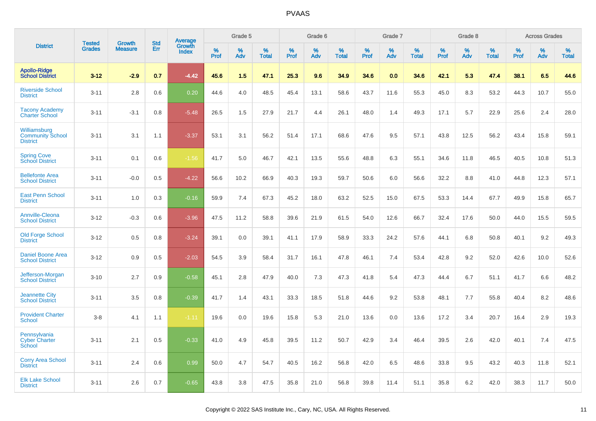| <b>District</b>                                            | <b>Tested</b> | <b>Growth</b>  | <b>Std</b> | Average                |              | Grade 5  |                   |              | Grade 6  |                   |              | Grade 7  |                   |              | Grade 8  |                   |              | <b>Across Grades</b> |                   |
|------------------------------------------------------------|---------------|----------------|------------|------------------------|--------------|----------|-------------------|--------------|----------|-------------------|--------------|----------|-------------------|--------------|----------|-------------------|--------------|----------------------|-------------------|
|                                                            | <b>Grades</b> | <b>Measure</b> | Err        | Growth<br><b>Index</b> | $\%$<br>Prof | %<br>Adv | %<br><b>Total</b> | $\%$<br>Prof | %<br>Adv | %<br><b>Total</b> | $\%$<br>Prof | %<br>Adv | %<br><b>Total</b> | $\%$<br>Prof | %<br>Adv | %<br><b>Total</b> | $\%$<br>Prof | %<br>Adv             | %<br><b>Total</b> |
| <b>Apollo-Ridge</b><br><b>School District</b>              | $3 - 12$      | $-2.9$         | 0.7        | $-4.42$                | 45.6         | 1.5      | 47.1              | 25.3         | 9.6      | 34.9              | 34.6         | 0.0      | 34.6              | 42.1         | 5.3      | 47.4              | 38.1         | 6.5                  | 44.6              |
| <b>Riverside School</b><br><b>District</b>                 | $3 - 11$      | 2.8            | 0.6        | 0.20                   | 44.6         | 4.0      | 48.5              | 45.4         | 13.1     | 58.6              | 43.7         | 11.6     | 55.3              | 45.0         | 8.3      | 53.2              | 44.3         | 10.7                 | 55.0              |
| <b>Tacony Academy</b><br><b>Charter School</b>             | $3 - 11$      | $-3.1$         | 0.8        | $-5.48$                | 26.5         | 1.5      | 27.9              | 21.7         | 4.4      | 26.1              | 48.0         | 1.4      | 49.3              | 17.1         | 5.7      | 22.9              | 25.6         | 2.4                  | 28.0              |
| Williamsburg<br><b>Community School</b><br><b>District</b> | $3 - 11$      | 3.1            | 1.1        | $-3.37$                | 53.1         | 3.1      | 56.2              | 51.4         | 17.1     | 68.6              | 47.6         | 9.5      | 57.1              | 43.8         | 12.5     | 56.2              | 43.4         | 15.8                 | 59.1              |
| <b>Spring Cove</b><br>School District                      | $3 - 11$      | 0.1            | 0.6        | $-1.56$                | 41.7         | 5.0      | 46.7              | 42.1         | 13.5     | 55.6              | 48.8         | 6.3      | 55.1              | 34.6         | 11.8     | 46.5              | 40.5         | 10.8                 | 51.3              |
| <b>Bellefonte Area</b><br><b>School District</b>           | $3 - 11$      | $-0.0$         | 0.5        | $-4.22$                | 56.6         | 10.2     | 66.9              | 40.3         | 19.3     | 59.7              | 50.6         | 6.0      | 56.6              | 32.2         | 8.8      | 41.0              | 44.8         | 12.3                 | 57.1              |
| <b>East Penn School</b><br><b>District</b>                 | $3 - 11$      | 1.0            | 0.3        | $-0.16$                | 59.9         | 7.4      | 67.3              | 45.2         | 18.0     | 63.2              | 52.5         | 15.0     | 67.5              | 53.3         | 14.4     | 67.7              | 49.9         | 15.8                 | 65.7              |
| <b>Annville-Cleona</b><br><b>School District</b>           | $3 - 12$      | $-0.3$         | 0.6        | $-3.96$                | 47.5         | 11.2     | 58.8              | 39.6         | 21.9     | 61.5              | 54.0         | 12.6     | 66.7              | 32.4         | 17.6     | 50.0              | 44.0         | 15.5                 | 59.5              |
| <b>Old Forge School</b><br><b>District</b>                 | $3 - 12$      | 0.5            | 0.8        | $-3.24$                | 39.1         | 0.0      | 39.1              | 41.1         | 17.9     | 58.9              | 33.3         | 24.2     | 57.6              | 44.1         | 6.8      | 50.8              | 40.1         | 9.2                  | 49.3              |
| <b>Daniel Boone Area</b><br><b>School District</b>         | $3 - 12$      | 0.9            | 0.5        | $-2.03$                | 54.5         | 3.9      | 58.4              | 31.7         | 16.1     | 47.8              | 46.1         | 7.4      | 53.4              | 42.8         | 9.2      | 52.0              | 42.6         | 10.0                 | 52.6              |
| Jefferson-Morgan<br><b>School District</b>                 | $3 - 10$      | 2.7            | 0.9        | $-0.58$                | 45.1         | 2.8      | 47.9              | 40.0         | 7.3      | 47.3              | 41.8         | 5.4      | 47.3              | 44.4         | 6.7      | 51.1              | 41.7         | 6.6                  | 48.2              |
| <b>Jeannette City</b><br><b>School District</b>            | $3 - 11$      | 3.5            | 0.8        | $-0.39$                | 41.7         | 1.4      | 43.1              | 33.3         | 18.5     | 51.8              | 44.6         | 9.2      | 53.8              | 48.1         | 7.7      | 55.8              | 40.4         | 8.2                  | 48.6              |
| <b>Provident Charter</b><br><b>School</b>                  | $3 - 8$       | 4.1            | 1.1        | $-1.11$                | 19.6         | 0.0      | 19.6              | 15.8         | 5.3      | 21.0              | 13.6         | 0.0      | 13.6              | 17.2         | 3.4      | 20.7              | 16.4         | 2.9                  | 19.3              |
| Pennsylvania<br><b>Cyber Charter</b><br>School             | $3 - 11$      | 2.1            | 0.5        | $-0.33$                | 41.0         | 4.9      | 45.8              | 39.5         | 11.2     | 50.7              | 42.9         | 3.4      | 46.4              | 39.5         | 2.6      | 42.0              | 40.1         | 7.4                  | 47.5              |
| <b>Corry Area School</b><br><b>District</b>                | $3 - 11$      | 2.4            | 0.6        | 0.99                   | 50.0         | 4.7      | 54.7              | 40.5         | 16.2     | 56.8              | 42.0         | 6.5      | 48.6              | 33.8         | 9.5      | 43.2              | 40.3         | 11.8                 | 52.1              |
| <b>Elk Lake School</b><br><b>District</b>                  | $3 - 11$      | 2.6            | 0.7        | $-0.65$                | 43.8         | 3.8      | 47.5              | 35.8         | 21.0     | 56.8              | 39.8         | 11.4     | 51.1              | 35.8         | 6.2      | 42.0              | 38.3         | 11.7                 | 50.0              |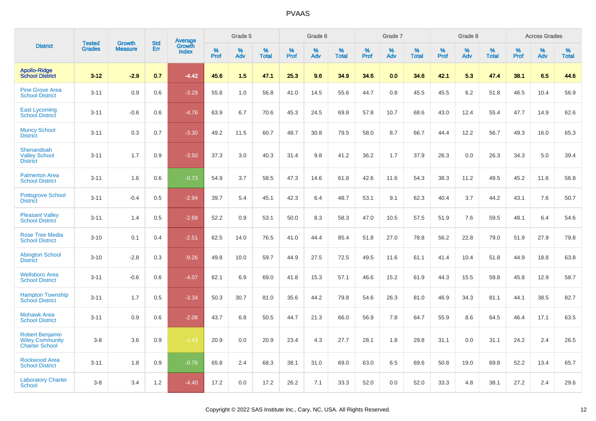|                                                                           | <b>Tested</b> | <b>Growth</b>  | <b>Std</b> | <b>Average</b>         |              | Grade 5  |                   |              | Grade 6  |                   |              | Grade 7  |                   |              | Grade 8  |                   |              | <b>Across Grades</b> |                   |
|---------------------------------------------------------------------------|---------------|----------------|------------|------------------------|--------------|----------|-------------------|--------------|----------|-------------------|--------------|----------|-------------------|--------------|----------|-------------------|--------------|----------------------|-------------------|
| <b>District</b>                                                           | <b>Grades</b> | <b>Measure</b> | Err        | Growth<br><b>Index</b> | $\%$<br>Prof | %<br>Adv | %<br><b>Total</b> | $\%$<br>Prof | %<br>Adv | %<br><b>Total</b> | $\%$<br>Prof | %<br>Adv | %<br><b>Total</b> | $\%$<br>Prof | %<br>Adv | %<br><b>Total</b> | $\%$<br>Prof | %<br>Adv             | %<br><b>Total</b> |
| <b>Apollo-Ridge</b><br><b>School District</b>                             | $3 - 12$      | $-2.9$         | 0.7        | $-4.42$                | 45.6         | 1.5      | 47.1              | 25.3         | 9.6      | 34.9              | 34.6         | 0.0      | 34.6              | 42.1         | 5.3      | 47.4              | 38.1         | 6.5                  | 44.6              |
| <b>Pine Grove Area</b><br><b>School District</b>                          | $3 - 11$      | 0.9            | 0.6        | $-3.29$                | 55.8         | 1.0      | 56.8              | 41.0         | 14.5     | 55.6              | 44.7         | 0.8      | 45.5              | 45.5         | 6.2      | 51.8              | 46.5         | 10.4                 | 56.9              |
| <b>East Lycoming</b><br><b>School District</b>                            | $3 - 11$      | $-0.6$         | 0.6        | $-4.76$                | 63.9         | 6.7      | 70.6              | 45.3         | 24.5     | 69.8              | 57.8         | 10.7     | 68.6              | 43.0         | 12.4     | 55.4              | 47.7         | 14.9                 | 62.6              |
| <b>Muncy School</b><br><b>District</b>                                    | $3 - 11$      | 0.3            | 0.7        | $-3.30$                | 49.2         | 11.5     | 60.7              | 48.7         | 30.8     | 79.5              | 58.0         | 8.7      | 66.7              | 44.4         | 12.2     | 56.7              | 49.3         | 16.0                 | 65.3              |
| Shenandoah<br><b>Valley School</b><br><b>District</b>                     | $3 - 11$      | 1.7            | 0.9        | $-3.50$                | 37.3         | 3.0      | 40.3              | 31.4         | 9.8      | 41.2              | 36.2         | 1.7      | 37.9              | 26.3         | 0.0      | 26.3              | 34.3         | 5.0                  | 39.4              |
| <b>Palmerton Area</b><br><b>School District</b>                           | $3 - 11$      | 1.6            | 0.6        | $-0.73$                | 54.9         | 3.7      | 58.5              | 47.3         | 14.6     | 61.8              | 42.6         | 11.6     | 54.3              | 38.3         | 11.2     | 49.5              | 45.2         | 11.6                 | 56.8              |
| <b>Pottsgrove School</b><br><b>District</b>                               | $3 - 11$      | $-0.4$         | 0.5        | $-2.94$                | 39.7         | 5.4      | 45.1              | 42.3         | 6.4      | 48.7              | 53.1         | 9.1      | 62.3              | 40.4         | 3.7      | 44.2              | 43.1         | 7.6                  | 50.7              |
| <b>Pleasant Valley</b><br><b>School District</b>                          | $3 - 11$      | 1.4            | 0.5        | $-2.68$                | 52.2         | 0.9      | 53.1              | 50.0         | 8.3      | 58.3              | 47.0         | 10.5     | 57.5              | 51.9         | 7.6      | 59.5              | 48.1         | 6.4                  | 54.6              |
| <b>Rose Tree Media</b><br><b>School District</b>                          | $3 - 10$      | 0.1            | 0.4        | $-2.51$                | 62.5         | 14.0     | 76.5              | 41.0         | 44.4     | 85.4              | 51.8         | 27.0     | 78.8              | 56.2         | 22.8     | 79.0              | 51.9         | 27.9                 | 79.8              |
| <b>Abington School</b><br><b>District</b>                                 | $3 - 10$      | $-2.8$         | 0.3        | $-9.26$                | 49.8         | 10.0     | 59.7              | 44.9         | 27.5     | 72.5              | 49.5         | 11.6     | 61.1              | 41.4         | 10.4     | 51.8              | 44.9         | 18.8                 | 63.8              |
| <b>Wellsboro Area</b><br><b>School District</b>                           | $3 - 11$      | $-0.6$         | 0.6        | $-4.07$                | 62.1         | 6.9      | 69.0              | 41.8         | 15.3     | 57.1              | 46.6         | 15.2     | 61.9              | 44.3         | 15.5     | 59.8              | 45.8         | 12.9                 | 58.7              |
| <b>Hampton Township</b><br><b>School District</b>                         | $3 - 11$      | 1.7            | 0.5        | $-3.34$                | 50.3         | 30.7     | 81.0              | 35.6         | 44.2     | 79.8              | 54.6         | 26.3     | 81.0              | 46.9         | 34.3     | 81.1              | 44.1         | 38.5                 | 82.7              |
| <b>Mohawk Area</b><br><b>School District</b>                              | $3 - 11$      | 0.9            | 0.6        | $-2.08$                | 43.7         | 6.8      | 50.5              | 44.7         | 21.3     | 66.0              | 56.9         | 7.8      | 64.7              | 55.9         | 8.6      | 64.5              | 46.4         | 17.1                 | 63.5              |
| <b>Robert Benjamin</b><br><b>Wiley Community</b><br><b>Charter School</b> | $3-8$         | 3.6            | 0.9        | $-1.43$                | 20.9         | 0.0      | 20.9              | 23.4         | 4.3      | 27.7              | 28.1         | 1.8      | 29.8              | 31.1         | 0.0      | 31.1              | 24.2         | 2.4                  | 26.5              |
| <b>Rockwood Area</b><br><b>School District</b>                            | $3 - 11$      | 1.8            | 0.9        | $-0.76$                | 65.8         | 2.4      | 68.3              | 38.1         | 31.0     | 69.0              | 63.0         | 6.5      | 69.6              | 50.8         | 19.0     | 69.8              | 52.2         | 13.4                 | 65.7              |
| <b>Laboratory Charter</b><br><b>School</b>                                | $3-8$         | 3.4            | 1.2        | $-4.40$                | 17.2         | 0.0      | 17.2              | 26.2         | 7.1      | 33.3              | 52.0         | 0.0      | 52.0              | 33.3         | 4.8      | 38.1              | 27.2         | 2.4                  | 29.6              |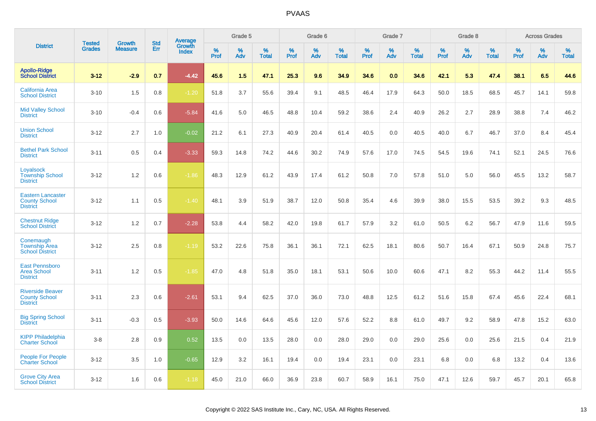|                                                                     |                                |                                 | <b>Std</b> | Average                |              | Grade 5  |                   |              | Grade 6  |                   |              | Grade 7  |                   |              | Grade 8  |                   |              | <b>Across Grades</b> |                   |
|---------------------------------------------------------------------|--------------------------------|---------------------------------|------------|------------------------|--------------|----------|-------------------|--------------|----------|-------------------|--------------|----------|-------------------|--------------|----------|-------------------|--------------|----------------------|-------------------|
| <b>District</b>                                                     | <b>Tested</b><br><b>Grades</b> | <b>Growth</b><br><b>Measure</b> | Err        | Growth<br><b>Index</b> | $\%$<br>Prof | %<br>Adv | %<br><b>Total</b> | $\%$<br>Prof | %<br>Adv | %<br><b>Total</b> | $\%$<br>Prof | %<br>Adv | %<br><b>Total</b> | $\%$<br>Prof | %<br>Adv | %<br><b>Total</b> | $\%$<br>Prof | $\%$<br>Adv          | %<br><b>Total</b> |
| <b>Apollo-Ridge</b><br><b>School District</b>                       | $3 - 12$                       | $-2.9$                          | 0.7        | $-4.42$                | 45.6         | 1.5      | 47.1              | 25.3         | 9.6      | 34.9              | 34.6         | 0.0      | 34.6              | 42.1         | 5.3      | 47.4              | 38.1         | 6.5                  | 44.6              |
| California Area<br><b>School District</b>                           | $3 - 10$                       | 1.5                             | 0.8        | $-1.20$                | 51.8         | 3.7      | 55.6              | 39.4         | 9.1      | 48.5              | 46.4         | 17.9     | 64.3              | 50.0         | 18.5     | 68.5              | 45.7         | 14.1                 | 59.8              |
| <b>Mid Valley School</b><br><b>District</b>                         | $3 - 10$                       | $-0.4$                          | 0.6        | $-5.84$                | 41.6         | 5.0      | 46.5              | 48.8         | 10.4     | 59.2              | 38.6         | 2.4      | 40.9              | 26.2         | 2.7      | 28.9              | 38.8         | 7.4                  | 46.2              |
| <b>Union School</b><br><b>District</b>                              | $3 - 12$                       | 2.7                             | 1.0        | $-0.02$                | 21.2         | 6.1      | 27.3              | 40.9         | 20.4     | 61.4              | 40.5         | 0.0      | 40.5              | 40.0         | 6.7      | 46.7              | 37.0         | 8.4                  | 45.4              |
| <b>Bethel Park School</b><br><b>District</b>                        | $3 - 11$                       | 0.5                             | 0.4        | $-3.33$                | 59.3         | 14.8     | 74.2              | 44.6         | 30.2     | 74.9              | 57.6         | 17.0     | 74.5              | 54.5         | 19.6     | 74.1              | 52.1         | 24.5                 | 76.6              |
| Loyalsock<br><b>Township School</b><br><b>District</b>              | $3 - 12$                       | 1.2                             | 0.6        | $-1.86$                | 48.3         | 12.9     | 61.2              | 43.9         | 17.4     | 61.2              | 50.8         | 7.0      | 57.8              | 51.0         | 5.0      | 56.0              | 45.5         | 13.2                 | 58.7              |
| <b>Eastern Lancaster</b><br><b>County School</b><br><b>District</b> | $3 - 12$                       | 1.1                             | 0.5        | $-1.40$                | 48.1         | 3.9      | 51.9              | 38.7         | 12.0     | 50.8              | 35.4         | 4.6      | 39.9              | 38.0         | 15.5     | 53.5              | 39.2         | 9.3                  | 48.5              |
| <b>Chestnut Ridge</b><br><b>School District</b>                     | $3 - 12$                       | 1.2                             | 0.7        | $-2.28$                | 53.8         | 4.4      | 58.2              | 42.0         | 19.8     | 61.7              | 57.9         | 3.2      | 61.0              | 50.5         | 6.2      | 56.7              | 47.9         | 11.6                 | 59.5              |
| Conemaugh<br><b>Township Area</b><br><b>School District</b>         | $3 - 12$                       | 2.5                             | 0.8        | $-1.19$                | 53.2         | 22.6     | 75.8              | 36.1         | 36.1     | 72.1              | 62.5         | 18.1     | 80.6              | 50.7         | 16.4     | 67.1              | 50.9         | 24.8                 | 75.7              |
| East Pennsboro<br><b>Area School</b><br><b>District</b>             | $3 - 11$                       | 1.2                             | 0.5        | $-1.85$                | 47.0         | 4.8      | 51.8              | 35.0         | 18.1     | 53.1              | 50.6         | 10.0     | 60.6              | 47.1         | 8.2      | 55.3              | 44.2         | 11.4                 | 55.5              |
| <b>Riverside Beaver</b><br><b>County School</b><br><b>District</b>  | $3 - 11$                       | 2.3                             | 0.6        | $-2.61$                | 53.1         | 9.4      | 62.5              | 37.0         | 36.0     | 73.0              | 48.8         | 12.5     | 61.2              | 51.6         | 15.8     | 67.4              | 45.6         | 22.4                 | 68.1              |
| <b>Big Spring School</b><br><b>District</b>                         | $3 - 11$                       | $-0.3$                          | 0.5        | $-3.93$                | 50.0         | 14.6     | 64.6              | 45.6         | 12.0     | 57.6              | 52.2         | 8.8      | 61.0              | 49.7         | 9.2      | 58.9              | 47.8         | 15.2                 | 63.0              |
| <b>KIPP Philadelphia</b><br><b>Charter School</b>                   | $3-8$                          | 2.8                             | 0.9        | 0.52                   | 13.5         | 0.0      | 13.5              | 28.0         | 0.0      | 28.0              | 29.0         | 0.0      | 29.0              | 25.6         | 0.0      | 25.6              | 21.5         | 0.4                  | 21.9              |
| <b>People For People</b><br><b>Charter School</b>                   | $3 - 12$                       | 3.5                             | 1.0        | $-0.65$                | 12.9         | 3.2      | 16.1              | 19.4         | 0.0      | 19.4              | 23.1         | 0.0      | 23.1              | 6.8          | 0.0      | 6.8               | 13.2         | 0.4                  | 13.6              |
| <b>Grove City Area</b><br><b>School District</b>                    | $3 - 12$                       | 1.6                             | 0.6        | $-1.18$                | 45.0         | 21.0     | 66.0              | 36.9         | 23.8     | 60.7              | 58.9         | 16.1     | 75.0              | 47.1         | 12.6     | 59.7              | 45.7         | 20.1                 | 65.8              |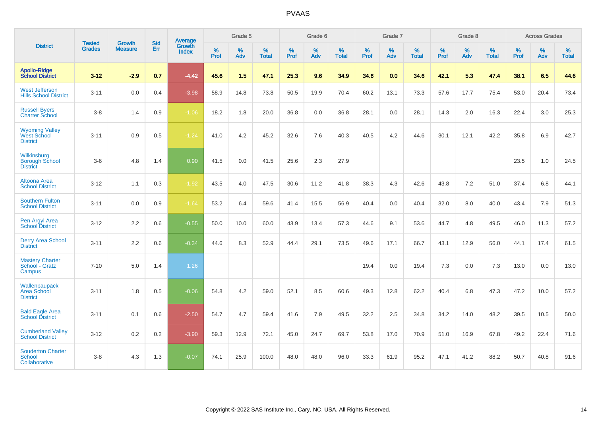|                                                                | <b>Tested</b> | <b>Growth</b>  | <b>Std</b> | Average                |           | Grade 5  |                   |           | Grade 6  |                   |           | Grade 7  |                   |           | Grade 8  |                   |           | <b>Across Grades</b> |                   |
|----------------------------------------------------------------|---------------|----------------|------------|------------------------|-----------|----------|-------------------|-----------|----------|-------------------|-----------|----------|-------------------|-----------|----------|-------------------|-----------|----------------------|-------------------|
| <b>District</b>                                                | <b>Grades</b> | <b>Measure</b> | <b>Err</b> | Growth<br><b>Index</b> | %<br>Prof | %<br>Adv | %<br><b>Total</b> | %<br>Prof | %<br>Adv | %<br><b>Total</b> | %<br>Prof | %<br>Adv | %<br><b>Total</b> | %<br>Prof | %<br>Adv | %<br><b>Total</b> | %<br>Prof | %<br>Adv             | %<br><b>Total</b> |
| <b>Apollo-Ridge</b><br><b>School District</b>                  | $3 - 12$      | $-2.9$         | 0.7        | $-4.42$                | 45.6      | 1.5      | 47.1              | 25.3      | 9.6      | 34.9              | 34.6      | 0.0      | 34.6              | 42.1      | 5.3      | 47.4              | 38.1      | 6.5                  | 44.6              |
| <b>West Jefferson</b><br><b>Hills School District</b>          | $3 - 11$      | 0.0            | 0.4        | $-3.98$                | 58.9      | 14.8     | 73.8              | 50.5      | 19.9     | 70.4              | 60.2      | 13.1     | 73.3              | 57.6      | 17.7     | 75.4              | 53.0      | 20.4                 | 73.4              |
| <b>Russell Byers</b><br><b>Charter School</b>                  | $3 - 8$       | 1.4            | 0.9        | $-1.06$                | 18.2      | 1.8      | 20.0              | 36.8      | 0.0      | 36.8              | 28.1      | 0.0      | 28.1              | 14.3      | 2.0      | 16.3              | 22.4      | 3.0                  | 25.3              |
| <b>Wyoming Valley</b><br><b>West School</b><br><b>District</b> | $3 - 11$      | 0.9            | 0.5        | $-1.24$                | 41.0      | 4.2      | 45.2              | 32.6      | 7.6      | 40.3              | 40.5      | 4.2      | 44.6              | 30.1      | 12.1     | 42.2              | 35.8      | 6.9                  | 42.7              |
| Wilkinsburg<br><b>Borough School</b><br><b>District</b>        | $3-6$         | 4.8            | 1.4        | 0.90                   | 41.5      | 0.0      | 41.5              | 25.6      | 2.3      | 27.9              |           |          |                   |           |          |                   | 23.5      | 1.0                  | 24.5              |
| <b>Altoona Area</b><br><b>School District</b>                  | $3 - 12$      | 1.1            | 0.3        | $-1.92$                | 43.5      | 4.0      | 47.5              | 30.6      | 11.2     | 41.8              | 38.3      | 4.3      | 42.6              | 43.8      | 7.2      | 51.0              | 37.4      | 6.8                  | 44.1              |
| <b>Southern Fulton</b><br><b>School District</b>               | $3 - 11$      | 0.0            | 0.9        | $-1.64$                | 53.2      | 6.4      | 59.6              | 41.4      | 15.5     | 56.9              | 40.4      | 0.0      | 40.4              | 32.0      | 8.0      | 40.0              | 43.4      | 7.9                  | 51.3              |
| Pen Argyl Area<br><b>School District</b>                       | $3 - 12$      | 2.2            | 0.6        | $-0.55$                | 50.0      | 10.0     | 60.0              | 43.9      | 13.4     | 57.3              | 44.6      | 9.1      | 53.6              | 44.7      | 4.8      | 49.5              | 46.0      | 11.3                 | 57.2              |
| <b>Derry Area School</b><br><b>District</b>                    | $3 - 11$      | 2.2            | 0.6        | $-0.34$                | 44.6      | 8.3      | 52.9              | 44.4      | 29.1     | 73.5              | 49.6      | 17.1     | 66.7              | 43.1      | 12.9     | 56.0              | 44.1      | 17.4                 | 61.5              |
| <b>Mastery Charter</b><br>School - Gratz<br>Campus             | $7 - 10$      | 5.0            | 1.4        | 1.26                   |           |          |                   |           |          |                   | 19.4      | 0.0      | 19.4              | 7.3       | 0.0      | 7.3               | 13.0      | 0.0                  | 13.0              |
| Wallenpaupack<br>Area School<br><b>District</b>                | $3 - 11$      | 1.8            | 0.5        | $-0.06$                | 54.8      | 4.2      | 59.0              | 52.1      | 8.5      | 60.6              | 49.3      | 12.8     | 62.2              | 40.4      | 6.8      | 47.3              | 47.2      | 10.0                 | 57.2              |
| <b>Bald Eagle Area</b><br><b>School District</b>               | $3 - 11$      | 0.1            | 0.6        | $-2.50$                | 54.7      | 4.7      | 59.4              | 41.6      | 7.9      | 49.5              | 32.2      | 2.5      | 34.8              | 34.2      | 14.0     | 48.2              | 39.5      | 10.5                 | 50.0              |
| <b>Cumberland Valley</b><br><b>School District</b>             | $3 - 12$      | $0.2\,$        | 0.2        | $-3.90$                | 59.3      | 12.9     | 72.1              | 45.0      | 24.7     | 69.7              | 53.8      | 17.0     | 70.9              | 51.0      | 16.9     | 67.8              | 49.2      | 22.4                 | 71.6              |
| <b>Souderton Charter</b><br>School<br>Collaborative            | $3 - 8$       | 4.3            | 1.3        | $-0.07$                | 74.1      | 25.9     | 100.0             | 48.0      | 48.0     | 96.0              | 33.3      | 61.9     | 95.2              | 47.1      | 41.2     | 88.2              | 50.7      | 40.8                 | 91.6              |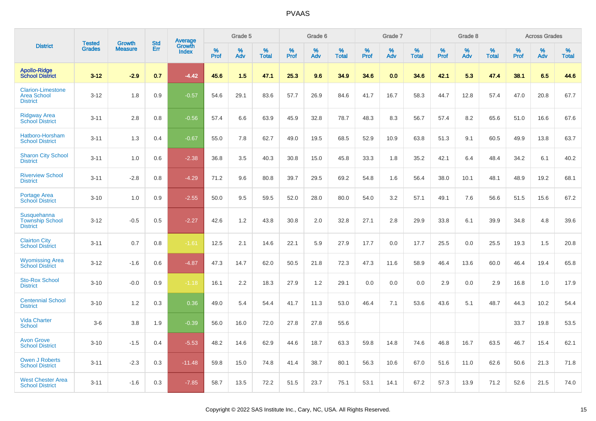|                                                                   | <b>Tested</b> | <b>Growth</b>  | <b>Std</b> | Average                |              | Grade 5  |                   |           | Grade 6  |                   |              | Grade 7  |                   |              | Grade 8  |                   |              | <b>Across Grades</b> |                   |
|-------------------------------------------------------------------|---------------|----------------|------------|------------------------|--------------|----------|-------------------|-----------|----------|-------------------|--------------|----------|-------------------|--------------|----------|-------------------|--------------|----------------------|-------------------|
| <b>District</b>                                                   | <b>Grades</b> | <b>Measure</b> | Err        | Growth<br><b>Index</b> | $\%$<br>Prof | %<br>Adv | %<br><b>Total</b> | %<br>Prof | %<br>Adv | %<br><b>Total</b> | $\%$<br>Prof | %<br>Adv | %<br><b>Total</b> | $\%$<br>Prof | %<br>Adv | %<br><b>Total</b> | $\%$<br>Prof | %<br>Adv             | %<br><b>Total</b> |
| <b>Apollo-Ridge</b><br><b>School District</b>                     | $3 - 12$      | $-2.9$         | 0.7        | $-4.42$                | 45.6         | 1.5      | 47.1              | 25.3      | 9.6      | 34.9              | 34.6         | 0.0      | 34.6              | 42.1         | 5.3      | 47.4              | 38.1         | 6.5                  | 44.6              |
| <b>Clarion-Limestone</b><br><b>Area School</b><br><b>District</b> | $3 - 12$      | 1.8            | 0.9        | $-0.57$                | 54.6         | 29.1     | 83.6              | 57.7      | 26.9     | 84.6              | 41.7         | 16.7     | 58.3              | 44.7         | 12.8     | 57.4              | 47.0         | 20.8                 | 67.7              |
| <b>Ridgway Area</b><br><b>School District</b>                     | $3 - 11$      | 2.8            | 0.8        | $-0.56$                | 57.4         | 6.6      | 63.9              | 45.9      | 32.8     | 78.7              | 48.3         | 8.3      | 56.7              | 57.4         | 8.2      | 65.6              | 51.0         | 16.6                 | 67.6              |
| Hatboro-Horsham<br><b>School District</b>                         | $3 - 11$      | 1.3            | 0.4        | $-0.67$                | 55.0         | 7.8      | 62.7              | 49.0      | 19.5     | 68.5              | 52.9         | 10.9     | 63.8              | 51.3         | 9.1      | 60.5              | 49.9         | 13.8                 | 63.7              |
| <b>Sharon City School</b><br><b>District</b>                      | $3 - 11$      | 1.0            | 0.6        | $-2.38$                | 36.8         | 3.5      | 40.3              | 30.8      | 15.0     | 45.8              | 33.3         | 1.8      | 35.2              | 42.1         | 6.4      | 48.4              | 34.2         | 6.1                  | 40.2              |
| <b>Riverview School</b><br><b>District</b>                        | $3 - 11$      | $-2.8$         | 0.8        | $-4.29$                | 71.2         | 9.6      | 80.8              | 39.7      | 29.5     | 69.2              | 54.8         | 1.6      | 56.4              | 38.0         | 10.1     | 48.1              | 48.9         | 19.2                 | 68.1              |
| <b>Portage Area</b><br><b>School District</b>                     | $3 - 10$      | 1.0            | 0.9        | $-2.55$                | 50.0         | 9.5      | 59.5              | 52.0      | 28.0     | 80.0              | 54.0         | 3.2      | 57.1              | 49.1         | 7.6      | 56.6              | 51.5         | 15.6                 | 67.2              |
| Susquehanna<br><b>Township School</b><br><b>District</b>          | $3 - 12$      | $-0.5$         | 0.5        | $-2.27$                | 42.6         | 1.2      | 43.8              | 30.8      | 2.0      | 32.8              | 27.1         | 2.8      | 29.9              | 33.8         | 6.1      | 39.9              | 34.8         | 4.8                  | 39.6              |
| <b>Clairton City</b><br><b>School District</b>                    | $3 - 11$      | 0.7            | 0.8        | $-1.61$                | 12.5         | 2.1      | 14.6              | 22.1      | 5.9      | 27.9              | 17.7         | 0.0      | 17.7              | 25.5         | 0.0      | 25.5              | 19.3         | 1.5                  | 20.8              |
| <b>Wyomissing Area</b><br><b>School District</b>                  | $3 - 12$      | $-1.6$         | 0.6        | $-4.87$                | 47.3         | 14.7     | 62.0              | 50.5      | 21.8     | 72.3              | 47.3         | 11.6     | 58.9              | 46.4         | 13.6     | 60.0              | 46.4         | 19.4                 | 65.8              |
| <b>Sto-Rox School</b><br><b>District</b>                          | $3 - 10$      | $-0.0$         | 0.9        | $-1.18$                | 16.1         | 2.2      | 18.3              | 27.9      | 1.2      | 29.1              | 0.0          | 0.0      | 0.0               | 2.9          | 0.0      | 2.9               | 16.8         | 1.0                  | 17.9              |
| <b>Centennial School</b><br><b>District</b>                       | $3 - 10$      | 1.2            | 0.3        | 0.36                   | 49.0         | 5.4      | 54.4              | 41.7      | 11.3     | 53.0              | 46.4         | 7.1      | 53.6              | 43.6         | 5.1      | 48.7              | 44.3         | 10.2                 | 54.4              |
| <b>Vida Charter</b><br><b>School</b>                              | $3-6$         | 3.8            | 1.9        | $-0.39$                | 56.0         | 16.0     | 72.0              | 27.8      | 27.8     | 55.6              |              |          |                   |              |          |                   | 33.7         | 19.8                 | 53.5              |
| <b>Avon Grove</b><br><b>School District</b>                       | $3 - 10$      | $-1.5$         | 0.4        | $-5.53$                | 48.2         | 14.6     | 62.9              | 44.6      | 18.7     | 63.3              | 59.8         | 14.8     | 74.6              | 46.8         | 16.7     | 63.5              | 46.7         | 15.4                 | 62.1              |
| <b>Owen J Roberts</b><br><b>School District</b>                   | $3 - 11$      | $-2.3$         | 0.3        | $-11.48$               | 59.8         | 15.0     | 74.8              | 41.4      | 38.7     | 80.1              | 56.3         | 10.6     | 67.0              | 51.6         | 11.0     | 62.6              | 50.6         | 21.3                 | 71.8              |
| <b>West Chester Area</b><br><b>School District</b>                | $3 - 11$      | $-1.6$         | 0.3        | $-7.85$                | 58.7         | 13.5     | 72.2              | 51.5      | 23.7     | 75.1              | 53.1         | 14.1     | 67.2              | 57.3         | 13.9     | 71.2              | 52.6         | 21.5                 | 74.0              |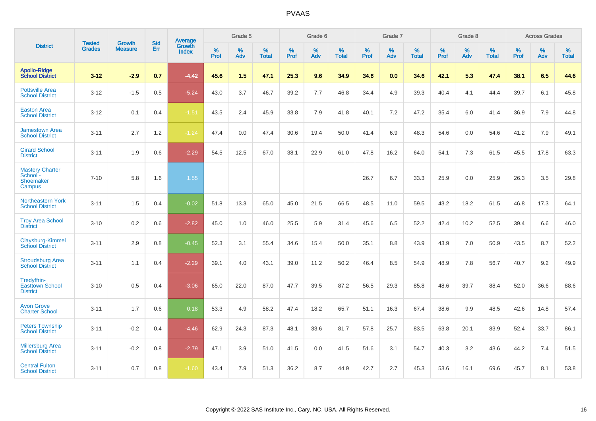|                                                           | <b>Tested</b> | <b>Growth</b>  | <b>Std</b> | <b>Average</b>         |           | Grade 5  |                   |           | Grade 6  |                   |           | Grade 7  |                   |           | Grade 8  |                   |           | <b>Across Grades</b> |                   |
|-----------------------------------------------------------|---------------|----------------|------------|------------------------|-----------|----------|-------------------|-----------|----------|-------------------|-----------|----------|-------------------|-----------|----------|-------------------|-----------|----------------------|-------------------|
| <b>District</b>                                           | <b>Grades</b> | <b>Measure</b> | Err        | Growth<br><b>Index</b> | %<br>Prof | %<br>Adv | %<br><b>Total</b> | %<br>Prof | %<br>Adv | %<br><b>Total</b> | %<br>Prof | %<br>Adv | %<br><b>Total</b> | %<br>Prof | %<br>Adv | %<br><b>Total</b> | %<br>Prof | %<br>Adv             | %<br><b>Total</b> |
| <b>Apollo-Ridge</b><br><b>School District</b>             | $3 - 12$      | $-2.9$         | 0.7        | $-4.42$                | 45.6      | 1.5      | 47.1              | 25.3      | 9.6      | 34.9              | 34.6      | 0.0      | 34.6              | 42.1      | 5.3      | 47.4              | 38.1      | 6.5                  | 44.6              |
| <b>Pottsville Area</b><br><b>School District</b>          | $3 - 12$      | $-1.5$         | 0.5        | $-5.24$                | 43.0      | 3.7      | 46.7              | 39.2      | 7.7      | 46.8              | 34.4      | 4.9      | 39.3              | 40.4      | 4.1      | 44.4              | 39.7      | 6.1                  | 45.8              |
| <b>Easton Area</b><br><b>School District</b>              | $3 - 12$      | 0.1            | 0.4        | $-1.51$                | 43.5      | 2.4      | 45.9              | 33.8      | 7.9      | 41.8              | 40.1      | 7.2      | 47.2              | 35.4      | 6.0      | 41.4              | 36.9      | 7.9                  | 44.8              |
| <b>Jamestown Area</b><br><b>School District</b>           | $3 - 11$      | 2.7            | 1.2        | $-1.24$                | 47.4      | 0.0      | 47.4              | 30.6      | 19.4     | 50.0              | 41.4      | 6.9      | 48.3              | 54.6      | 0.0      | 54.6              | 41.2      | 7.9                  | 49.1              |
| <b>Girard School</b><br><b>District</b>                   | $3 - 11$      | 1.9            | 0.6        | $-2.29$                | 54.5      | 12.5     | 67.0              | 38.1      | 22.9     | 61.0              | 47.8      | 16.2     | 64.0              | 54.1      | 7.3      | 61.5              | 45.5      | 17.8                 | 63.3              |
| <b>Mastery Charter</b><br>School -<br>Shoemaker<br>Campus | $7 - 10$      | 5.8            | 1.6        | 1.55                   |           |          |                   |           |          |                   | 26.7      | 6.7      | 33.3              | 25.9      | 0.0      | 25.9              | 26.3      | 3.5                  | 29.8              |
| Northeastern York<br><b>School District</b>               | $3 - 11$      | 1.5            | 0.4        | $-0.02$                | 51.8      | 13.3     | 65.0              | 45.0      | 21.5     | 66.5              | 48.5      | 11.0     | 59.5              | 43.2      | 18.2     | 61.5              | 46.8      | 17.3                 | 64.1              |
| <b>Troy Area School</b><br><b>District</b>                | $3 - 10$      | 0.2            | 0.6        | $-2.82$                | 45.0      | 1.0      | 46.0              | 25.5      | 5.9      | 31.4              | 45.6      | 6.5      | 52.2              | 42.4      | 10.2     | 52.5              | 39.4      | 6.6                  | 46.0              |
| Claysburg-Kimmel<br><b>School District</b>                | $3 - 11$      | 2.9            | 0.8        | $-0.45$                | 52.3      | 3.1      | 55.4              | 34.6      | 15.4     | 50.0              | 35.1      | 8.8      | 43.9              | 43.9      | 7.0      | 50.9              | 43.5      | 8.7                  | 52.2              |
| <b>Stroudsburg Area</b><br><b>School District</b>         | $3 - 11$      | 1.1            | 0.4        | $-2.29$                | 39.1      | 4.0      | 43.1              | 39.0      | 11.2     | 50.2              | 46.4      | 8.5      | 54.9              | 48.9      | 7.8      | 56.7              | 40.7      | 9.2                  | 49.9              |
| Tredyffrin-<br><b>Easttown School</b><br><b>District</b>  | $3 - 10$      | 0.5            | 0.4        | $-3.06$                | 65.0      | 22.0     | 87.0              | 47.7      | 39.5     | 87.2              | 56.5      | 29.3     | 85.8              | 48.6      | 39.7     | 88.4              | 52.0      | 36.6                 | 88.6              |
| <b>Avon Grove</b><br><b>Charter School</b>                | $3 - 11$      | 1.7            | 0.6        | 0.18                   | 53.3      | 4.9      | 58.2              | 47.4      | 18.2     | 65.7              | 51.1      | 16.3     | 67.4              | 38.6      | 9.9      | 48.5              | 42.6      | 14.8                 | 57.4              |
| <b>Peters Township</b><br><b>School District</b>          | $3 - 11$      | $-0.2$         | 0.4        | $-4.46$                | 62.9      | 24.3     | 87.3              | 48.1      | 33.6     | 81.7              | 57.8      | 25.7     | 83.5              | 63.8      | 20.1     | 83.9              | 52.4      | 33.7                 | 86.1              |
| <b>Millersburg Area</b><br><b>School District</b>         | $3 - 11$      | $-0.2$         | 0.8        | $-2.79$                | 47.1      | 3.9      | 51.0              | 41.5      | 0.0      | 41.5              | 51.6      | 3.1      | 54.7              | 40.3      | 3.2      | 43.6              | 44.2      | 7.4                  | 51.5              |
| <b>Central Fulton</b><br><b>School District</b>           | $3 - 11$      | 0.7            | 0.8        | $-1.60$                | 43.4      | 7.9      | 51.3              | 36.2      | 8.7      | 44.9              | 42.7      | 2.7      | 45.3              | 53.6      | 16.1     | 69.6              | 45.7      | 8.1                  | 53.8              |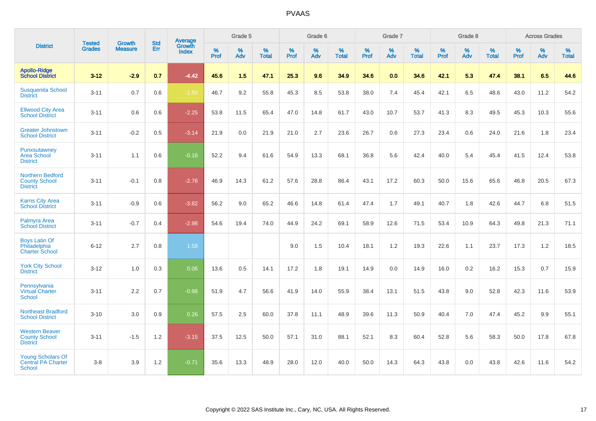|                                                                    |                                |                                 | <b>Std</b> | <b>Average</b>         |           | Grade 5  |                   |           | Grade 6  |                   |           | Grade 7  |                   |           | Grade 8  |                   |           | <b>Across Grades</b> |                   |
|--------------------------------------------------------------------|--------------------------------|---------------------------------|------------|------------------------|-----------|----------|-------------------|-----------|----------|-------------------|-----------|----------|-------------------|-----------|----------|-------------------|-----------|----------------------|-------------------|
| <b>District</b>                                                    | <b>Tested</b><br><b>Grades</b> | <b>Growth</b><br><b>Measure</b> | Err        | Growth<br><b>Index</b> | %<br>Prof | %<br>Adv | %<br><b>Total</b> | %<br>Prof | %<br>Adv | %<br><b>Total</b> | %<br>Prof | %<br>Adv | %<br><b>Total</b> | %<br>Prof | %<br>Adv | %<br><b>Total</b> | %<br>Prof | %<br>Adv             | %<br><b>Total</b> |
| <b>Apollo-Ridge</b><br><b>School District</b>                      | $3 - 12$                       | $-2.9$                          | 0.7        | $-4.42$                | 45.6      | 1.5      | 47.1              | 25.3      | 9.6      | 34.9              | 34.6      | 0.0      | 34.6              | 42.1      | 5.3      | 47.4              | 38.1      | 6.5                  | 44.6              |
| <b>Susquenita School</b><br><b>District</b>                        | $3 - 11$                       | 0.7                             | 0.6        | $-1.50$                | 46.7      | 9.2      | 55.8              | 45.3      | 8.5      | 53.8              | 38.0      | 7.4      | 45.4              | 42.1      | 6.5      | 48.6              | 43.0      | 11.2                 | 54.2              |
| <b>Ellwood City Area</b><br><b>School District</b>                 | $3 - 11$                       | 0.6                             | 0.6        | $-2.25$                | 53.8      | 11.5     | 65.4              | 47.0      | 14.8     | 61.7              | 43.0      | 10.7     | 53.7              | 41.3      | 8.3      | 49.5              | 45.3      | 10.3                 | 55.6              |
| <b>Greater Johnstown</b><br><b>School District</b>                 | $3 - 11$                       | $-0.2$                          | 0.5        | $-3.14$                | 21.9      | 0.0      | 21.9              | 21.0      | 2.7      | 23.6              | 26.7      | 0.6      | 27.3              | 23.4      | 0.6      | 24.0              | 21.6      | 1.8                  | 23.4              |
| Punxsutawney<br><b>Area School</b><br><b>District</b>              | $3 - 11$                       | 1.1                             | 0.6        | $-0.16$                | 52.2      | 9.4      | 61.6              | 54.9      | 13.3     | 68.1              | 36.8      | 5.6      | 42.4              | 40.0      | 5.4      | 45.4              | 41.5      | 12.4                 | 53.8              |
| <b>Northern Bedford</b><br><b>County School</b><br><b>District</b> | $3 - 11$                       | $-0.1$                          | 0.8        | $-2.76$                | 46.9      | 14.3     | 61.2              | 57.6      | 28.8     | 86.4              | 43.1      | 17.2     | 60.3              | 50.0      | 15.6     | 65.6              | 46.8      | 20.5                 | 67.3              |
| <b>Karns City Area</b><br><b>School District</b>                   | $3 - 11$                       | $-0.9$                          | 0.6        | $-3.82$                | 56.2      | 9.0      | 65.2              | 46.6      | 14.8     | 61.4              | 47.4      | 1.7      | 49.1              | 40.7      | 1.8      | 42.6              | 44.7      | 6.8                  | 51.5              |
| Palmyra Area<br><b>School District</b>                             | $3 - 11$                       | $-0.7$                          | 0.4        | $-2.98$                | 54.6      | 19.4     | 74.0              | 44.9      | 24.2     | 69.1              | 58.9      | 12.6     | 71.5              | 53.4      | 10.9     | 64.3              | 49.8      | 21.3                 | 71.1              |
| <b>Boys Latin Of</b><br>Philadelphia<br><b>Charter School</b>      | $6 - 12$                       | 2.7                             | 0.8        | 1.58                   |           |          |                   | 9.0       | 1.5      | 10.4              | 18.1      | 1.2      | 19.3              | 22.6      | 1.1      | 23.7              | 17.3      | 1.2                  | 18.5              |
| <b>York City School</b><br><b>District</b>                         | $3 - 12$                       | 1.0                             | 0.3        | 0.06                   | 13.6      | 0.5      | 14.1              | 17.2      | 1.8      | 19.1              | 14.9      | 0.0      | 14.9              | 16.0      | 0.2      | 16.2              | 15.3      | 0.7                  | 15.9              |
| Pennsylvania<br>Virtual Charter<br><b>School</b>                   | $3 - 11$                       | 2.2                             | 0.7        | $-0.98$                | 51.9      | 4.7      | 56.6              | 41.9      | 14.0     | 55.9              | 38.4      | 13.1     | 51.5              | 43.8      | 9.0      | 52.8              | 42.3      | 11.6                 | 53.9              |
| <b>Northeast Bradford</b><br><b>School District</b>                | $3 - 10$                       | 3.0                             | 0.9        | 0.26                   | 57.5      | 2.5      | 60.0              | 37.8      | 11.1     | 48.9              | 39.6      | 11.3     | 50.9              | 40.4      | 7.0      | 47.4              | 45.2      | 9.9                  | 55.1              |
| <b>Western Beaver</b><br><b>County School</b><br><b>District</b>   | $3 - 11$                       | $-1.5$                          | 1.2        | $-3.15$                | 37.5      | 12.5     | 50.0              | 57.1      | 31.0     | 88.1              | 52.1      | 8.3      | 60.4              | 52.8      | 5.6      | 58.3              | 50.0      | 17.8                 | 67.8              |
| <b>Young Scholars Of</b><br><b>Central PA Charter</b><br>School    | $3 - 8$                        | 3.9                             | 1.2        | $-0.71$                | 35.6      | 13.3     | 48.9              | 28.0      | 12.0     | 40.0              | 50.0      | 14.3     | 64.3              | 43.8      | 0.0      | 43.8              | 42.6      | 11.6                 | 54.2              |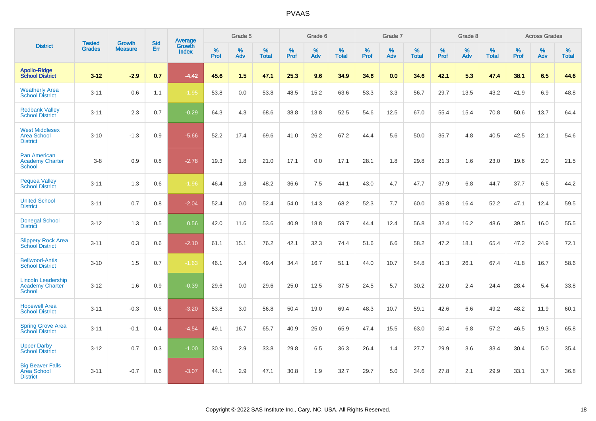|                                                                      |                                |                          | <b>Std</b> | Average         |           | Grade 5  |                   |           | Grade 6  |                   |           | Grade 7  |                   |           | Grade 8  |                   |              | <b>Across Grades</b> |                   |
|----------------------------------------------------------------------|--------------------------------|--------------------------|------------|-----------------|-----------|----------|-------------------|-----------|----------|-------------------|-----------|----------|-------------------|-----------|----------|-------------------|--------------|----------------------|-------------------|
| <b>District</b>                                                      | <b>Tested</b><br><b>Grades</b> | Growth<br><b>Measure</b> | Err        | Growth<br>Index | %<br>Prof | %<br>Adv | %<br><b>Total</b> | %<br>Prof | %<br>Adv | %<br><b>Total</b> | %<br>Prof | %<br>Adv | %<br><b>Total</b> | %<br>Prof | %<br>Adv | %<br><b>Total</b> | $\%$<br>Prof | %<br>Adv             | %<br><b>Total</b> |
| <b>Apollo-Ridge</b><br><b>School District</b>                        | $3 - 12$                       | $-2.9$                   | 0.7        | $-4.42$         | 45.6      | 1.5      | 47.1              | 25.3      | 9.6      | 34.9              | 34.6      | 0.0      | 34.6              | 42.1      | 5.3      | 47.4              | 38.1         | 6.5                  | 44.6              |
| <b>Weatherly Area</b><br><b>School District</b>                      | $3 - 11$                       | 0.6                      | 1.1        | $-1.95$         | 53.8      | 0.0      | 53.8              | 48.5      | 15.2     | 63.6              | 53.3      | 3.3      | 56.7              | 29.7      | 13.5     | 43.2              | 41.9         | 6.9                  | 48.8              |
| <b>Redbank Valley</b><br><b>School District</b>                      | $3 - 11$                       | 2.3                      | 0.7        | $-0.29$         | 64.3      | 4.3      | 68.6              | 38.8      | 13.8     | 52.5              | 54.6      | 12.5     | 67.0              | 55.4      | 15.4     | 70.8              | 50.6         | 13.7                 | 64.4              |
| <b>West Middlesex</b><br><b>Area School</b><br><b>District</b>       | $3 - 10$                       | $-1.3$                   | 0.9        | $-5.66$         | 52.2      | 17.4     | 69.6              | 41.0      | 26.2     | 67.2              | 44.4      | 5.6      | 50.0              | 35.7      | 4.8      | 40.5              | 42.5         | 12.1                 | 54.6              |
| <b>Pan American</b><br><b>Academy Charter</b><br><b>School</b>       | $3 - 8$                        | 0.9                      | 0.8        | $-2.78$         | 19.3      | 1.8      | 21.0              | 17.1      | 0.0      | 17.1              | 28.1      | 1.8      | 29.8              | 21.3      | 1.6      | 23.0              | 19.6         | 2.0                  | 21.5              |
| <b>Pequea Valley</b><br><b>School District</b>                       | $3 - 11$                       | 1.3                      | 0.6        | $-1.96$         | 46.4      | 1.8      | 48.2              | 36.6      | 7.5      | 44.1              | 43.0      | 4.7      | 47.7              | 37.9      | 6.8      | 44.7              | 37.7         | 6.5                  | 44.2              |
| <b>United School</b><br><b>District</b>                              | $3 - 11$                       | 0.7                      | 0.8        | $-2.04$         | 52.4      | 0.0      | 52.4              | 54.0      | 14.3     | 68.2              | 52.3      | 7.7      | 60.0              | 35.8      | 16.4     | 52.2              | 47.1         | 12.4                 | 59.5              |
| <b>Donegal School</b><br><b>District</b>                             | $3 - 12$                       | 1.3                      | 0.5        | 0.56            | 42.0      | 11.6     | 53.6              | 40.9      | 18.8     | 59.7              | 44.4      | 12.4     | 56.8              | 32.4      | 16.2     | 48.6              | 39.5         | 16.0                 | 55.5              |
| <b>Slippery Rock Area</b><br><b>School District</b>                  | $3 - 11$                       | 0.3                      | 0.6        | $-2.10$         | 61.1      | 15.1     | 76.2              | 42.1      | 32.3     | 74.4              | 51.6      | 6.6      | 58.2              | 47.2      | 18.1     | 65.4              | 47.2         | 24.9                 | 72.1              |
| <b>Bellwood-Antis</b><br><b>School District</b>                      | $3 - 10$                       | 1.5                      | 0.7        | $-1.63$         | 46.1      | 3.4      | 49.4              | 34.4      | 16.7     | 51.1              | 44.0      | 10.7     | 54.8              | 41.3      | 26.1     | 67.4              | 41.8         | 16.7                 | 58.6              |
| <b>Lincoln Leadership</b><br><b>Academy Charter</b><br><b>School</b> | $3 - 12$                       | 1.6                      | 0.9        | $-0.39$         | 29.6      | 0.0      | 29.6              | 25.0      | 12.5     | 37.5              | 24.5      | 5.7      | 30.2              | 22.0      | 2.4      | 24.4              | 28.4         | 5.4                  | 33.8              |
| <b>Hopewell Area</b><br><b>School District</b>                       | $3 - 11$                       | $-0.3$                   | 0.6        | $-3.20$         | 53.8      | 3.0      | 56.8              | 50.4      | 19.0     | 69.4              | 48.3      | 10.7     | 59.1              | 42.6      | 6.6      | 49.2              | 48.2         | 11.9                 | 60.1              |
| <b>Spring Grove Area</b><br><b>School District</b>                   | $3 - 11$                       | $-0.1$                   | 0.4        | $-4.54$         | 49.1      | 16.7     | 65.7              | 40.9      | 25.0     | 65.9              | 47.4      | 15.5     | 63.0              | 50.4      | 6.8      | 57.2              | 46.5         | 19.3                 | 65.8              |
| <b>Upper Darby</b><br><b>School District</b>                         | $3 - 12$                       | 0.7                      | 0.3        | $-1.00$         | 30.9      | 2.9      | 33.8              | 29.8      | 6.5      | 36.3              | 26.4      | 1.4      | 27.7              | 29.9      | 3.6      | 33.4              | 30.4         | 5.0                  | 35.4              |
| <b>Big Beaver Falls</b><br>Area School<br><b>District</b>            | $3 - 11$                       | $-0.7$                   | 0.6        | $-3.07$         | 44.1      | 2.9      | 47.1              | 30.8      | 1.9      | 32.7              | 29.7      | 5.0      | 34.6              | 27.8      | 2.1      | 29.9              | 33.1         | 3.7                  | 36.8              |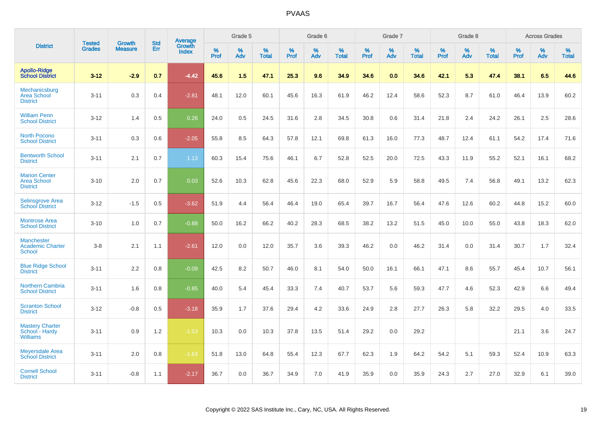|                                                               |                                | <b>Growth</b>  | <b>Std</b> |                                   |              | Grade 5  |                   |           | Grade 6  |                   |              | Grade 7  |                   |              | Grade 8  |                   |              | <b>Across Grades</b> |                   |
|---------------------------------------------------------------|--------------------------------|----------------|------------|-----------------------------------|--------------|----------|-------------------|-----------|----------|-------------------|--------------|----------|-------------------|--------------|----------|-------------------|--------------|----------------------|-------------------|
| <b>District</b>                                               | <b>Tested</b><br><b>Grades</b> | <b>Measure</b> | <b>Err</b> | <b>Average</b><br>Growth<br>Index | $\%$<br>Prof | %<br>Adv | %<br><b>Total</b> | %<br>Prof | %<br>Adv | %<br><b>Total</b> | $\%$<br>Prof | %<br>Adv | %<br><b>Total</b> | $\%$<br>Prof | %<br>Adv | %<br><b>Total</b> | $\%$<br>Prof | %<br>Adv             | %<br><b>Total</b> |
| <b>Apollo-Ridge</b><br><b>School District</b>                 | $3 - 12$                       | $-2.9$         | 0.7        | $-4.42$                           | 45.6         | 1.5      | 47.1              | 25.3      | 9.6      | 34.9              | 34.6         | 0.0      | 34.6              | 42.1         | 5.3      | 47.4              | 38.1         | 6.5                  | 44.6              |
| Mechanicsburg<br><b>Area School</b><br><b>District</b>        | $3 - 11$                       | 0.3            | 0.4        | $-2.81$                           | 48.1         | 12.0     | 60.1              | 45.6      | 16.3     | 61.9              | 46.2         | 12.4     | 58.6              | 52.3         | 8.7      | 61.0              | 46.4         | 13.9                 | 60.2              |
| <b>William Penn</b><br><b>School District</b>                 | $3 - 12$                       | 1.4            | 0.5        | 0.26                              | 24.0         | 0.5      | 24.5              | 31.6      | 2.8      | 34.5              | 30.8         | 0.6      | 31.4              | 21.8         | 2.4      | 24.2              | 26.1         | 2.5                  | 28.6              |
| <b>North Pocono</b><br><b>School District</b>                 | $3 - 11$                       | 0.3            | 0.6        | $-2.05$                           | 55.8         | 8.5      | 64.3              | 57.8      | 12.1     | 69.8              | 61.3         | 16.0     | 77.3              | 48.7         | 12.4     | 61.1              | 54.2         | 17.4                 | 71.6              |
| <b>Bentworth School</b><br><b>District</b>                    | $3 - 11$                       | 2.1            | 0.7        | 1.13                              | 60.3         | 15.4     | 75.6              | 46.1      | 6.7      | 52.8              | 52.5         | 20.0     | 72.5              | 43.3         | 11.9     | 55.2              | 52.1         | 16.1                 | 68.2              |
| <b>Marion Center</b><br><b>Area School</b><br><b>District</b> | $3 - 10$                       | 2.0            | 0.7        | 0.03                              | 52.6         | 10.3     | 62.8              | 45.6      | 22.3     | 68.0              | 52.9         | 5.9      | 58.8              | 49.5         | 7.4      | 56.8              | 49.1         | 13.2                 | 62.3              |
| Selinsgrove Area<br><b>School District</b>                    | $3 - 12$                       | $-1.5$         | 0.5        | $-3.62$                           | 51.9         | 4.4      | 56.4              | 46.4      | 19.0     | 65.4              | 39.7         | 16.7     | 56.4              | 47.6         | 12.6     | 60.2              | 44.8         | 15.2                 | 60.0              |
| <b>Montrose Area</b><br><b>School District</b>                | $3 - 10$                       | 1.0            | 0.7        | $-0.88$                           | 50.0         | 16.2     | 66.2              | 40.2      | 28.3     | 68.5              | 38.2         | 13.2     | 51.5              | 45.0         | 10.0     | 55.0              | 43.8         | 18.3                 | 62.0              |
| <b>Manchester</b><br><b>Academic Charter</b><br>School        | $3 - 8$                        | 2.1            | 1.1        | $-2.61$                           | 12.0         | 0.0      | 12.0              | 35.7      | 3.6      | 39.3              | 46.2         | 0.0      | 46.2              | 31.4         | 0.0      | 31.4              | 30.7         | 1.7                  | 32.4              |
| <b>Blue Ridge School</b><br><b>District</b>                   | $3 - 11$                       | 2.2            | 0.8        | $-0.09$                           | 42.5         | 8.2      | 50.7              | 46.0      | 8.1      | 54.0              | 50.0         | 16.1     | 66.1              | 47.1         | 8.6      | 55.7              | 45.4         | 10.7                 | 56.1              |
| <b>Northern Cambria</b><br><b>School District</b>             | $3 - 11$                       | 1.6            | 0.8        | $-0.85$                           | 40.0         | 5.4      | 45.4              | 33.3      | 7.4      | 40.7              | 53.7         | 5.6      | 59.3              | 47.7         | 4.6      | 52.3              | 42.9         | 6.6                  | 49.4              |
| <b>Scranton School</b><br><b>District</b>                     | $3 - 12$                       | $-0.8$         | 0.5        | $-3.18$                           | 35.9         | 1.7      | 37.6              | 29.4      | 4.2      | 33.6              | 24.9         | 2.8      | 27.7              | 26.3         | 5.8      | 32.2              | 29.5         | 4.0                  | 33.5              |
| <b>Mastery Charter</b><br>School - Hardy<br><b>Williams</b>   | $3 - 11$                       | 0.9            | 1.2        | $-1.53$                           | 10.3         | 0.0      | 10.3              | 37.8      | 13.5     | 51.4              | 29.2         | 0.0      | 29.2              |              |          |                   | 21.1         | 3.6                  | 24.7              |
| <b>Meyersdale Area</b><br><b>School District</b>              | $3 - 11$                       | 2.0            | 0.8        | $-1.63$                           | 51.8         | 13.0     | 64.8              | 55.4      | 12.3     | 67.7              | 62.3         | 1.9      | 64.2              | 54.2         | 5.1      | 59.3              | 52.4         | 10.9                 | 63.3              |
| <b>Cornell School</b><br><b>District</b>                      | $3 - 11$                       | $-0.8$         | 1.1        | $-2.17$                           | 36.7         | 0.0      | 36.7              | 34.9      | 7.0      | 41.9              | 35.9         | 0.0      | 35.9              | 24.3         | 2.7      | 27.0              | 32.9         | 6.1                  | 39.0              |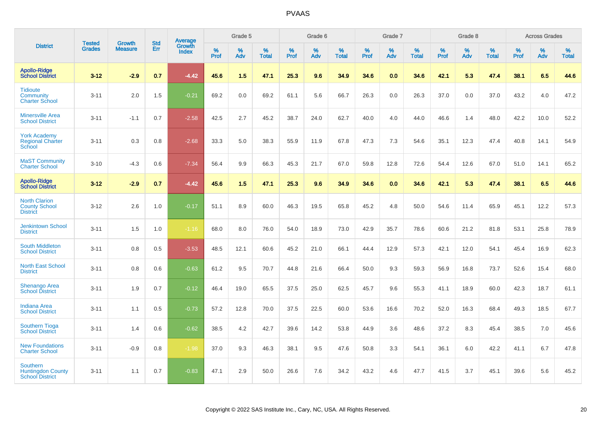|                                                                       |                                |                                 | <b>Std</b> | <b>Average</b>                |           | Grade 5  |                   |           | Grade 6  |                   |           | Grade 7  |                   |           | Grade 8  |                   |           | <b>Across Grades</b> |                   |
|-----------------------------------------------------------------------|--------------------------------|---------------------------------|------------|-------------------------------|-----------|----------|-------------------|-----------|----------|-------------------|-----------|----------|-------------------|-----------|----------|-------------------|-----------|----------------------|-------------------|
| <b>District</b>                                                       | <b>Tested</b><br><b>Grades</b> | <b>Growth</b><br><b>Measure</b> | Err        | <b>Growth</b><br><b>Index</b> | %<br>Prof | %<br>Adv | %<br><b>Total</b> | %<br>Prof | %<br>Adv | %<br><b>Total</b> | %<br>Prof | %<br>Adv | %<br><b>Total</b> | %<br>Prof | %<br>Adv | %<br><b>Total</b> | %<br>Prof | %<br>Adv             | %<br><b>Total</b> |
| <b>Apollo-Ridge</b><br><b>School District</b>                         | $3 - 12$                       | $-2.9$                          | 0.7        | $-4.42$                       | 45.6      | 1.5      | 47.1              | 25.3      | 9.6      | 34.9              | 34.6      | 0.0      | 34.6              | 42.1      | 5.3      | 47.4              | 38.1      | 6.5                  | 44.6              |
| <b>Tidioute</b><br>Community<br><b>Charter School</b>                 | $3 - 11$                       | 2.0                             | 1.5        | $-0.21$                       | 69.2      | 0.0      | 69.2              | 61.1      | 5.6      | 66.7              | 26.3      | 0.0      | 26.3              | 37.0      | 0.0      | 37.0              | 43.2      | 4.0                  | 47.2              |
| <b>Minersville Area</b><br><b>School District</b>                     | $3 - 11$                       | $-1.1$                          | 0.7        | $-2.58$                       | 42.5      | 2.7      | 45.2              | 38.7      | 24.0     | 62.7              | 40.0      | 4.0      | 44.0              | 46.6      | 1.4      | 48.0              | 42.2      | 10.0                 | 52.2              |
| <b>York Academy</b><br><b>Regional Charter</b><br>School              | $3 - 11$                       | 0.3                             | 0.8        | $-2.68$                       | 33.3      | 5.0      | 38.3              | 55.9      | 11.9     | 67.8              | 47.3      | 7.3      | 54.6              | 35.1      | 12.3     | 47.4              | 40.8      | 14.1                 | 54.9              |
| <b>MaST Community</b><br><b>Charter School</b>                        | $3 - 10$                       | $-4.3$                          | 0.6        | $-7.34$                       | 56.4      | 9.9      | 66.3              | 45.3      | 21.7     | 67.0              | 59.8      | 12.8     | 72.6              | 54.4      | 12.6     | 67.0              | 51.0      | 14.1                 | 65.2              |
| <b>Apollo-Ridge</b><br><b>School District</b>                         | $3 - 12$                       | $-2.9$                          | 0.7        | $-4.42$                       | 45.6      | 1.5      | 47.1              | 25.3      | 9.6      | 34.9              | 34.6      | 0.0      | 34.6              | 42.1      | 5.3      | 47.4              | 38.1      | 6.5                  | 44.6              |
| <b>North Clarion</b><br><b>County School</b><br><b>District</b>       | $3 - 12$                       | 2.6                             | 1.0        | $-0.17$                       | 51.1      | 8.9      | 60.0              | 46.3      | 19.5     | 65.8              | 45.2      | 4.8      | 50.0              | 54.6      | 11.4     | 65.9              | 45.1      | 12.2                 | 57.3              |
| <b>Jenkintown School</b><br><b>District</b>                           | $3 - 11$                       | 1.5                             | 1.0        | $-1.16$                       | 68.0      | 8.0      | 76.0              | 54.0      | 18.9     | 73.0              | 42.9      | 35.7     | 78.6              | 60.6      | 21.2     | 81.8              | 53.1      | 25.8                 | 78.9              |
| <b>South Middleton</b><br><b>School District</b>                      | $3 - 11$                       | 0.8                             | 0.5        | $-3.53$                       | 48.5      | 12.1     | 60.6              | 45.2      | 21.0     | 66.1              | 44.4      | 12.9     | 57.3              | 42.1      | 12.0     | 54.1              | 45.4      | 16.9                 | 62.3              |
| <b>North East School</b><br><b>District</b>                           | $3 - 11$                       | 0.8                             | 0.6        | $-0.63$                       | 61.2      | 9.5      | 70.7              | 44.8      | 21.6     | 66.4              | 50.0      | 9.3      | 59.3              | 56.9      | 16.8     | 73.7              | 52.6      | 15.4                 | 68.0              |
| <b>Shenango Area</b><br><b>School District</b>                        | $3 - 11$                       | 1.9                             | 0.7        | $-0.12$                       | 46.4      | 19.0     | 65.5              | 37.5      | 25.0     | 62.5              | 45.7      | 9.6      | 55.3              | 41.1      | 18.9     | 60.0              | 42.3      | 18.7                 | 61.1              |
| <b>Indiana Area</b><br><b>School District</b>                         | $3 - 11$                       | 1.1                             | 0.5        | $-0.73$                       | 57.2      | 12.8     | 70.0              | 37.5      | 22.5     | 60.0              | 53.6      | 16.6     | 70.2              | 52.0      | 16.3     | 68.4              | 49.3      | 18.5                 | 67.7              |
| <b>Southern Tioga</b><br><b>School District</b>                       | $3 - 11$                       | 1.4                             | 0.6        | $-0.62$                       | 38.5      | 4.2      | 42.7              | 39.6      | 14.2     | 53.8              | 44.9      | 3.6      | 48.6              | 37.2      | 8.3      | 45.4              | 38.5      | 7.0                  | 45.6              |
| <b>New Foundations</b><br><b>Charter School</b>                       | $3 - 11$                       | $-0.9$                          | 0.8        | $-1.98$                       | 37.0      | 9.3      | 46.3              | 38.1      | 9.5      | 47.6              | 50.8      | 3.3      | 54.1              | 36.1      | 6.0      | 42.2              | 41.1      | 6.7                  | 47.8              |
| <b>Southern</b><br><b>Huntingdon County</b><br><b>School District</b> | $3 - 11$                       | 1.1                             | 0.7        | $-0.83$                       | 47.1      | 2.9      | 50.0              | 26.6      | 7.6      | 34.2              | 43.2      | 4.6      | 47.7              | 41.5      | 3.7      | 45.1              | 39.6      | 5.6                  | 45.2              |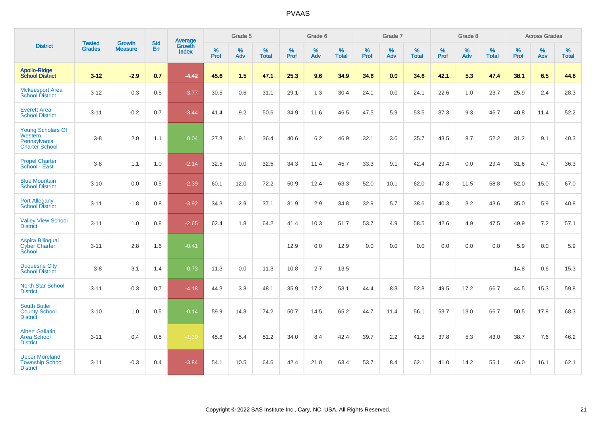|                                                                              |                                |                                 | <b>Std</b> | Average                |           | Grade 5  |                   |           | Grade 6  |                   |           | Grade 7  |                   |           | Grade 8  |                   |           | <b>Across Grades</b> |                   |
|------------------------------------------------------------------------------|--------------------------------|---------------------------------|------------|------------------------|-----------|----------|-------------------|-----------|----------|-------------------|-----------|----------|-------------------|-----------|----------|-------------------|-----------|----------------------|-------------------|
| <b>District</b>                                                              | <b>Tested</b><br><b>Grades</b> | <b>Growth</b><br><b>Measure</b> | Err        | Growth<br><b>Index</b> | %<br>Prof | %<br>Adv | %<br><b>Total</b> | %<br>Prof | %<br>Adv | %<br><b>Total</b> | %<br>Prof | %<br>Adv | %<br><b>Total</b> | %<br>Prof | %<br>Adv | %<br><b>Total</b> | %<br>Prof | %<br>Adv             | %<br><b>Total</b> |
| <b>Apollo-Ridge</b><br><b>School District</b>                                | $3 - 12$                       | $-2.9$                          | 0.7        | $-4.42$                | 45.6      | 1.5      | 47.1              | 25.3      | 9.6      | 34.9              | 34.6      | 0.0      | 34.6              | 42.1      | 5.3      | 47.4              | 38.1      | 6.5                  | 44.6              |
| <b>Mckeesport Area</b><br><b>School District</b>                             | $3 - 12$                       | 0.3                             | 0.5        | $-3.77$                | 30.5      | 0.6      | 31.1              | 29.1      | 1.3      | 30.4              | 24.1      | 0.0      | 24.1              | 22.6      | 1.0      | 23.7              | 25.9      | 2.4                  | 28.3              |
| <b>Everett Area</b><br><b>School District</b>                                | $3 - 11$                       | $-0.2$                          | 0.7        | $-3.44$                | 41.4      | 9.2      | 50.6              | 34.9      | 11.6     | 46.5              | 47.5      | 5.9      | 53.5              | 37.3      | 9.3      | 46.7              | 40.8      | 11.4                 | 52.2              |
| <b>Young Scholars Of</b><br>Western<br>Pennsylvania<br><b>Charter School</b> | $3-8$                          | 2.0                             | 1.1        | 0.04                   | 27.3      | 9.1      | 36.4              | 40.6      | 6.2      | 46.9              | 32.1      | 3.6      | 35.7              | 43.5      | 8.7      | 52.2              | 31.2      | 9.1                  | 40.3              |
| <b>Propel Charter</b><br>School - East                                       | $3-8$                          | 1.1                             | 1.0        | $-2.14$                | 32.5      | 0.0      | 32.5              | 34.3      | 11.4     | 45.7              | 33.3      | 9.1      | 42.4              | 29.4      | 0.0      | 29.4              | 31.6      | 4.7                  | 36.3              |
| <b>Blue Mountain</b><br><b>School District</b>                               | $3 - 10$                       | 0.0                             | 0.5        | $-2.39$                | 60.1      | 12.0     | 72.2              | 50.9      | 12.4     | 63.3              | 52.0      | 10.1     | 62.0              | 47.3      | 11.5     | 58.8              | 52.0      | 15.0                 | 67.0              |
| <b>Port Allegany</b><br><b>School District</b>                               | $3 - 11$                       | $-1.8$                          | 0.8        | $-3.92$                | 34.3      | 2.9      | 37.1              | 31.9      | 2.9      | 34.8              | 32.9      | 5.7      | 38.6              | 40.3      | 3.2      | 43.6              | 35.0      | 5.9                  | 40.8              |
| <b>Valley View School</b><br><b>District</b>                                 | $3 - 11$                       | 1.0                             | 0.8        | $-2.65$                | 62.4      | 1.8      | 64.2              | 41.4      | 10.3     | 51.7              | 53.7      | 4.9      | 58.5              | 42.6      | 4.9      | 47.5              | 49.9      | 7.2                  | 57.1              |
| <b>Aspira Bilingual</b><br><b>Cyber Charter</b><br>School                    | $3 - 11$                       | 2.8                             | 1.6        | $-0.41$                |           |          |                   | 12.9      | 0.0      | 12.9              | 0.0       | 0.0      | 0.0               | 0.0       | 0.0      | 0.0               | 5.9       | 0.0                  | 5.9               |
| <b>Duquesne City</b><br><b>School District</b>                               | $3-8$                          | 3.1                             | 1.4        | 0.73                   | 11.3      | 0.0      | 11.3              | 10.8      | 2.7      | 13.5              |           |          |                   |           |          |                   | 14.8      | 0.6                  | 15.3              |
| <b>North Star School</b><br><b>District</b>                                  | $3 - 11$                       | $-0.3$                          | 0.7        | $-4.18$                | 44.3      | 3.8      | 48.1              | 35.9      | 17.2     | 53.1              | 44.4      | 8.3      | 52.8              | 49.5      | 17.2     | 66.7              | 44.5      | 15.3                 | 59.8              |
| <b>South Butler</b><br><b>County School</b><br><b>District</b>               | $3 - 10$                       | 1.0                             | 0.5        | $-0.14$                | 59.9      | 14.3     | 74.2              | 50.7      | 14.5     | 65.2              | 44.7      | 11.4     | 56.1              | 53.7      | 13.0     | 66.7              | 50.5      | 17.8                 | 68.3              |
| <b>Albert Gallatin</b><br>Area School<br><b>District</b>                     | $3 - 11$                       | 0.4                             | 0.5        | $-1.30$                | 45.8      | 5.4      | 51.2              | 34.0      | 8.4      | 42.4              | 39.7      | 2.2      | 41.8              | 37.8      | 5.3      | 43.0              | 38.7      | 7.6                  | 46.2              |
| <b>Upper Moreland</b><br><b>Township School</b><br><b>District</b>           | $3 - 11$                       | $-0.3$                          | 0.4        | $-3.84$                | 54.1      | 10.5     | 64.6              | 42.4      | 21.0     | 63.4              | 53.7      | 8.4      | 62.1              | 41.0      | 14.2     | 55.1              | 46.0      | 16.1                 | 62.1              |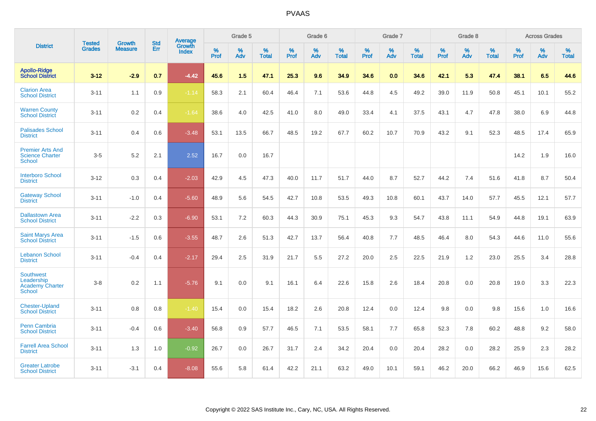|                                                                           |                                |                                 | <b>Std</b> | <b>Average</b>                |           | Grade 5  |                   |           | Grade 6  |                   |           | Grade 7  |                   |           | Grade 8  |                   |           | <b>Across Grades</b> |                   |
|---------------------------------------------------------------------------|--------------------------------|---------------------------------|------------|-------------------------------|-----------|----------|-------------------|-----------|----------|-------------------|-----------|----------|-------------------|-----------|----------|-------------------|-----------|----------------------|-------------------|
| <b>District</b>                                                           | <b>Tested</b><br><b>Grades</b> | <b>Growth</b><br><b>Measure</b> | Err        | <b>Growth</b><br><b>Index</b> | %<br>Prof | %<br>Adv | %<br><b>Total</b> | %<br>Prof | %<br>Adv | %<br><b>Total</b> | %<br>Prof | %<br>Adv | %<br><b>Total</b> | %<br>Prof | %<br>Adv | %<br><b>Total</b> | %<br>Prof | %<br>Adv             | %<br><b>Total</b> |
| <b>Apollo-Ridge</b><br><b>School District</b>                             | $3 - 12$                       | $-2.9$                          | 0.7        | $-4.42$                       | 45.6      | 1.5      | 47.1              | 25.3      | 9.6      | 34.9              | 34.6      | 0.0      | 34.6              | 42.1      | 5.3      | 47.4              | 38.1      | 6.5                  | 44.6              |
| <b>Clarion Area</b><br><b>School District</b>                             | $3 - 11$                       | 1.1                             | 0.9        | $-1.14$                       | 58.3      | 2.1      | 60.4              | 46.4      | 7.1      | 53.6              | 44.8      | 4.5      | 49.2              | 39.0      | 11.9     | 50.8              | 45.1      | 10.1                 | 55.2              |
| <b>Warren County</b><br><b>School District</b>                            | $3 - 11$                       | $0.2\,$                         | 0.4        | $-1.64$                       | 38.6      | 4.0      | 42.5              | 41.0      | 8.0      | 49.0              | 33.4      | 4.1      | 37.5              | 43.1      | 4.7      | 47.8              | 38.0      | 6.9                  | 44.8              |
| <b>Palisades School</b><br><b>District</b>                                | $3 - 11$                       | 0.4                             | 0.6        | $-3.48$                       | 53.1      | 13.5     | 66.7              | 48.5      | 19.2     | 67.7              | 60.2      | 10.7     | 70.9              | 43.2      | 9.1      | 52.3              | 48.5      | 17.4                 | 65.9              |
| <b>Premier Arts And</b><br><b>Science Charter</b><br><b>School</b>        | $3-5$                          | 5.2                             | 2.1        | 2.52                          | 16.7      | 0.0      | 16.7              |           |          |                   |           |          |                   |           |          |                   | 14.2      | 1.9                  | 16.0              |
| <b>Interboro School</b><br><b>District</b>                                | $3 - 12$                       | 0.3                             | 0.4        | $-2.03$                       | 42.9      | 4.5      | 47.3              | 40.0      | 11.7     | 51.7              | 44.0      | 8.7      | 52.7              | 44.2      | 7.4      | 51.6              | 41.8      | 8.7                  | 50.4              |
| <b>Gateway School</b><br><b>District</b>                                  | $3 - 11$                       | $-1.0$                          | 0.4        | $-5.60$                       | 48.9      | 5.6      | 54.5              | 42.7      | 10.8     | 53.5              | 49.3      | 10.8     | 60.1              | 43.7      | 14.0     | 57.7              | 45.5      | 12.1                 | 57.7              |
| <b>Dallastown Area</b><br><b>School District</b>                          | $3 - 11$                       | $-2.2$                          | 0.3        | $-6.90$                       | 53.1      | 7.2      | 60.3              | 44.3      | 30.9     | 75.1              | 45.3      | 9.3      | 54.7              | 43.8      | 11.1     | 54.9              | 44.8      | 19.1                 | 63.9              |
| <b>Saint Marys Area</b><br><b>School District</b>                         | $3 - 11$                       | $-1.5$                          | 0.6        | $-3.55$                       | 48.7      | 2.6      | 51.3              | 42.7      | 13.7     | 56.4              | 40.8      | 7.7      | 48.5              | 46.4      | 8.0      | 54.3              | 44.6      | 11.0                 | 55.6              |
| <b>Lebanon School</b><br><b>District</b>                                  | $3 - 11$                       | $-0.4$                          | 0.4        | $-2.17$                       | 29.4      | 2.5      | 31.9              | 21.7      | 5.5      | 27.2              | 20.0      | 2.5      | 22.5              | 21.9      | 1.2      | 23.0              | 25.5      | 3.4                  | 28.8              |
| <b>Southwest</b><br>Leadership<br><b>Academy Charter</b><br><b>School</b> | $3 - 8$                        | 0.2                             | 1.1        | $-5.76$                       | 9.1       | 0.0      | 9.1               | 16.1      | 6.4      | 22.6              | 15.8      | 2.6      | 18.4              | 20.8      | 0.0      | 20.8              | 19.0      | 3.3                  | 22.3              |
| <b>Chester-Upland</b><br><b>School District</b>                           | $3 - 11$                       | 0.8                             | 0.8        | $-1.40$                       | 15.4      | 0.0      | 15.4              | 18.2      | 2.6      | 20.8              | 12.4      | 0.0      | 12.4              | 9.8       | 0.0      | 9.8               | 15.6      | 1.0                  | 16.6              |
| Penn Cambria<br><b>School District</b>                                    | $3 - 11$                       | $-0.4$                          | 0.6        | $-3.40$                       | 56.8      | 0.9      | 57.7              | 46.5      | 7.1      | 53.5              | 58.1      | 7.7      | 65.8              | 52.3      | 7.8      | 60.2              | 48.8      | 9.2                  | 58.0              |
| <b>Farrell Area School</b><br><b>District</b>                             | $3 - 11$                       | 1.3                             | 1.0        | $-0.92$                       | 26.7      | 0.0      | 26.7              | 31.7      | 2.4      | 34.2              | 20.4      | 0.0      | 20.4              | 28.2      | 0.0      | 28.2              | 25.9      | 2.3                  | 28.2              |
| <b>Greater Latrobe</b><br><b>School District</b>                          | $3 - 11$                       | $-3.1$                          | 0.4        | $-8.08$                       | 55.6      | 5.8      | 61.4              | 42.2      | 21.1     | 63.2              | 49.0      | 10.1     | 59.1              | 46.2      | 20.0     | 66.2              | 46.9      | 15.6                 | 62.5              |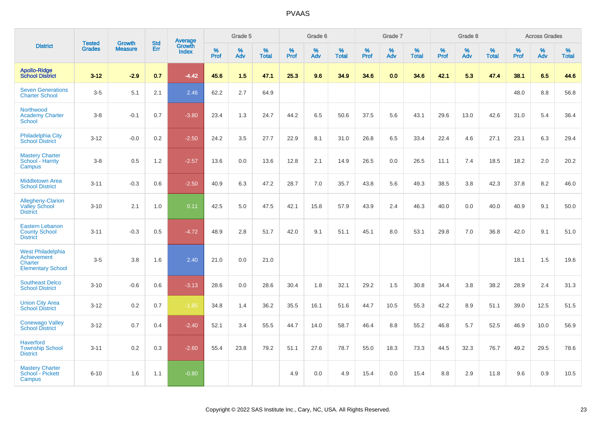|                                                                                |                                |                                 | <b>Std</b> | Average                |              | Grade 5     |                      |              | Grade 6  |                      |              | Grade 7  |                   |              | Grade 8  |                   |              | <b>Across Grades</b> |            |
|--------------------------------------------------------------------------------|--------------------------------|---------------------------------|------------|------------------------|--------------|-------------|----------------------|--------------|----------|----------------------|--------------|----------|-------------------|--------------|----------|-------------------|--------------|----------------------|------------|
| <b>District</b>                                                                | <b>Tested</b><br><b>Grades</b> | <b>Growth</b><br><b>Measure</b> | Err        | Growth<br><b>Index</b> | $\%$<br>Prof | $\%$<br>Adv | $\%$<br><b>Total</b> | $\%$<br>Prof | %<br>Adv | $\%$<br><b>Total</b> | $\%$<br>Prof | %<br>Adv | %<br><b>Total</b> | $\%$<br>Prof | %<br>Adv | %<br><b>Total</b> | $\%$<br>Prof | %<br>Adv             | %<br>Total |
| <b>Apollo-Ridge</b><br><b>School District</b>                                  | $3 - 12$                       | $-2.9$                          | 0.7        | $-4.42$                | 45.6         | 1.5         | 47.1                 | 25.3         | 9.6      | 34.9                 | 34.6         | 0.0      | 34.6              | 42.1         | 5.3      | 47.4              | 38.1         | 6.5                  | 44.6       |
| <b>Seven Generations</b><br><b>Charter School</b>                              | $3-5$                          | 5.1                             | 2.1        | 2.46                   | 62.2         | 2.7         | 64.9                 |              |          |                      |              |          |                   |              |          |                   | 48.0         | 8.8                  | 56.8       |
| Northwood<br><b>Academy Charter</b><br>School                                  | $3-8$                          | $-0.1$                          | 0.7        | $-3.80$                | 23.4         | 1.3         | 24.7                 | 44.2         | 6.5      | 50.6                 | 37.5         | 5.6      | 43.1              | 29.6         | 13.0     | 42.6              | 31.0         | 5.4                  | 36.4       |
| <b>Philadelphia City</b><br><b>School District</b>                             | $3 - 12$                       | $-0.0$                          | $0.2\,$    | $-2.50$                | 24.2         | 3.5         | 27.7                 | 22.9         | 8.1      | 31.0                 | 26.8         | 6.5      | 33.4              | 22.4         | 4.6      | 27.1              | 23.1         | 6.3                  | 29.4       |
| <b>Mastery Charter</b><br>School - Harrity<br>Campus                           | $3-8$                          | 0.5                             | 1.2        | $-2.57$                | 13.6         | 0.0         | 13.6                 | 12.8         | 2.1      | 14.9                 | 26.5         | 0.0      | 26.5              | 11.1         | 7.4      | 18.5              | 18.2         | 2.0                  | 20.2       |
| <b>Middletown Area</b><br><b>School District</b>                               | $3 - 11$                       | $-0.3$                          | 0.6        | $-2.50$                | 40.9         | 6.3         | 47.2                 | 28.7         | 7.0      | 35.7                 | 43.8         | 5.6      | 49.3              | 38.5         | 3.8      | 42.3              | 37.8         | 8.2                  | 46.0       |
| <b>Allegheny-Clarion</b><br><b>Valley School</b><br><b>District</b>            | $3 - 10$                       | 2.1                             | 1.0        | 0.11                   | 42.5         | 5.0         | 47.5                 | 42.1         | 15.8     | 57.9                 | 43.9         | 2.4      | 46.3              | 40.0         | 0.0      | 40.0              | 40.9         | 9.1                  | 50.0       |
| <b>Eastern Lebanon</b><br><b>County School</b><br><b>District</b>              | $3 - 11$                       | $-0.3$                          | 0.5        | $-4.72$                | 48.9         | 2.8         | 51.7                 | 42.0         | 9.1      | 51.1                 | 45.1         | 8.0      | 53.1              | 29.8         | 7.0      | 36.8              | 42.0         | 9.1                  | 51.0       |
| <b>West Philadelphia</b><br>Achievement<br>Charter<br><b>Elementary School</b> | $3-5$                          | 3.8                             | 1.6        | 2.40                   | 21.0         | 0.0         | 21.0                 |              |          |                      |              |          |                   |              |          |                   | 18.1         | 1.5                  | 19.6       |
| <b>Southeast Delco</b><br><b>School District</b>                               | $3 - 10$                       | $-0.6$                          | 0.6        | $-3.13$                | 28.6         | 0.0         | 28.6                 | 30.4         | 1.8      | 32.1                 | 29.2         | 1.5      | 30.8              | 34.4         | 3.8      | 38.2              | 28.9         | 2.4                  | 31.3       |
| <b>Union City Area</b><br><b>School District</b>                               | $3 - 12$                       | 0.2                             | 0.7        | $-1.85$                | 34.8         | 1.4         | 36.2                 | 35.5         | 16.1     | 51.6                 | 44.7         | 10.5     | 55.3              | 42.2         | 8.9      | 51.1              | 39.0         | 12.5                 | 51.5       |
| <b>Conewago Valley</b><br><b>School District</b>                               | $3 - 12$                       | 0.7                             | 0.4        | $-2.40$                | 52.1         | 3.4         | 55.5                 | 44.7         | 14.0     | 58.7                 | 46.4         | 8.8      | 55.2              | 46.8         | 5.7      | 52.5              | 46.9         | 10.0                 | 56.9       |
| <b>Haverford</b><br><b>Township School</b><br><b>District</b>                  | $3 - 11$                       | 0.2                             | 0.3        | $-2.60$                | 55.4         | 23.8        | 79.2                 | 51.1         | 27.6     | 78.7                 | 55.0         | 18.3     | 73.3              | 44.5         | 32.3     | 76.7              | 49.2         | 29.5                 | 78.6       |
| <b>Mastery Charter</b><br>School - Pickett<br>Campus                           | $6 - 10$                       | 1.6                             | 1.1        | $-0.80$                |              |             |                      | 4.9          | 0.0      | 4.9                  | 15.4         | 0.0      | 15.4              | 8.8          | 2.9      | 11.8              | 9.6          | 0.9                  | 10.5       |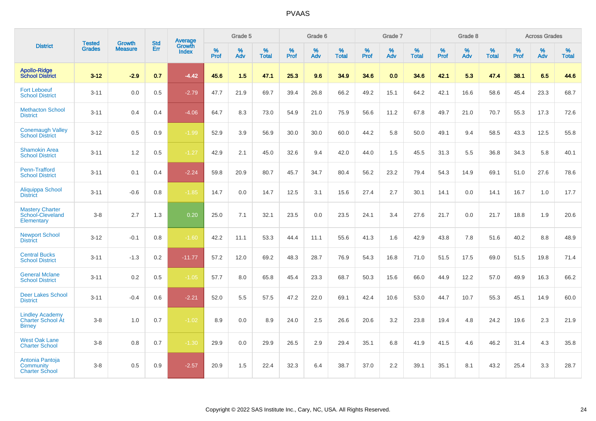|                                                                     | <b>Tested</b> | <b>Growth</b>  | <b>Std</b> | <b>Average</b>         |           | Grade 5  |                   |           | Grade 6  |                   |           | Grade 7  |                   |           | Grade 8  |                   |           | <b>Across Grades</b> |                   |
|---------------------------------------------------------------------|---------------|----------------|------------|------------------------|-----------|----------|-------------------|-----------|----------|-------------------|-----------|----------|-------------------|-----------|----------|-------------------|-----------|----------------------|-------------------|
| <b>District</b>                                                     | <b>Grades</b> | <b>Measure</b> | Err        | Growth<br><b>Index</b> | %<br>Prof | %<br>Adv | %<br><b>Total</b> | %<br>Prof | %<br>Adv | %<br><b>Total</b> | %<br>Prof | %<br>Adv | %<br><b>Total</b> | %<br>Prof | %<br>Adv | %<br><b>Total</b> | %<br>Prof | %<br>Adv             | %<br><b>Total</b> |
| <b>Apollo-Ridge</b><br><b>School District</b>                       | $3 - 12$      | $-2.9$         | 0.7        | $-4.42$                | 45.6      | 1.5      | 47.1              | 25.3      | 9.6      | 34.9              | 34.6      | 0.0      | 34.6              | 42.1      | 5.3      | 47.4              | 38.1      | 6.5                  | 44.6              |
| <b>Fort Leboeuf</b><br><b>School District</b>                       | $3 - 11$      | 0.0            | 0.5        | $-2.79$                | 47.7      | 21.9     | 69.7              | 39.4      | 26.8     | 66.2              | 49.2      | 15.1     | 64.2              | 42.1      | 16.6     | 58.6              | 45.4      | 23.3                 | 68.7              |
| <b>Methacton School</b><br><b>District</b>                          | $3 - 11$      | 0.4            | 0.4        | $-4.06$                | 64.7      | 8.3      | 73.0              | 54.9      | 21.0     | 75.9              | 56.6      | 11.2     | 67.8              | 49.7      | 21.0     | 70.7              | 55.3      | 17.3                 | 72.6              |
| <b>Conemaugh Valley</b><br><b>School District</b>                   | $3 - 12$      | 0.5            | 0.9        | $-1.99$                | 52.9      | 3.9      | 56.9              | 30.0      | 30.0     | 60.0              | 44.2      | 5.8      | 50.0              | 49.1      | 9.4      | 58.5              | 43.3      | 12.5                 | 55.8              |
| <b>Shamokin Area</b><br><b>School District</b>                      | $3 - 11$      | 1.2            | 0.5        | $-1.27$                | 42.9      | 2.1      | 45.0              | 32.6      | 9.4      | 42.0              | 44.0      | 1.5      | 45.5              | 31.3      | 5.5      | 36.8              | 34.3      | 5.8                  | 40.1              |
| Penn-Trafford<br><b>School District</b>                             | $3 - 11$      | 0.1            | 0.4        | $-2.24$                | 59.8      | 20.9     | 80.7              | 45.7      | 34.7     | 80.4              | 56.2      | 23.2     | 79.4              | 54.3      | 14.9     | 69.1              | 51.0      | 27.6                 | 78.6              |
| Aliquippa School<br><b>District</b>                                 | $3 - 11$      | $-0.6$         | 0.8        | $-1.85$                | 14.7      | 0.0      | 14.7              | 12.5      | 3.1      | 15.6              | 27.4      | 2.7      | 30.1              | 14.1      | 0.0      | 14.1              | 16.7      | 1.0                  | 17.7              |
| <b>Mastery Charter</b><br>School-Cleveland<br>Elementary            | $3-8$         | 2.7            | 1.3        | 0.20                   | 25.0      | 7.1      | 32.1              | 23.5      | 0.0      | 23.5              | 24.1      | 3.4      | 27.6              | 21.7      | 0.0      | 21.7              | 18.8      | 1.9                  | 20.6              |
| <b>Newport School</b><br><b>District</b>                            | $3 - 12$      | $-0.1$         | 0.8        | $-1.60$                | 42.2      | 11.1     | 53.3              | 44.4      | 11.1     | 55.6              | 41.3      | 1.6      | 42.9              | 43.8      | 7.8      | 51.6              | 40.2      | 8.8                  | 48.9              |
| <b>Central Bucks</b><br><b>School District</b>                      | $3 - 11$      | $-1.3$         | 0.2        | $-11.77$               | 57.2      | 12.0     | 69.2              | 48.3      | 28.7     | 76.9              | 54.3      | 16.8     | 71.0              | 51.5      | 17.5     | 69.0              | 51.5      | 19.8                 | 71.4              |
| <b>General Mclane</b><br><b>School District</b>                     | $3 - 11$      | 0.2            | 0.5        | $-1.05$                | 57.7      | 8.0      | 65.8              | 45.4      | 23.3     | 68.7              | 50.3      | 15.6     | 66.0              | 44.9      | 12.2     | 57.0              | 49.9      | 16.3                 | 66.2              |
| <b>Deer Lakes School</b><br><b>District</b>                         | $3 - 11$      | $-0.4$         | 0.6        | $-2.21$                | 52.0      | 5.5      | 57.5              | 47.2      | 22.0     | 69.1              | 42.4      | 10.6     | 53.0              | 44.7      | 10.7     | 55.3              | 45.1      | 14.9                 | 60.0              |
| <b>Lindley Academy</b><br><b>Charter School At</b><br><b>Birney</b> | $3-8$         | 1.0            | 0.7        | $-1.02$                | 8.9       | 0.0      | 8.9               | 24.0      | 2.5      | 26.6              | 20.6      | 3.2      | 23.8              | 19.4      | 4.8      | 24.2              | 19.6      | 2.3                  | 21.9              |
| <b>West Oak Lane</b><br><b>Charter School</b>                       | $3-8$         | 0.8            | 0.7        | $-1.30$                | 29.9      | 0.0      | 29.9              | 26.5      | 2.9      | 29.4              | 35.1      | 6.8      | 41.9              | 41.5      | 4.6      | 46.2              | 31.4      | 4.3                  | 35.8              |
| Antonia Pantoja<br>Community<br><b>Charter School</b>               | $3-8$         | 0.5            | 0.9        | $-2.57$                | 20.9      | 1.5      | 22.4              | 32.3      | 6.4      | 38.7              | 37.0      | 2.2      | 39.1              | 35.1      | 8.1      | 43.2              | 25.4      | 3.3                  | 28.7              |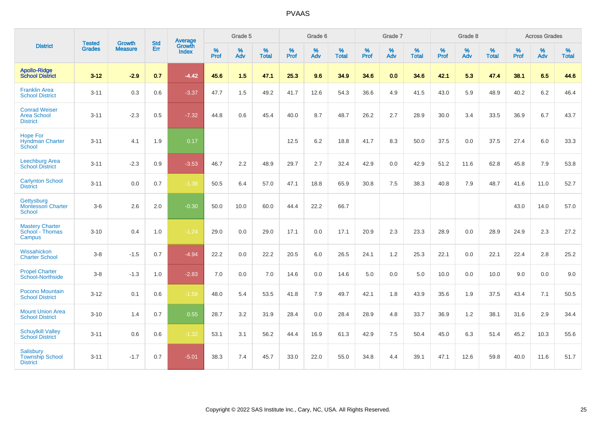|                                                               | <b>Tested</b> | <b>Growth</b>  | <b>Std</b> | Average                |           | Grade 5  |                   |           | Grade 6  |                   |           | Grade 7  |                   |           | Grade 8  |                   |           | <b>Across Grades</b> |                   |
|---------------------------------------------------------------|---------------|----------------|------------|------------------------|-----------|----------|-------------------|-----------|----------|-------------------|-----------|----------|-------------------|-----------|----------|-------------------|-----------|----------------------|-------------------|
| <b>District</b>                                               | <b>Grades</b> | <b>Measure</b> | <b>Err</b> | Growth<br><b>Index</b> | %<br>Prof | %<br>Adv | %<br><b>Total</b> | %<br>Prof | %<br>Adv | %<br><b>Total</b> | %<br>Prof | %<br>Adv | %<br><b>Total</b> | %<br>Prof | %<br>Adv | %<br><b>Total</b> | %<br>Prof | %<br>Adv             | %<br><b>Total</b> |
| <b>Apollo-Ridge</b><br><b>School District</b>                 | $3 - 12$      | $-2.9$         | 0.7        | $-4.42$                | 45.6      | 1.5      | 47.1              | 25.3      | 9.6      | 34.9              | 34.6      | 0.0      | 34.6              | 42.1      | 5.3      | 47.4              | 38.1      | 6.5                  | 44.6              |
| <b>Franklin Area</b><br><b>School District</b>                | $3 - 11$      | 0.3            | 0.6        | $-3.37$                | 47.7      | 1.5      | 49.2              | 41.7      | 12.6     | 54.3              | 36.6      | 4.9      | 41.5              | 43.0      | 5.9      | 48.9              | 40.2      | 6.2                  | 46.4              |
| <b>Conrad Weiser</b><br><b>Area School</b><br><b>District</b> | $3 - 11$      | $-2.3$         | 0.5        | $-7.32$                | 44.8      | 0.6      | 45.4              | 40.0      | 8.7      | 48.7              | 26.2      | 2.7      | 28.9              | 30.0      | 3.4      | 33.5              | 36.9      | 6.7                  | 43.7              |
| <b>Hope For</b><br><b>Hyndman Charter</b><br>School           | $3 - 11$      | 4.1            | 1.9        | 0.17                   |           |          |                   | 12.5      | 6.2      | 18.8              | 41.7      | 8.3      | 50.0              | 37.5      | 0.0      | 37.5              | 27.4      | 6.0                  | 33.3              |
| Leechburg Area<br><b>School District</b>                      | $3 - 11$      | $-2.3$         | 0.9        | $-3.53$                | 46.7      | 2.2      | 48.9              | 29.7      | 2.7      | 32.4              | 42.9      | 0.0      | 42.9              | 51.2      | 11.6     | 62.8              | 45.8      | 7.9                  | 53.8              |
| <b>Carlynton School</b><br><b>District</b>                    | $3 - 11$      | 0.0            | 0.7        | $-1.38$                | 50.5      | 6.4      | 57.0              | 47.1      | 18.8     | 65.9              | 30.8      | 7.5      | 38.3              | 40.8      | 7.9      | 48.7              | 41.6      | 11.0                 | 52.7              |
| Gettysburg<br><b>Montessori Charter</b><br>School             | $3-6$         | 2.6            | 2.0        | $-0.30$                | 50.0      | 10.0     | 60.0              | 44.4      | 22.2     | 66.7              |           |          |                   |           |          |                   | 43.0      | 14.0                 | 57.0              |
| <b>Mastery Charter</b><br>School - Thomas<br>Campus           | $3 - 10$      | 0.4            | 1.0        | $-1.24$                | 29.0      | 0.0      | 29.0              | 17.1      | 0.0      | 17.1              | 20.9      | 2.3      | 23.3              | 28.9      | 0.0      | 28.9              | 24.9      | 2.3                  | 27.2              |
| Wissahickon<br><b>Charter School</b>                          | $3 - 8$       | $-1.5$         | 0.7        | $-4.94$                | 22.2      | 0.0      | 22.2              | 20.5      | 6.0      | 26.5              | 24.1      | 1.2      | 25.3              | 22.1      | 0.0      | 22.1              | 22.4      | 2.8                  | 25.2              |
| <b>Propel Charter</b><br><b>School-Northside</b>              | $3 - 8$       | $-1.3$         | 1.0        | $-2.83$                | 7.0       | 0.0      | 7.0               | 14.6      | 0.0      | 14.6              | 5.0       | 0.0      | 5.0               | 10.0      | 0.0      | 10.0              | 9.0       | 0.0                  | 9.0               |
| Pocono Mountain<br><b>School District</b>                     | $3 - 12$      | 0.1            | 0.6        | $-1.58$                | 48.0      | 5.4      | 53.5              | 41.8      | 7.9      | 49.7              | 42.1      | 1.8      | 43.9              | 35.6      | 1.9      | 37.5              | 43.4      | 7.1                  | 50.5              |
| <b>Mount Union Area</b><br><b>School District</b>             | $3 - 10$      | 1.4            | 0.7        | 0.55                   | 28.7      | 3.2      | 31.9              | 28.4      | 0.0      | 28.4              | 28.9      | 4.8      | 33.7              | 36.9      | 1.2      | 38.1              | 31.6      | 2.9                  | 34.4              |
| <b>Schuylkill Valley</b><br><b>School District</b>            | $3 - 11$      | 0.6            | 0.6        | $-1.32$                | 53.1      | 3.1      | 56.2              | 44.4      | 16.9     | 61.3              | 42.9      | 7.5      | 50.4              | 45.0      | 6.3      | 51.4              | 45.2      | 10.3                 | 55.6              |
| <b>Salisbury</b><br><b>Township School</b><br><b>District</b> | $3 - 11$      | $-1.7$         | 0.7        | $-5.01$                | 38.3      | 7.4      | 45.7              | 33.0      | 22.0     | 55.0              | 34.8      | 4.4      | 39.1              | 47.1      | 12.6     | 59.8              | 40.0      | 11.6                 | 51.7              |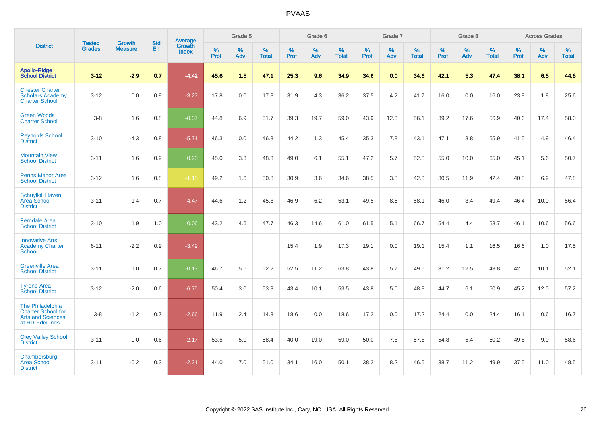|                                                                                     |                                |                                 | <b>Std</b> | Average                |           | Grade 5  |                   |           | Grade 6  |                   |           | Grade 7  |                   |           | Grade 8  |                   |           | <b>Across Grades</b> |                   |
|-------------------------------------------------------------------------------------|--------------------------------|---------------------------------|------------|------------------------|-----------|----------|-------------------|-----------|----------|-------------------|-----------|----------|-------------------|-----------|----------|-------------------|-----------|----------------------|-------------------|
| <b>District</b>                                                                     | <b>Tested</b><br><b>Grades</b> | <b>Growth</b><br><b>Measure</b> | Err        | Growth<br><b>Index</b> | %<br>Prof | %<br>Adv | %<br><b>Total</b> | %<br>Prof | %<br>Adv | %<br><b>Total</b> | %<br>Prof | %<br>Adv | %<br><b>Total</b> | %<br>Prof | %<br>Adv | %<br><b>Total</b> | %<br>Prof | %<br>Adv             | %<br><b>Total</b> |
| <b>Apollo-Ridge</b><br><b>School District</b>                                       | $3 - 12$                       | $-2.9$                          | 0.7        | $-4.42$                | 45.6      | 1.5      | 47.1              | 25.3      | 9.6      | 34.9              | 34.6      | 0.0      | 34.6              | 42.1      | 5.3      | 47.4              | 38.1      | 6.5                  | 44.6              |
| <b>Chester Charter</b><br><b>Scholars Academy</b><br><b>Charter School</b>          | $3 - 12$                       | 0.0                             | 0.9        | $-3.27$                | 17.8      | 0.0      | 17.8              | 31.9      | 4.3      | 36.2              | 37.5      | 4.2      | 41.7              | 16.0      | 0.0      | 16.0              | 23.8      | 1.8                  | 25.6              |
| <b>Green Woods</b><br><b>Charter School</b>                                         | $3 - 8$                        | 1.6                             | 0.8        | $-0.37$                | 44.8      | 6.9      | 51.7              | 39.3      | 19.7     | 59.0              | 43.9      | 12.3     | 56.1              | 39.2      | 17.6     | 56.9              | 40.6      | 17.4                 | 58.0              |
| <b>Reynolds School</b><br><b>District</b>                                           | $3 - 10$                       | $-4.3$                          | 0.8        | $-5.71$                | 46.3      | 0.0      | 46.3              | 44.2      | 1.3      | 45.4              | 35.3      | 7.8      | 43.1              | 47.1      | 8.8      | 55.9              | 41.5      | 4.9                  | 46.4              |
| <b>Mountain View</b><br><b>School District</b>                                      | $3 - 11$                       | 1.6                             | 0.9        | 0.20                   | 45.0      | 3.3      | 48.3              | 49.0      | 6.1      | 55.1              | 47.2      | 5.7      | 52.8              | 55.0      | 10.0     | 65.0              | 45.1      | 5.6                  | 50.7              |
| <b>Penns Manor Area</b><br><b>School District</b>                                   | $3 - 12$                       | 1.6                             | 0.8        | $-1.15$                | 49.2      | 1.6      | 50.8              | 30.9      | 3.6      | 34.6              | 38.5      | 3.8      | 42.3              | 30.5      | 11.9     | 42.4              | 40.8      | 6.9                  | 47.8              |
| <b>Schuylkill Haven</b><br><b>Area School</b><br><b>District</b>                    | $3 - 11$                       | $-1.4$                          | 0.7        | $-4.47$                | 44.6      | 1.2      | 45.8              | 46.9      | 6.2      | 53.1              | 49.5      | 8.6      | 58.1              | 46.0      | 3.4      | 49.4              | 46.4      | 10.0                 | 56.4              |
| <b>Ferndale Area</b><br><b>School District</b>                                      | $3 - 10$                       | 1.9                             | 1.0        | 0.06                   | 43.2      | 4.6      | 47.7              | 46.3      | 14.6     | 61.0              | 61.5      | 5.1      | 66.7              | 54.4      | 4.4      | 58.7              | 46.1      | 10.6                 | 56.6              |
| <b>Innovative Arts</b><br><b>Academy Charter</b><br><b>School</b>                   | $6 - 11$                       | $-2.2$                          | 0.9        | $-3.49$                |           |          |                   | 15.4      | 1.9      | 17.3              | 19.1      | 0.0      | 19.1              | 15.4      | 1.1      | 16.5              | 16.6      | 1.0                  | 17.5              |
| <b>Greenville Area</b><br><b>School District</b>                                    | $3 - 11$                       | 1.0                             | 0.7        | $-0.17$                | 46.7      | 5.6      | 52.2              | 52.5      | 11.2     | 63.8              | 43.8      | 5.7      | 49.5              | 31.2      | 12.5     | 43.8              | 42.0      | 10.1                 | 52.1              |
| <b>Tyrone Area</b><br><b>School District</b>                                        | $3 - 12$                       | $-2.0$                          | 0.6        | $-6.75$                | 50.4      | 3.0      | 53.3              | 43.4      | 10.1     | 53.5              | 43.8      | 5.0      | 48.8              | 44.7      | 6.1      | 50.9              | 45.2      | 12.0                 | 57.2              |
| The Philadelphia<br>Charter School for<br><b>Arts and Sciences</b><br>at HR Edmunds | $3-8$                          | $-1.2$                          | 0.7        | $-2.66$                | 11.9      | 2.4      | 14.3              | 18.6      | 0.0      | 18.6              | 17.2      | 0.0      | 17.2              | 24.4      | 0.0      | 24.4              | 16.1      | 0.6                  | 16.7              |
| <b>Oley Valley School</b><br><b>District</b>                                        | $3 - 11$                       | $-0.0$                          | 0.6        | $-2.17$                | 53.5      | 5.0      | 58.4              | 40.0      | 19.0     | 59.0              | 50.0      | 7.8      | 57.8              | 54.8      | 5.4      | 60.2              | 49.6      | 9.0                  | 58.6              |
| Chambersburg<br><b>Area School</b><br><b>District</b>                               | $3 - 11$                       | $-0.2$                          | 0.3        | $-2.21$                | 44.0      | 7.0      | 51.0              | 34.1      | 16.0     | 50.1              | 38.2      | 8.2      | 46.5              | 38.7      | 11.2     | 49.9              | 37.5      | 11.0                 | 48.5              |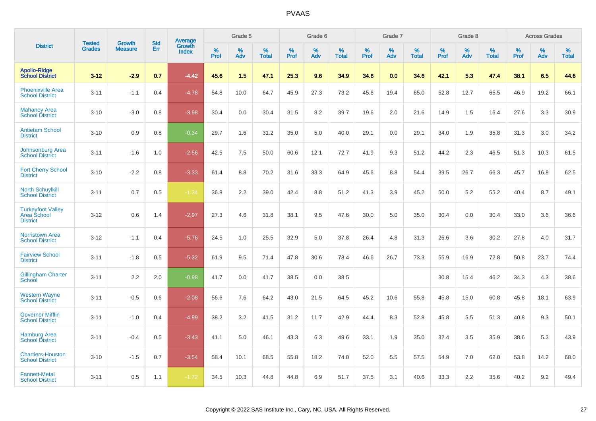|                                                            |                                | <b>Growth</b>  | <b>Std</b> | Average                |              | Grade 5     |                      |                  | Grade 6  |                      |              | Grade 7  |                      |              | Grade 8  |                      |              | <b>Across Grades</b> |                      |
|------------------------------------------------------------|--------------------------------|----------------|------------|------------------------|--------------|-------------|----------------------|------------------|----------|----------------------|--------------|----------|----------------------|--------------|----------|----------------------|--------------|----------------------|----------------------|
| <b>District</b>                                            | <b>Tested</b><br><b>Grades</b> | <b>Measure</b> | Err        | Growth<br><b>Index</b> | $\%$<br>Prof | $\%$<br>Adv | $\%$<br><b>Total</b> | %<br><b>Prof</b> | %<br>Adv | $\%$<br><b>Total</b> | $\%$<br>Prof | %<br>Adv | $\%$<br><b>Total</b> | $\%$<br>Prof | %<br>Adv | $\%$<br><b>Total</b> | $\%$<br>Prof | %<br>Adv             | $\%$<br><b>Total</b> |
| <b>Apollo-Ridge</b><br><b>School District</b>              | $3 - 12$                       | $-2.9$         | 0.7        | $-4.42$                | 45.6         | 1.5         | 47.1                 | 25.3             | 9.6      | 34.9                 | 34.6         | 0.0      | 34.6                 | 42.1         | 5.3      | 47.4                 | 38.1         | 6.5                  | 44.6                 |
| <b>Phoenixville Area</b><br><b>School District</b>         | $3 - 11$                       | $-1.1$         | 0.4        | $-4.78$                | 54.8         | 10.0        | 64.7                 | 45.9             | 27.3     | 73.2                 | 45.6         | 19.4     | 65.0                 | 52.8         | 12.7     | 65.5                 | 46.9         | 19.2                 | 66.1                 |
| <b>Mahanoy Area</b><br><b>School District</b>              | $3 - 10$                       | $-3.0$         | 0.8        | $-3.98$                | 30.4         | 0.0         | 30.4                 | 31.5             | 8.2      | 39.7                 | 19.6         | 2.0      | 21.6                 | 14.9         | 1.5      | 16.4                 | 27.6         | 3.3                  | 30.9                 |
| <b>Antietam School</b><br><b>District</b>                  | $3 - 10$                       | 0.9            | 0.8        | $-0.34$                | 29.7         | 1.6         | 31.2                 | 35.0             | 5.0      | 40.0                 | 29.1         | 0.0      | 29.1                 | 34.0         | 1.9      | 35.8                 | 31.3         | 3.0                  | 34.2                 |
| Johnsonburg Area<br><b>School District</b>                 | $3 - 11$                       | $-1.6$         | 1.0        | $-2.56$                | 42.5         | 7.5         | 50.0                 | 60.6             | 12.1     | 72.7                 | 41.9         | 9.3      | 51.2                 | 44.2         | 2.3      | 46.5                 | 51.3         | 10.3                 | 61.5                 |
| <b>Fort Cherry School</b><br><b>District</b>               | $3 - 10$                       | $-2.2$         | 0.8        | $-3.33$                | 61.4         | 8.8         | 70.2                 | 31.6             | 33.3     | 64.9                 | 45.6         | 8.8      | 54.4                 | 39.5         | 26.7     | 66.3                 | 45.7         | 16.8                 | 62.5                 |
| <b>North Schuylkill</b><br><b>School District</b>          | $3 - 11$                       | 0.7            | 0.5        | $-1.34$                | 36.8         | 2.2         | 39.0                 | 42.4             | 8.8      | 51.2                 | 41.3         | 3.9      | 45.2                 | 50.0         | 5.2      | 55.2                 | 40.4         | 8.7                  | 49.1                 |
| <b>Turkeyfoot Valley</b><br>Area School<br><b>District</b> | $3 - 12$                       | 0.6            | 1.4        | $-2.97$                | 27.3         | 4.6         | 31.8                 | 38.1             | 9.5      | 47.6                 | 30.0         | 5.0      | 35.0                 | 30.4         | 0.0      | 30.4                 | 33.0         | 3.6                  | 36.6                 |
| <b>Norristown Area</b><br><b>School District</b>           | $3-12$                         | $-1.1$         | 0.4        | $-5.76$                | 24.5         | 1.0         | 25.5                 | 32.9             | 5.0      | 37.8                 | 26.4         | 4.8      | 31.3                 | 26.6         | 3.6      | 30.2                 | 27.8         | 4.0                  | 31.7                 |
| <b>Fairview School</b><br><b>District</b>                  | $3 - 11$                       | $-1.8$         | 0.5        | $-5.32$                | 61.9         | 9.5         | 71.4                 | 47.8             | 30.6     | 78.4                 | 46.6         | 26.7     | 73.3                 | 55.9         | 16.9     | 72.8                 | 50.8         | 23.7                 | 74.4                 |
| <b>Gillingham Charter</b><br>School                        | $3 - 11$                       | 2.2            | 2.0        | $-0.98$                | 41.7         | 0.0         | 41.7                 | 38.5             | 0.0      | 38.5                 |              |          |                      | 30.8         | 15.4     | 46.2                 | 34.3         | 4.3                  | 38.6                 |
| <b>Western Wayne</b><br><b>School District</b>             | $3 - 11$                       | $-0.5$         | 0.6        | $-2.08$                | 56.6         | 7.6         | 64.2                 | 43.0             | 21.5     | 64.5                 | 45.2         | 10.6     | 55.8                 | 45.8         | 15.0     | 60.8                 | 45.8         | 18.1                 | 63.9                 |
| <b>Governor Mifflin</b><br><b>School District</b>          | $3 - 11$                       | $-1.0$         | 0.4        | $-4.99$                | 38.2         | 3.2         | 41.5                 | 31.2             | 11.7     | 42.9                 | 44.4         | 8.3      | 52.8                 | 45.8         | 5.5      | 51.3                 | 40.8         | 9.3                  | 50.1                 |
| <b>Hamburg Area</b><br><b>School District</b>              | $3 - 11$                       | $-0.4$         | 0.5        | $-3.43$                | 41.1         | 5.0         | 46.1                 | 43.3             | 6.3      | 49.6                 | 33.1         | 1.9      | 35.0                 | 32.4         | 3.5      | 35.9                 | 38.6         | 5.3                  | 43.9                 |
| <b>Chartiers-Houston</b><br><b>School District</b>         | $3 - 10$                       | $-1.5$         | 0.7        | $-3.54$                | 58.4         | 10.1        | 68.5                 | 55.8             | 18.2     | 74.0                 | 52.0         | 5.5      | 57.5                 | 54.9         | 7.0      | 62.0                 | 53.8         | 14.2                 | 68.0                 |
| <b>Fannett-Metal</b><br><b>School District</b>             | $3 - 11$                       | 0.5            | 1.1        | $-1.72$                | 34.5         | 10.3        | 44.8                 | 44.8             | 6.9      | 51.7                 | 37.5         | 3.1      | 40.6                 | 33.3         | 2.2      | 35.6                 | 40.2         | 9.2                  | 49.4                 |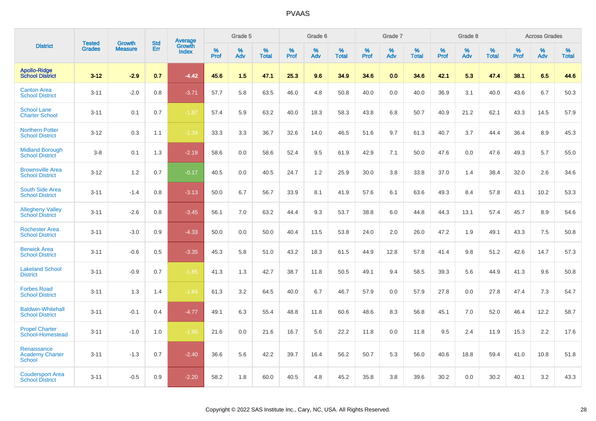|                                                        |                         |                                 | <b>Std</b> | Average                |           | Grade 5  |                   |           | Grade 6  |                   |           | Grade 7  |                   |           | Grade 8  |                   |           | <b>Across Grades</b> |                   |
|--------------------------------------------------------|-------------------------|---------------------------------|------------|------------------------|-----------|----------|-------------------|-----------|----------|-------------------|-----------|----------|-------------------|-----------|----------|-------------------|-----------|----------------------|-------------------|
| <b>District</b>                                        | Tested<br><b>Grades</b> | <b>Growth</b><br><b>Measure</b> | Err        | Growth<br><b>Index</b> | %<br>Prof | %<br>Adv | %<br><b>Total</b> | %<br>Prof | %<br>Adv | %<br><b>Total</b> | %<br>Prof | %<br>Adv | %<br><b>Total</b> | %<br>Prof | %<br>Adv | %<br><b>Total</b> | %<br>Prof | %<br>Adv             | %<br><b>Total</b> |
| <b>Apollo-Ridge</b><br><b>School District</b>          | $3 - 12$                | $-2.9$                          | 0.7        | $-4.42$                | 45.6      | 1.5      | 47.1              | 25.3      | 9.6      | 34.9              | 34.6      | 0.0      | 34.6              | 42.1      | 5.3      | 47.4              | 38.1      | 6.5                  | 44.6              |
| <b>Canton Area</b><br><b>School District</b>           | $3 - 11$                | $-2.0$                          | 0.8        | $-3.71$                | 57.7      | 5.8      | 63.5              | 46.0      | 4.8      | 50.8              | 40.0      | 0.0      | 40.0              | 36.9      | 3.1      | 40.0              | 43.6      | 6.7                  | 50.3              |
| <b>School Lane</b><br><b>Charter School</b>            | $3 - 11$                | 0.1                             | 0.7        | $-1.87$                | 57.4      | 5.9      | 63.2              | 40.0      | 18.3     | 58.3              | 43.8      | 6.8      | 50.7              | 40.9      | 21.2     | 62.1              | 43.3      | 14.5                 | 57.9              |
| <b>Northern Potter</b><br><b>School District</b>       | $3 - 12$                | 0.3                             | 1.1        | $-1.34$                | 33.3      | 3.3      | 36.7              | 32.6      | 14.0     | 46.5              | 51.6      | 9.7      | 61.3              | 40.7      | 3.7      | 44.4              | 36.4      | 8.9                  | 45.3              |
| <b>Midland Borough</b><br><b>School District</b>       | $3 - 8$                 | 0.1                             | 1.3        | $-2.19$                | 58.6      | 0.0      | 58.6              | 52.4      | 9.5      | 61.9              | 42.9      | 7.1      | 50.0              | 47.6      | 0.0      | 47.6              | 49.3      | 5.7                  | 55.0              |
| <b>Brownsville Area</b><br><b>School District</b>      | $3 - 12$                | 1.2                             | 0.7        | $-0.17$                | 40.5      | 0.0      | 40.5              | 24.7      | 1.2      | 25.9              | 30.0      | 3.8      | 33.8              | 37.0      | 1.4      | 38.4              | 32.0      | 2.6                  | 34.6              |
| <b>South Side Area</b><br><b>School District</b>       | $3 - 11$                | $-1.4$                          | 0.8        | $-3.13$                | 50.0      | 6.7      | 56.7              | 33.9      | 8.1      | 41.9              | 57.6      | 6.1      | 63.6              | 49.3      | 8.4      | 57.8              | 43.1      | 10.2                 | 53.3              |
| <b>Allegheny Valley</b><br><b>School District</b>      | $3 - 11$                | $-2.6$                          | 0.8        | $-3.45$                | 56.1      | 7.0      | 63.2              | 44.4      | 9.3      | 53.7              | 38.8      | 6.0      | 44.8              | 44.3      | 13.1     | 57.4              | 45.7      | 8.9                  | 54.6              |
| <b>Rochester Area</b><br><b>School District</b>        | $3 - 11$                | $-3.0$                          | 0.9        | $-4.33$                | 50.0      | 0.0      | 50.0              | 40.4      | 13.5     | 53.8              | 24.0      | 2.0      | 26.0              | 47.2      | 1.9      | 49.1              | 43.3      | 7.5                  | 50.8              |
| <b>Berwick Area</b><br><b>School District</b>          | $3 - 11$                | $-0.6$                          | 0.5        | $-3.35$                | 45.3      | 5.8      | 51.0              | 43.2      | 18.3     | 61.5              | 44.9      | 12.8     | 57.8              | 41.4      | 9.8      | 51.2              | 42.6      | 14.7                 | 57.3              |
| <b>Lakeland School</b><br><b>District</b>              | $3 - 11$                | $-0.9$                          | 0.7        | $-1.85$                | 41.3      | 1.3      | 42.7              | 38.7      | 11.8     | 50.5              | 49.1      | 9.4      | 58.5              | 39.3      | 5.6      | 44.9              | 41.3      | 9.6                  | 50.8              |
| <b>Forbes Road</b><br><b>School District</b>           | $3 - 11$                | 1.3                             | 1.4        | $-1.84$                | 61.3      | 3.2      | 64.5              | 40.0      | 6.7      | 46.7              | 57.9      | 0.0      | 57.9              | 27.8      | 0.0      | 27.8              | 47.4      | 7.3                  | 54.7              |
| <b>Baldwin-Whitehall</b><br><b>School District</b>     | $3 - 11$                | $-0.1$                          | 0.4        | $-4.77$                | 49.1      | 6.3      | 55.4              | 48.8      | 11.8     | 60.6              | 48.6      | 8.3      | 56.8              | 45.1      | 7.0      | 52.0              | 46.4      | 12.2                 | 58.7              |
| <b>Propel Charter</b><br>School-Homestead              | $3 - 11$                | $-1.0$                          | 1.0        | $-1.95$                | 21.6      | 0.0      | 21.6              | 16.7      | 5.6      | 22.2              | 11.8      | 0.0      | 11.8              | 9.5       | 2.4      | 11.9              | 15.3      | 2.2                  | 17.6              |
| Renaissance<br><b>Academy Charter</b><br><b>School</b> | $3 - 11$                | $-1.3$                          | 0.7        | $-2.40$                | 36.6      | 5.6      | 42.2              | 39.7      | 16.4     | 56.2              | 50.7      | 5.3      | 56.0              | 40.6      | 18.8     | 59.4              | 41.0      | 10.8                 | 51.8              |
| <b>Coudersport Area</b><br><b>School District</b>      | $3 - 11$                | $-0.5$                          | 0.9        | $-2.20$                | 58.2      | 1.8      | 60.0              | 40.5      | 4.8      | 45.2              | 35.8      | 3.8      | 39.6              | 30.2      | 0.0      | 30.2              | 40.1      | 3.2                  | 43.3              |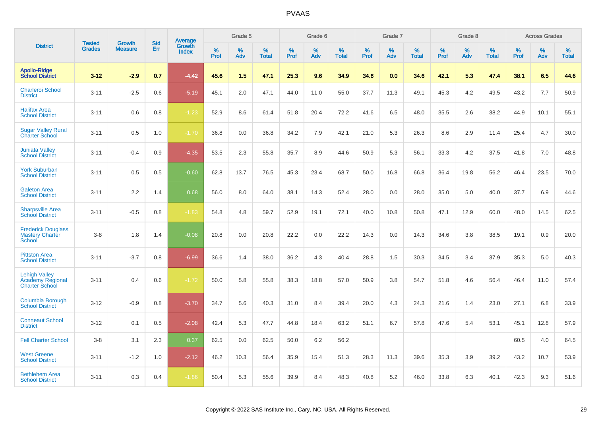|                                                                   |                         | <b>Growth</b>  | <b>Std</b> | Average                |              | Grade 5     |                      |                     | Grade 6     |                      |              | Grade 7     |                      |              | Grade 8     |                   |                     | <b>Across Grades</b> |                      |
|-------------------------------------------------------------------|-------------------------|----------------|------------|------------------------|--------------|-------------|----------------------|---------------------|-------------|----------------------|--------------|-------------|----------------------|--------------|-------------|-------------------|---------------------|----------------------|----------------------|
| <b>District</b>                                                   | Tested<br><b>Grades</b> | <b>Measure</b> | Err        | Growth<br><b>Index</b> | $\%$<br>Prof | $\%$<br>Adv | $\%$<br><b>Total</b> | $\%$<br><b>Prof</b> | $\%$<br>Adv | $\%$<br><b>Total</b> | $\%$<br>Prof | $\%$<br>Adv | $\%$<br><b>Total</b> | $\%$<br>Prof | $\%$<br>Adv | %<br><b>Total</b> | $\%$<br><b>Prof</b> | $\%$<br>Adv          | $\%$<br><b>Total</b> |
| <b>Apollo-Ridge</b><br><b>School District</b>                     | $3 - 12$                | $-2.9$         | 0.7        | $-4.42$                | 45.6         | 1.5         | 47.1                 | 25.3                | 9.6         | 34.9                 | 34.6         | 0.0         | 34.6                 | 42.1         | 5.3         | 47.4              | 38.1                | 6.5                  | 44.6                 |
| <b>Charleroi School</b><br><b>District</b>                        | $3 - 11$                | $-2.5$         | 0.6        | $-5.19$                | 45.1         | 2.0         | 47.1                 | 44.0                | 11.0        | 55.0                 | 37.7         | 11.3        | 49.1                 | 45.3         | 4.2         | 49.5              | 43.2                | 7.7                  | 50.9                 |
| <b>Halifax Area</b><br><b>School District</b>                     | $3 - 11$                | 0.6            | 0.8        | $-1.23$                | 52.9         | 8.6         | 61.4                 | 51.8                | 20.4        | 72.2                 | 41.6         | 6.5         | 48.0                 | 35.5         | 2.6         | 38.2              | 44.9                | 10.1                 | 55.1                 |
| <b>Sugar Valley Rural</b><br><b>Charter School</b>                | $3 - 11$                | 0.5            | 1.0        | $-1.70$                | 36.8         | 0.0         | 36.8                 | 34.2                | 7.9         | 42.1                 | 21.0         | 5.3         | 26.3                 | 8.6          | 2.9         | 11.4              | 25.4                | 4.7                  | 30.0                 |
| <b>Juniata Valley</b><br><b>School District</b>                   | $3 - 11$                | $-0.4$         | 0.9        | $-4.35$                | 53.5         | 2.3         | 55.8                 | 35.7                | 8.9         | 44.6                 | 50.9         | 5.3         | 56.1                 | 33.3         | 4.2         | 37.5              | 41.8                | 7.0                  | 48.8                 |
| <b>York Suburban</b><br><b>School District</b>                    | $3 - 11$                | 0.5            | 0.5        | $-0.60$                | 62.8         | 13.7        | 76.5                 | 45.3                | 23.4        | 68.7                 | 50.0         | 16.8        | 66.8                 | 36.4         | 19.8        | 56.2              | 46.4                | 23.5                 | 70.0                 |
| <b>Galeton Area</b><br><b>School District</b>                     | $3 - 11$                | 2.2            | 1.4        | 0.68                   | 56.0         | 8.0         | 64.0                 | 38.1                | 14.3        | 52.4                 | 28.0         | 0.0         | 28.0                 | 35.0         | 5.0         | 40.0              | 37.7                | 6.9                  | 44.6                 |
| <b>Sharpsville Area</b><br><b>School District</b>                 | $3 - 11$                | $-0.5$         | 0.8        | $-1.83$                | 54.8         | 4.8         | 59.7                 | 52.9                | 19.1        | 72.1                 | 40.0         | 10.8        | 50.8                 | 47.1         | 12.9        | 60.0              | 48.0                | 14.5                 | 62.5                 |
| <b>Frederick Douglass</b><br><b>Mastery Charter</b><br>School     | $3 - 8$                 | 1.8            | 1.4        | $-0.08$                | 20.8         | 0.0         | 20.8                 | 22.2                | 0.0         | 22.2                 | 14.3         | 0.0         | 14.3                 | 34.6         | 3.8         | 38.5              | 19.1                | 0.9                  | 20.0                 |
| <b>Pittston Area</b><br><b>School District</b>                    | $3 - 11$                | $-3.7$         | 0.8        | $-6.99$                | 36.6         | 1.4         | 38.0                 | 36.2                | 4.3         | 40.4                 | 28.8         | 1.5         | 30.3                 | 34.5         | 3.4         | 37.9              | 35.3                | 5.0                  | 40.3                 |
| <b>Lehigh Valley</b><br>Academy Regional<br><b>Charter School</b> | $3 - 11$                | 0.4            | 0.6        | $-1.72$                | 50.0         | 5.8         | 55.8                 | 38.3                | 18.8        | 57.0                 | 50.9         | 3.8         | 54.7                 | 51.8         | 4.6         | 56.4              | 46.4                | 11.0                 | 57.4                 |
| Columbia Borough<br><b>School District</b>                        | $3 - 12$                | $-0.9$         | 0.8        | $-3.70$                | 34.7         | 5.6         | 40.3                 | 31.0                | 8.4         | 39.4                 | 20.0         | 4.3         | 24.3                 | 21.6         | 1.4         | 23.0              | 27.1                | 6.8                  | 33.9                 |
| <b>Conneaut School</b><br><b>District</b>                         | $3 - 12$                | 0.1            | 0.5        | $-2.08$                | 42.4         | 5.3         | 47.7                 | 44.8                | 18.4        | 63.2                 | 51.1         | 6.7         | 57.8                 | 47.6         | 5.4         | 53.1              | 45.1                | 12.8                 | 57.9                 |
| <b>Fell Charter School</b>                                        | $3 - 8$                 | 3.1            | 2.3        | 0.37                   | 62.5         | 0.0         | 62.5                 | 50.0                | 6.2         | 56.2                 |              |             |                      |              |             |                   | 60.5                | 4.0                  | 64.5                 |
| <b>West Greene</b><br><b>School District</b>                      | $3 - 11$                | $-1.2$         | 1.0        | $-2.12$                | 46.2         | 10.3        | 56.4                 | 35.9                | 15.4        | 51.3                 | 28.3         | 11.3        | 39.6                 | 35.3         | 3.9         | 39.2              | 43.2                | 10.7                 | 53.9                 |
| <b>Bethlehem Area</b><br><b>School District</b>                   | $3 - 11$                | 0.3            | 0.4        | $-1.86$                | 50.4         | 5.3         | 55.6                 | 39.9                | 8.4         | 48.3                 | 40.8         | 5.2         | 46.0                 | 33.8         | 6.3         | 40.1              | 42.3                | 9.3                  | 51.6                 |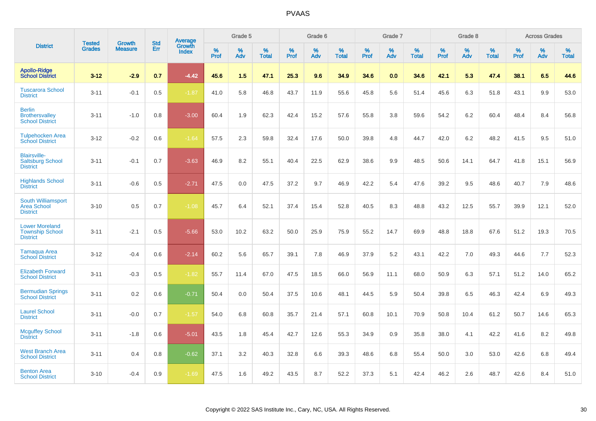|                                                                    |                                | <b>Growth</b>  | <b>Std</b> |                                   |              | Grade 5  |                   |           | Grade 6  |                   |              | Grade 7  |                   |              | Grade 8  |                   |              | <b>Across Grades</b> |                   |
|--------------------------------------------------------------------|--------------------------------|----------------|------------|-----------------------------------|--------------|----------|-------------------|-----------|----------|-------------------|--------------|----------|-------------------|--------------|----------|-------------------|--------------|----------------------|-------------------|
| <b>District</b>                                                    | <b>Tested</b><br><b>Grades</b> | <b>Measure</b> | <b>Err</b> | <b>Average</b><br>Growth<br>Index | $\%$<br>Prof | %<br>Adv | %<br><b>Total</b> | %<br>Prof | %<br>Adv | %<br><b>Total</b> | $\%$<br>Prof | %<br>Adv | %<br><b>Total</b> | $\%$<br>Prof | %<br>Adv | %<br><b>Total</b> | $\%$<br>Prof | %<br>Adv             | %<br><b>Total</b> |
| <b>Apollo-Ridge</b><br><b>School District</b>                      | $3 - 12$                       | $-2.9$         | 0.7        | $-4.42$                           | 45.6         | 1.5      | 47.1              | 25.3      | 9.6      | 34.9              | 34.6         | 0.0      | 34.6              | 42.1         | 5.3      | 47.4              | 38.1         | 6.5                  | 44.6              |
| <b>Tuscarora School</b><br><b>District</b>                         | $3 - 11$                       | $-0.1$         | 0.5        | $-1.87$                           | 41.0         | 5.8      | 46.8              | 43.7      | 11.9     | 55.6              | 45.8         | 5.6      | 51.4              | 45.6         | 6.3      | 51.8              | 43.1         | 9.9                  | 53.0              |
| <b>Berlin</b><br><b>Brothersvalley</b><br><b>School District</b>   | $3 - 11$                       | $-1.0$         | 0.8        | $-3.00$                           | 60.4         | 1.9      | 62.3              | 42.4      | 15.2     | 57.6              | 55.8         | 3.8      | 59.6              | 54.2         | 6.2      | 60.4              | 48.4         | 8.4                  | 56.8              |
| <b>Tulpehocken Area</b><br><b>School District</b>                  | $3 - 12$                       | $-0.2$         | 0.6        | $-1.64$                           | 57.5         | 2.3      | 59.8              | 32.4      | 17.6     | 50.0              | 39.8         | 4.8      | 44.7              | 42.0         | 6.2      | 48.2              | 41.5         | 9.5                  | 51.0              |
| <b>Blairsville-</b><br><b>Saltsburg School</b><br><b>District</b>  | $3 - 11$                       | $-0.1$         | 0.7        | $-3.63$                           | 46.9         | 8.2      | 55.1              | 40.4      | 22.5     | 62.9              | 38.6         | 9.9      | 48.5              | 50.6         | 14.1     | 64.7              | 41.8         | 15.1                 | 56.9              |
| <b>Highlands School</b><br><b>District</b>                         | $3 - 11$                       | $-0.6$         | 0.5        | $-2.71$                           | 47.5         | 0.0      | 47.5              | 37.2      | 9.7      | 46.9              | 42.2         | 5.4      | 47.6              | 39.2         | 9.5      | 48.6              | 40.7         | 7.9                  | 48.6              |
| South Williamsport<br>Area School<br><b>District</b>               | $3 - 10$                       | 0.5            | 0.7        | $-1.08$                           | 45.7         | 6.4      | 52.1              | 37.4      | 15.4     | 52.8              | 40.5         | 8.3      | 48.8              | 43.2         | 12.5     | 55.7              | 39.9         | 12.1                 | 52.0              |
| <b>Lower Moreland</b><br><b>Township School</b><br><b>District</b> | $3 - 11$                       | $-2.1$         | 0.5        | $-5.66$                           | 53.0         | 10.2     | 63.2              | 50.0      | 25.9     | 75.9              | 55.2         | 14.7     | 69.9              | 48.8         | 18.8     | 67.6              | 51.2         | 19.3                 | 70.5              |
| <b>Tamaqua Area</b><br><b>School District</b>                      | $3 - 12$                       | $-0.4$         | 0.6        | $-2.14$                           | 60.2         | 5.6      | 65.7              | 39.1      | 7.8      | 46.9              | 37.9         | 5.2      | 43.1              | 42.2         | 7.0      | 49.3              | 44.6         | 7.7                  | 52.3              |
| <b>Elizabeth Forward</b><br><b>School District</b>                 | $3 - 11$                       | $-0.3$         | 0.5        | $-1.82$                           | 55.7         | 11.4     | 67.0              | 47.5      | 18.5     | 66.0              | 56.9         | 11.1     | 68.0              | 50.9         | 6.3      | 57.1              | 51.2         | 14.0                 | 65.2              |
| <b>Bermudian Springs</b><br><b>School District</b>                 | $3 - 11$                       | 0.2            | 0.6        | $-0.71$                           | 50.4         | 0.0      | 50.4              | 37.5      | 10.6     | 48.1              | 44.5         | 5.9      | 50.4              | 39.8         | 6.5      | 46.3              | 42.4         | 6.9                  | 49.3              |
| <b>Laurel School</b><br><b>District</b>                            | $3 - 11$                       | $-0.0$         | 0.7        | $-1.57$                           | 54.0         | 6.8      | 60.8              | 35.7      | 21.4     | 57.1              | 60.8         | 10.1     | 70.9              | 50.8         | 10.4     | 61.2              | 50.7         | 14.6                 | 65.3              |
| <b>Mcguffey School</b><br><b>District</b>                          | $3 - 11$                       | $-1.8$         | 0.6        | $-5.01$                           | 43.5         | 1.8      | 45.4              | 42.7      | 12.6     | 55.3              | 34.9         | 0.9      | 35.8              | 38.0         | 4.1      | 42.2              | 41.6         | 8.2                  | 49.8              |
| <b>West Branch Area</b><br><b>School District</b>                  | $3 - 11$                       | 0.4            | 0.8        | $-0.62$                           | 37.1         | 3.2      | 40.3              | 32.8      | 6.6      | 39.3              | 48.6         | 6.8      | 55.4              | 50.0         | 3.0      | 53.0              | 42.6         | 6.8                  | 49.4              |
| <b>Benton Area</b><br><b>School District</b>                       | $3 - 10$                       | $-0.4$         | 0.9        | $-1.69$                           | 47.5         | 1.6      | 49.2              | 43.5      | 8.7      | 52.2              | 37.3         | 5.1      | 42.4              | 46.2         | 2.6      | 48.7              | 42.6         | 8.4                  | 51.0              |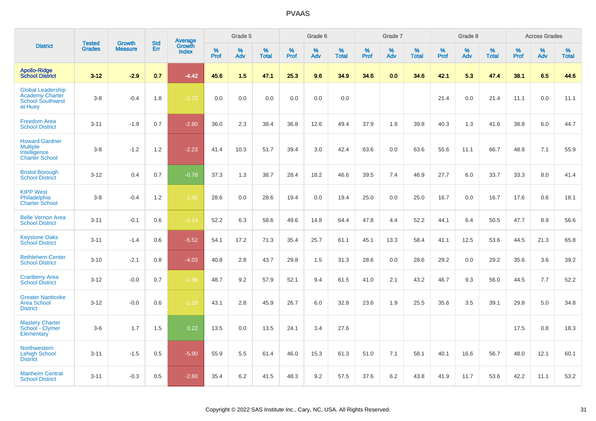|                                                                                          | <b>Tested</b> | <b>Growth</b>  | <b>Std</b> |                                   |              | Grade 5  |                   |              | Grade 6  |                   |           | Grade 7  |                   |              | Grade 8  |                   |           | <b>Across Grades</b> |                   |
|------------------------------------------------------------------------------------------|---------------|----------------|------------|-----------------------------------|--------------|----------|-------------------|--------------|----------|-------------------|-----------|----------|-------------------|--------------|----------|-------------------|-----------|----------------------|-------------------|
| <b>District</b>                                                                          | <b>Grades</b> | <b>Measure</b> | Err        | Average<br>Growth<br><b>Index</b> | $\%$<br>Prof | %<br>Adv | %<br><b>Total</b> | $\%$<br>Prof | %<br>Adv | %<br><b>Total</b> | %<br>Prof | %<br>Adv | %<br><b>Total</b> | $\%$<br>Prof | %<br>Adv | %<br><b>Total</b> | %<br>Prof | %<br>Adv             | %<br><b>Total</b> |
| <b>Apollo-Ridge</b><br><b>School District</b>                                            | $3 - 12$      | $-2.9$         | 0.7        | $-4.42$                           | 45.6         | 1.5      | 47.1              | 25.3         | 9.6      | 34.9              | 34.6      | 0.0      | 34.6              | 42.1         | 5.3      | 47.4              | 38.1      | 6.5                  | 44.6              |
| <b>Global Leadership</b><br><b>Academy Charter</b><br><b>School Southwest</b><br>at Huey | $3-8$         | $-0.4$         | 1.8        | $-1.72$                           | 0.0          | 0.0      | 0.0               | 0.0          | 0.0      | 0.0               |           |          |                   | 21.4         | 0.0      | 21.4              | 11.1      | 0.0                  | 11.1              |
| <b>Freedom Area</b><br><b>School District</b>                                            | $3 - 11$      | $-1.9$         | 0.7        | $-2.80$                           | 36.0         | 2.3      | 38.4              | 36.8         | 12.6     | 49.4              | 37.9      | 1.9      | 39.8              | 40.3         | 1.3      | 41.6              | 38.8      | 6.0                  | 44.7              |
| <b>Howard Gardner</b><br><b>Multiple</b><br>Intelligence<br><b>Charter School</b>        | $3 - 8$       | $-1.2$         | 1.2        | $-2.23$                           | 41.4         | 10.3     | 51.7              | 39.4         | 3.0      | 42.4              | 63.6      | 0.0      | 63.6              | 55.6         | 11.1     | 66.7              | 48.8      | 7.1                  | 55.9              |
| <b>Bristol Borough</b><br><b>School District</b>                                         | $3 - 12$      | 0.4            | 0.7        | $-0.78$                           | 37.3         | 1.3      | 38.7              | 28.4         | 18.2     | 46.6              | 39.5      | 7.4      | 46.9              | 27.7         | 6.0      | 33.7              | 33.3      | 8.0                  | 41.4              |
| <b>KIPP West</b><br>Philadelphia<br><b>Charter School</b>                                | $3-8$         | $-0.4$         | 1.2        | $-1.95$                           | 28.6         | 0.0      | 28.6              | 19.4         | 0.0      | 19.4              | 25.0      | 0.0      | 25.0              | 16.7         | 0.0      | 16.7              | 17.6      | 0.6                  | 18.1              |
| <b>Belle Vernon Area</b><br><b>School District</b>                                       | $3 - 11$      | $-0.1$         | 0.6        | $-1.14$                           | 52.2         | 6.3      | 58.6              | 49.6         | 14.8     | 64.4              | 47.8      | 4.4      | 52.2              | 44.1         | 6.4      | 50.5              | 47.7      | 8.9                  | 56.6              |
| <b>Keystone Oaks</b><br><b>School District</b>                                           | $3 - 11$      | $-1.4$         | 0.6        | $-5.52$                           | 54.1         | 17.2     | 71.3              | 35.4         | 25.7     | 61.1              | 45.1      | 13.3     | 58.4              | 41.1         | 12.5     | 53.6              | 44.5      | 21.3                 | 65.8              |
| <b>Bethlehem-Center</b><br><b>School District</b>                                        | $3 - 10$      | $-2.1$         | 0.8        | $-4.03$                           | 40.8         | 2.8      | 43.7              | 29.8         | 1.5      | 31.3              | 28.6      | 0.0      | 28.6              | 29.2         | 0.0      | 29.2              | 35.6      | 3.6                  | 39.2              |
| <b>Cranberry Area</b><br><b>School District</b>                                          | $3 - 12$      | $-0.0$         | 0.7        | $-1.98$                           | 48.7         | 9.2      | 57.9              | 52.1         | 9.4      | 61.5              | 41.0      | 2.1      | 43.2              | 46.7         | 9.3      | 56.0              | 44.5      | 7.7                  | 52.2              |
| <b>Greater Nanticoke</b><br><b>Area School</b><br><b>District</b>                        | $3 - 12$      | $-0.0$         | 0.6        | $-1.16$                           | 43.1         | 2.8      | 45.9              | 26.7         | 6.0      | 32.8              | 23.6      | 1.9      | 25.5              | 35.6         | 3.5      | 39.1              | 29.8      | 5.0                  | 34.8              |
| <b>Mastery Charter</b><br>School - Clymer<br>Elementary                                  | $3-6$         | 1.7            | 1.5        | 0.22                              | 13.5         | 0.0      | 13.5              | 24.1         | 3.4      | 27.6              |           |          |                   |              |          |                   | 17.5      | 0.8                  | 18.3              |
| <b>Northwestern</b><br><b>Lehigh School</b><br><b>District</b>                           | $3 - 11$      | $-1.5$         | 0.5        | $-5.90$                           | 55.9         | 5.5      | 61.4              | 46.0         | 15.3     | 61.3              | 51.0      | 7.1      | 58.1              | 40.1         | 16.6     | 56.7              | 48.0      | 12.1                 | 60.1              |
| <b>Manheim Central</b><br><b>School District</b>                                         | $3 - 11$      | $-0.3$         | 0.5        | $-2.60$                           | 35.4         | 6.2      | 41.5              | 48.3         | 9.2      | 57.5              | 37.6      | 6.2      | 43.8              | 41.9         | 11.7     | 53.6              | 42.2      | 11.1                 | 53.2              |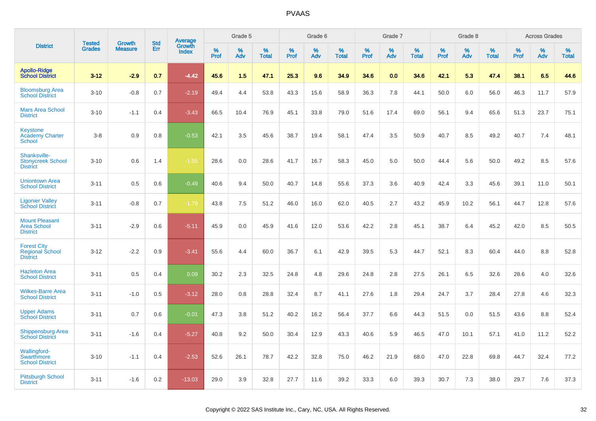|                                                                    |                         | <b>Growth</b>  | <b>Std</b> | Average         |                     | Grade 5  |                      |              | Grade 6  |                   |              | Grade 7  |                   |              | Grade 8  |                   |                     | <b>Across Grades</b> |                   |
|--------------------------------------------------------------------|-------------------------|----------------|------------|-----------------|---------------------|----------|----------------------|--------------|----------|-------------------|--------------|----------|-------------------|--------------|----------|-------------------|---------------------|----------------------|-------------------|
| <b>District</b>                                                    | <b>Tested</b><br>Grades | <b>Measure</b> | Err        | Growth<br>Index | $\%$<br><b>Prof</b> | %<br>Adv | $\%$<br><b>Total</b> | $\%$<br>Prof | %<br>Adv | %<br><b>Total</b> | $\%$<br>Prof | %<br>Adv | %<br><b>Total</b> | $\%$<br>Prof | %<br>Adv | %<br><b>Total</b> | $\%$<br><b>Prof</b> | %<br>Adv             | %<br><b>Total</b> |
| <b>Apollo-Ridge</b><br><b>School District</b>                      | $3 - 12$                | $-2.9$         | 0.7        | $-4.42$         | 45.6                | 1.5      | 47.1                 | 25.3         | 9.6      | 34.9              | 34.6         | 0.0      | 34.6              | 42.1         | 5.3      | 47.4              | 38.1                | 6.5                  | 44.6              |
| <b>Bloomsburg Area</b><br><b>School District</b>                   | $3 - 10$                | $-0.8$         | 0.7        | $-2.19$         | 49.4                | 4.4      | 53.8                 | 43.3         | 15.6     | 58.9              | 36.3         | 7.8      | 44.1              | 50.0         | 6.0      | 56.0              | 46.3                | 11.7                 | 57.9              |
| <b>Mars Area School</b><br><b>District</b>                         | $3 - 10$                | $-1.1$         | 0.4        | $-3.43$         | 66.5                | 10.4     | 76.9                 | 45.1         | 33.8     | 79.0              | 51.6         | 17.4     | 69.0              | 56.1         | 9.4      | 65.6              | 51.3                | 23.7                 | 75.1              |
| <b>Keystone</b><br><b>Academy Charter</b><br>School                | $3 - 8$                 | 0.9            | 0.8        | $-0.53$         | 42.1                | 3.5      | 45.6                 | 38.7         | 19.4     | 58.1              | 47.4         | 3.5      | 50.9              | 40.7         | 8.5      | 49.2              | 40.7                | 7.4                  | 48.1              |
| Shanksville-<br><b>Stonycreek School</b><br><b>District</b>        | $3 - 10$                | 0.6            | 1.4        | $-1.55$         | 28.6                | 0.0      | 28.6                 | 41.7         | 16.7     | 58.3              | 45.0         | 5.0      | 50.0              | 44.4         | 5.6      | 50.0              | 49.2                | 8.5                  | 57.6              |
| <b>Uniontown Area</b><br><b>School District</b>                    | $3 - 11$                | 0.5            | 0.6        | $-0.49$         | 40.6                | 9.4      | 50.0                 | 40.7         | 14.8     | 55.6              | 37.3         | 3.6      | 40.9              | 42.4         | 3.3      | 45.6              | 39.1                | 11.0                 | 50.1              |
| <b>Ligonier Valley</b><br><b>School District</b>                   | $3 - 11$                | $-0.8$         | 0.7        | $-1.79$         | 43.8                | 7.5      | 51.2                 | 46.0         | 16.0     | 62.0              | 40.5         | 2.7      | 43.2              | 45.9         | 10.2     | 56.1              | 44.7                | 12.8                 | 57.6              |
| <b>Mount Pleasant</b><br><b>Area School</b><br><b>District</b>     | $3 - 11$                | $-2.9$         | 0.6        | $-5.11$         | 45.9                | 0.0      | 45.9                 | 41.6         | 12.0     | 53.6              | 42.2         | 2.8      | 45.1              | 38.7         | 6.4      | 45.2              | 42.0                | 8.5                  | 50.5              |
| <b>Forest City</b><br><b>Regional School</b><br><b>District</b>    | $3 - 12$                | $-2.2$         | 0.9        | $-3.41$         | 55.6                | 4.4      | 60.0                 | 36.7         | 6.1      | 42.9              | 39.5         | 5.3      | 44.7              | 52.1         | 8.3      | 60.4              | 44.0                | 8.8                  | 52.8              |
| <b>Hazleton Area</b><br><b>School District</b>                     | $3 - 11$                | 0.5            | 0.4        | 0.09            | 30.2                | 2.3      | 32.5                 | 24.8         | 4.8      | 29.6              | 24.8         | 2.8      | 27.5              | 26.1         | 6.5      | 32.6              | 28.6                | 4.0                  | 32.6              |
| <b>Wilkes-Barre Area</b><br><b>School District</b>                 | $3 - 11$                | $-1.0$         | 0.5        | $-3.12$         | 28.0                | 0.8      | 28.8                 | 32.4         | 8.7      | 41.1              | 27.6         | 1.8      | 29.4              | 24.7         | 3.7      | 28.4              | 27.8                | 4.6                  | 32.3              |
| <b>Upper Adams</b><br><b>School District</b>                       | $3 - 11$                | 0.7            | 0.6        | $-0.01$         | 47.3                | 3.8      | 51.2                 | 40.2         | 16.2     | 56.4              | 37.7         | 6.6      | 44.3              | 51.5         | 0.0      | 51.5              | 43.6                | 8.8                  | 52.4              |
| <b>Shippensburg Area</b><br><b>School District</b>                 | $3 - 11$                | $-1.6$         | 0.4        | $-5.27$         | 40.8                | 9.2      | 50.0                 | 30.4         | 12.9     | 43.3              | 40.6         | 5.9      | 46.5              | 47.0         | 10.1     | 57.1              | 41.0                | 11.2                 | 52.2              |
| <b>Wallingford-</b><br><b>Swarthmore</b><br><b>School District</b> | $3 - 10$                | $-1.1$         | 0.4        | $-2.53$         | 52.6                | 26.1     | 78.7                 | 42.2         | 32.8     | 75.0              | 46.2         | 21.9     | 68.0              | 47.0         | 22.8     | 69.8              | 44.7                | 32.4                 | 77.2              |
| <b>Pittsburgh School</b><br><b>District</b>                        | $3 - 11$                | $-1.6$         | 0.2        | $-13.03$        | 29.0                | 3.9      | 32.8                 | 27.7         | 11.6     | 39.2              | 33.3         | 6.0      | 39.3              | 30.7         | 7.3      | 38.0              | 29.7                | 7.6                  | 37.3              |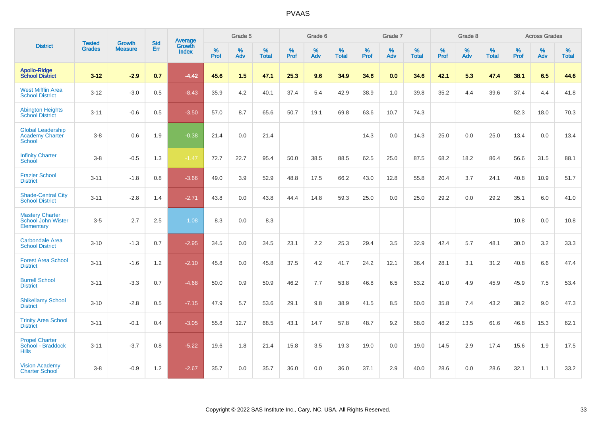|                                                                     | <b>Tested</b> | <b>Growth</b>  | <b>Std</b> | <b>Average</b>         |           | Grade 5  |                   |           | Grade 6  |                   |           | Grade 7  |                   |           | Grade 8  |                   |              | <b>Across Grades</b> |                   |
|---------------------------------------------------------------------|---------------|----------------|------------|------------------------|-----------|----------|-------------------|-----------|----------|-------------------|-----------|----------|-------------------|-----------|----------|-------------------|--------------|----------------------|-------------------|
| <b>District</b>                                                     | <b>Grades</b> | <b>Measure</b> | Err        | Growth<br><b>Index</b> | %<br>Prof | %<br>Adv | %<br><b>Total</b> | %<br>Prof | %<br>Adv | %<br><b>Total</b> | %<br>Prof | %<br>Adv | %<br><b>Total</b> | %<br>Prof | %<br>Adv | %<br><b>Total</b> | $\%$<br>Prof | %<br>Adv             | %<br><b>Total</b> |
| <b>Apollo-Ridge</b><br><b>School District</b>                       | $3 - 12$      | $-2.9$         | 0.7        | $-4.42$                | 45.6      | 1.5      | 47.1              | 25.3      | 9.6      | 34.9              | 34.6      | 0.0      | 34.6              | 42.1      | 5.3      | 47.4              | 38.1         | 6.5                  | 44.6              |
| <b>West Mifflin Area</b><br><b>School District</b>                  | $3 - 12$      | $-3.0$         | 0.5        | $-8.43$                | 35.9      | 4.2      | 40.1              | 37.4      | 5.4      | 42.9              | 38.9      | 1.0      | 39.8              | 35.2      | 4.4      | 39.6              | 37.4         | 4.4                  | 41.8              |
| <b>Abington Heights</b><br><b>School District</b>                   | $3 - 11$      | $-0.6$         | 0.5        | $-3.50$                | 57.0      | 8.7      | 65.6              | 50.7      | 19.1     | 69.8              | 63.6      | 10.7     | 74.3              |           |          |                   | 52.3         | 18.0                 | 70.3              |
| <b>Global Leadership</b><br><b>Academy Charter</b><br><b>School</b> | $3 - 8$       | 0.6            | 1.9        | $-0.38$                | 21.4      | 0.0      | 21.4              |           |          |                   | 14.3      | 0.0      | 14.3              | 25.0      | 0.0      | 25.0              | 13.4         | 0.0                  | 13.4              |
| <b>Infinity Charter</b><br>School                                   | $3-8$         | $-0.5$         | 1.3        | $-1.47$                | 72.7      | 22.7     | 95.4              | 50.0      | 38.5     | 88.5              | 62.5      | 25.0     | 87.5              | 68.2      | 18.2     | 86.4              | 56.6         | 31.5                 | 88.1              |
| <b>Frazier School</b><br><b>District</b>                            | $3 - 11$      | $-1.8$         | 0.8        | $-3.66$                | 49.0      | 3.9      | 52.9              | 48.8      | 17.5     | 66.2              | 43.0      | 12.8     | 55.8              | 20.4      | 3.7      | 24.1              | 40.8         | 10.9                 | 51.7              |
| <b>Shade-Central City</b><br><b>School District</b>                 | $3 - 11$      | $-2.8$         | 1.4        | $-2.71$                | 43.8      | 0.0      | 43.8              | 44.4      | 14.8     | 59.3              | 25.0      | 0.0      | 25.0              | 29.2      | 0.0      | 29.2              | 35.1         | 6.0                  | 41.0              |
| <b>Mastery Charter</b><br>School John Wister<br>Elementary          | $3-5$         | 2.7            | 2.5        | 1.08                   | 8.3       | 0.0      | 8.3               |           |          |                   |           |          |                   |           |          |                   | 10.8         | 0.0                  | 10.8              |
| <b>Carbondale Area</b><br><b>School District</b>                    | $3 - 10$      | $-1.3$         | 0.7        | $-2.95$                | 34.5      | 0.0      | 34.5              | 23.1      | 2.2      | 25.3              | 29.4      | 3.5      | 32.9              | 42.4      | 5.7      | 48.1              | 30.0         | 3.2                  | 33.3              |
| <b>Forest Area School</b><br><b>District</b>                        | $3 - 11$      | $-1.6$         | 1.2        | $-2.10$                | 45.8      | 0.0      | 45.8              | 37.5      | 4.2      | 41.7              | 24.2      | 12.1     | 36.4              | 28.1      | 3.1      | 31.2              | 40.8         | 6.6                  | 47.4              |
| <b>Burrell School</b><br><b>District</b>                            | $3 - 11$      | $-3.3$         | 0.7        | $-4.68$                | 50.0      | 0.9      | 50.9              | 46.2      | 7.7      | 53.8              | 46.8      | 6.5      | 53.2              | 41.0      | 4.9      | 45.9              | 45.9         | 7.5                  | 53.4              |
| <b>Shikellamy School</b><br><b>District</b>                         | $3 - 10$      | $-2.8$         | 0.5        | $-7.15$                | 47.9      | 5.7      | 53.6              | 29.1      | 9.8      | 38.9              | 41.5      | 8.5      | 50.0              | 35.8      | 7.4      | 43.2              | 38.2         | 9.0                  | 47.3              |
| <b>Trinity Area School</b><br><b>District</b>                       | $3 - 11$      | $-0.1$         | 0.4        | $-3.05$                | 55.8      | 12.7     | 68.5              | 43.1      | 14.7     | 57.8              | 48.7      | 9.2      | 58.0              | 48.2      | 13.5     | 61.6              | 46.8         | 15.3                 | 62.1              |
| <b>Propel Charter</b><br>School - Braddock<br><b>Hills</b>          | $3 - 11$      | $-3.7$         | 0.8        | $-5.22$                | 19.6      | 1.8      | 21.4              | 15.8      | 3.5      | 19.3              | 19.0      | 0.0      | 19.0              | 14.5      | 2.9      | 17.4              | 15.6         | 1.9                  | 17.5              |
| <b>Vision Academy</b><br><b>Charter School</b>                      | $3 - 8$       | $-0.9$         | 1.2        | $-2.67$                | 35.7      | 0.0      | 35.7              | 36.0      | 0.0      | 36.0              | 37.1      | 2.9      | 40.0              | 28.6      | 0.0      | 28.6              | 32.1         | 1.1                  | 33.2              |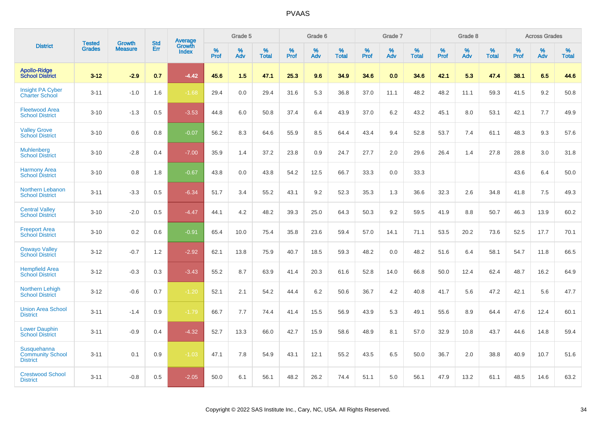|                                                           |                                |                          | <b>Std</b> | <b>Average</b>         |           | Grade 5  |                   |           | Grade 6  |                   |           | Grade 7  |                   |           | Grade 8  |                   |           | <b>Across Grades</b> |                   |
|-----------------------------------------------------------|--------------------------------|--------------------------|------------|------------------------|-----------|----------|-------------------|-----------|----------|-------------------|-----------|----------|-------------------|-----------|----------|-------------------|-----------|----------------------|-------------------|
| <b>District</b>                                           | <b>Tested</b><br><b>Grades</b> | Growth<br><b>Measure</b> | Err        | Growth<br><b>Index</b> | %<br>Prof | %<br>Adv | %<br><b>Total</b> | %<br>Prof | %<br>Adv | %<br><b>Total</b> | %<br>Prof | %<br>Adv | %<br><b>Total</b> | %<br>Prof | %<br>Adv | %<br><b>Total</b> | %<br>Prof | %<br>Adv             | %<br><b>Total</b> |
| <b>Apollo-Ridge</b><br><b>School District</b>             | $3 - 12$                       | $-2.9$                   | 0.7        | $-4.42$                | 45.6      | 1.5      | 47.1              | 25.3      | 9.6      | 34.9              | 34.6      | 0.0      | 34.6              | 42.1      | 5.3      | 47.4              | 38.1      | 6.5                  | 44.6              |
| <b>Insight PA Cyber</b><br><b>Charter School</b>          | $3 - 11$                       | $-1.0$                   | 1.6        | $-1.68$                | 29.4      | 0.0      | 29.4              | 31.6      | 5.3      | 36.8              | 37.0      | 11.1     | 48.2              | 48.2      | 11.1     | 59.3              | 41.5      | 9.2                  | 50.8              |
| <b>Fleetwood Area</b><br><b>School District</b>           | $3 - 10$                       | $-1.3$                   | 0.5        | $-3.53$                | 44.8      | 6.0      | 50.8              | 37.4      | 6.4      | 43.9              | 37.0      | 6.2      | 43.2              | 45.1      | 8.0      | 53.1              | 42.1      | 7.7                  | 49.9              |
| <b>Valley Grove</b><br><b>School District</b>             | $3 - 10$                       | 0.6                      | 0.8        | $-0.07$                | 56.2      | 8.3      | 64.6              | 55.9      | 8.5      | 64.4              | 43.4      | 9.4      | 52.8              | 53.7      | 7.4      | 61.1              | 48.3      | 9.3                  | 57.6              |
| <b>Muhlenberg</b><br><b>School District</b>               | $3 - 10$                       | $-2.8$                   | 0.4        | $-7.00$                | 35.9      | 1.4      | 37.2              | 23.8      | 0.9      | 24.7              | 27.7      | 2.0      | 29.6              | 26.4      | 1.4      | 27.8              | 28.8      | 3.0                  | 31.8              |
| <b>Harmony Area</b><br><b>School District</b>             | $3 - 10$                       | 0.8                      | 1.8        | $-0.67$                | 43.8      | 0.0      | 43.8              | 54.2      | 12.5     | 66.7              | 33.3      | 0.0      | 33.3              |           |          |                   | 43.6      | 6.4                  | 50.0              |
| Northern Lebanon<br><b>School District</b>                | $3 - 11$                       | $-3.3$                   | 0.5        | $-6.34$                | 51.7      | 3.4      | 55.2              | 43.1      | 9.2      | 52.3              | 35.3      | 1.3      | 36.6              | 32.3      | 2.6      | 34.8              | 41.8      | 7.5                  | 49.3              |
| <b>Central Valley</b><br><b>School District</b>           | $3 - 10$                       | $-2.0$                   | 0.5        | $-4.47$                | 44.1      | 4.2      | 48.2              | 39.3      | 25.0     | 64.3              | 50.3      | 9.2      | 59.5              | 41.9      | 8.8      | 50.7              | 46.3      | 13.9                 | 60.2              |
| <b>Freeport Area</b><br><b>School District</b>            | $3 - 10$                       | 0.2                      | 0.6        | $-0.91$                | 65.4      | 10.0     | 75.4              | 35.8      | 23.6     | 59.4              | 57.0      | 14.1     | 71.1              | 53.5      | 20.2     | 73.6              | 52.5      | 17.7                 | 70.1              |
| <b>Oswayo Valley</b><br><b>School District</b>            | $3 - 12$                       | $-0.7$                   | 1.2        | $-2.92$                | 62.1      | 13.8     | 75.9              | 40.7      | 18.5     | 59.3              | 48.2      | 0.0      | 48.2              | 51.6      | 6.4      | 58.1              | 54.7      | 11.8                 | 66.5              |
| <b>Hempfield Area</b><br><b>School District</b>           | $3 - 12$                       | $-0.3$                   | 0.3        | $-3.43$                | 55.2      | 8.7      | 63.9              | 41.4      | 20.3     | 61.6              | 52.8      | 14.0     | 66.8              | 50.0      | 12.4     | 62.4              | 48.7      | 16.2                 | 64.9              |
| Northern Lehigh<br><b>School District</b>                 | $3 - 12$                       | $-0.6$                   | 0.7        | $-1.20$                | 52.1      | 2.1      | 54.2              | 44.4      | 6.2      | 50.6              | 36.7      | 4.2      | 40.8              | 41.7      | 5.6      | 47.2              | 42.1      | 5.6                  | 47.7              |
| <b>Union Area School</b><br><b>District</b>               | $3 - 11$                       | $-1.4$                   | 0.9        | $-1.79$                | 66.7      | 7.7      | 74.4              | 41.4      | 15.5     | 56.9              | 43.9      | 5.3      | 49.1              | 55.6      | 8.9      | 64.4              | 47.6      | 12.4                 | 60.1              |
| <b>Lower Dauphin</b><br><b>School District</b>            | $3 - 11$                       | $-0.9$                   | 0.4        | $-4.32$                | 52.7      | 13.3     | 66.0              | 42.7      | 15.9     | 58.6              | 48.9      | 8.1      | 57.0              | 32.9      | 10.8     | 43.7              | 44.6      | 14.8                 | 59.4              |
| Susquehanna<br><b>Community School</b><br><b>District</b> | $3 - 11$                       | 0.1                      | 0.9        | $-1.03$                | 47.1      | 7.8      | 54.9              | 43.1      | 12.1     | 55.2              | 43.5      | 6.5      | 50.0              | 36.7      | 2.0      | 38.8              | 40.9      | 10.7                 | 51.6              |
| <b>Crestwood School</b><br><b>District</b>                | $3 - 11$                       | $-0.8$                   | 0.5        | $-2.05$                | 50.0      | 6.1      | 56.1              | 48.2      | 26.2     | 74.4              | 51.1      | 5.0      | 56.1              | 47.9      | 13.2     | 61.1              | 48.5      | 14.6                 | 63.2              |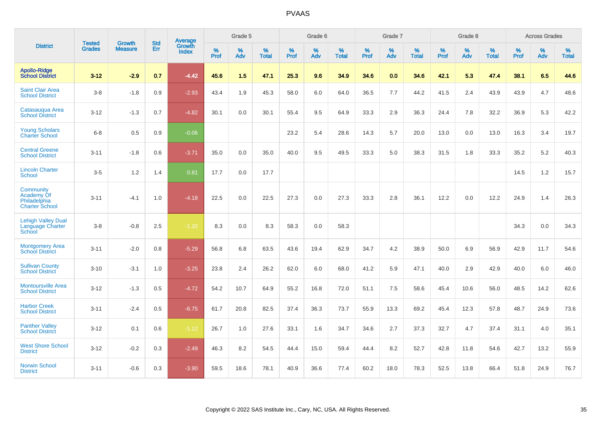|                                                                  | <b>Tested</b> | <b>Growth</b>  | <b>Std</b> | <b>Average</b>         |           | Grade 5  |                   |           | Grade 6  |                   |           | Grade 7  |                   |           | Grade 8  |                   |           | <b>Across Grades</b> |                   |
|------------------------------------------------------------------|---------------|----------------|------------|------------------------|-----------|----------|-------------------|-----------|----------|-------------------|-----------|----------|-------------------|-----------|----------|-------------------|-----------|----------------------|-------------------|
| <b>District</b>                                                  | <b>Grades</b> | <b>Measure</b> | Err        | Growth<br><b>Index</b> | %<br>Prof | %<br>Adv | %<br><b>Total</b> | %<br>Prof | %<br>Adv | %<br><b>Total</b> | %<br>Prof | %<br>Adv | %<br><b>Total</b> | %<br>Prof | %<br>Adv | %<br><b>Total</b> | %<br>Prof | %<br>Adv             | %<br><b>Total</b> |
| <b>Apollo-Ridge</b><br><b>School District</b>                    | $3 - 12$      | $-2.9$         | 0.7        | $-4.42$                | 45.6      | 1.5      | 47.1              | 25.3      | 9.6      | 34.9              | 34.6      | 0.0      | 34.6              | 42.1      | 5.3      | 47.4              | 38.1      | 6.5                  | 44.6              |
| <b>Saint Clair Area</b><br><b>School District</b>                | $3 - 8$       | $-1.8$         | 0.9        | $-2.93$                | 43.4      | 1.9      | 45.3              | 58.0      | 6.0      | 64.0              | 36.5      | 7.7      | 44.2              | 41.5      | 2.4      | 43.9              | 43.9      | 4.7                  | 48.6              |
| Catasauqua Area<br><b>School District</b>                        | $3 - 12$      | $-1.3$         | 0.7        | $-4.82$                | 30.1      | 0.0      | 30.1              | 55.4      | 9.5      | 64.9              | 33.3      | 2.9      | 36.3              | 24.4      | 7.8      | 32.2              | 36.9      | 5.3                  | 42.2              |
| <b>Young Scholars</b><br><b>Charter School</b>                   | $6 - 8$       | 0.5            | 0.9        | $-0.06$                |           |          |                   | 23.2      | 5.4      | 28.6              | 14.3      | 5.7      | 20.0              | 13.0      | 0.0      | 13.0              | 16.3      | 3.4                  | 19.7              |
| <b>Central Greene</b><br><b>School District</b>                  | $3 - 11$      | $-1.8$         | 0.6        | $-3.71$                | 35.0      | 0.0      | 35.0              | 40.0      | 9.5      | 49.5              | 33.3      | 5.0      | 38.3              | 31.5      | 1.8      | 33.3              | 35.2      | 5.2                  | 40.3              |
| <b>Lincoln Charter</b><br><b>School</b>                          | $3-5$         | 1.2            | 1.4        | 0.81                   | 17.7      | 0.0      | 17.7              |           |          |                   |           |          |                   |           |          |                   | 14.5      | 1.2                  | 15.7              |
| Community<br>Academy Of<br>Philadelphia<br><b>Charter School</b> | $3 - 11$      | $-4.1$         | 1.0        | $-4.18$                | 22.5      | 0.0      | 22.5              | 27.3      | 0.0      | 27.3              | 33.3      | 2.8      | 36.1              | 12.2      | 0.0      | 12.2              | 24.9      | 1.4                  | 26.3              |
| <b>Lehigh Valley Dual</b><br>Language Charter<br>School          | $3 - 8$       | $-0.8$         | 2.5        | $-1.32$                | 8.3       | 0.0      | 8.3               | 58.3      | 0.0      | 58.3              |           |          |                   |           |          |                   | 34.3      | 0.0                  | 34.3              |
| <b>Montgomery Area</b><br><b>School District</b>                 | $3 - 11$      | $-2.0$         | 0.8        | $-5.29$                | 56.8      | 6.8      | 63.5              | 43.6      | 19.4     | 62.9              | 34.7      | 4.2      | 38.9              | 50.0      | 6.9      | 56.9              | 42.9      | 11.7                 | 54.6              |
| <b>Sullivan County</b><br><b>School District</b>                 | $3 - 10$      | $-3.1$         | 1.0        | $-3.25$                | 23.8      | 2.4      | 26.2              | 62.0      | 6.0      | 68.0              | 41.2      | 5.9      | 47.1              | 40.0      | 2.9      | 42.9              | 40.0      | 6.0                  | 46.0              |
| <b>Montoursville Area</b><br><b>School District</b>              | $3 - 12$      | $-1.3$         | 0.5        | $-4.72$                | 54.2      | 10.7     | 64.9              | 55.2      | 16.8     | 72.0              | 51.1      | 7.5      | 58.6              | 45.4      | 10.6     | 56.0              | 48.5      | 14.2                 | 62.6              |
| <b>Harbor Creek</b><br><b>School District</b>                    | $3 - 11$      | $-2.4$         | 0.5        | $-6.75$                | 61.7      | 20.8     | 82.5              | 37.4      | 36.3     | 73.7              | 55.9      | 13.3     | 69.2              | 45.4      | 12.3     | 57.8              | 48.7      | 24.9                 | 73.6              |
| <b>Panther Valley</b><br><b>School District</b>                  | $3 - 12$      | 0.1            | 0.6        | $-1.12$                | 26.7      | 1.0      | 27.6              | 33.1      | 1.6      | 34.7              | 34.6      | 2.7      | 37.3              | 32.7      | 4.7      | 37.4              | 31.1      | 4.0                  | 35.1              |
| <b>West Shore School</b><br><b>District</b>                      | $3 - 12$      | $-0.2$         | 0.3        | $-2.49$                | 46.3      | 8.2      | 54.5              | 44.4      | 15.0     | 59.4              | 44.4      | 8.2      | 52.7              | 42.8      | 11.8     | 54.6              | 42.7      | 13.2                 | 55.9              |
| <b>Norwin School</b><br><b>District</b>                          | $3 - 11$      | $-0.6$         | 0.3        | $-3.90$                | 59.5      | 18.6     | 78.1              | 40.9      | 36.6     | 77.4              | 60.2      | 18.0     | 78.3              | 52.5      | 13.8     | 66.4              | 51.8      | 24.9                 | 76.7              |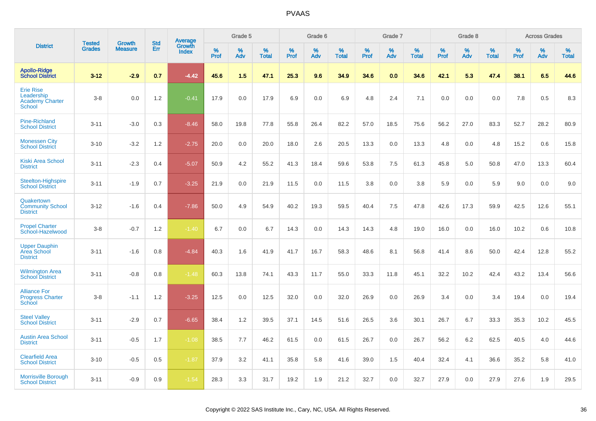|                                                                           |                                |                                 | <b>Std</b> |                                   |           | Grade 5  |                   |           | Grade 6  |                   |           | Grade 7  |                   |           | Grade 8  |                   |              | <b>Across Grades</b> |                   |
|---------------------------------------------------------------------------|--------------------------------|---------------------------------|------------|-----------------------------------|-----------|----------|-------------------|-----------|----------|-------------------|-----------|----------|-------------------|-----------|----------|-------------------|--------------|----------------------|-------------------|
| <b>District</b>                                                           | <b>Tested</b><br><b>Grades</b> | <b>Growth</b><br><b>Measure</b> | Err        | Average<br>Growth<br><b>Index</b> | %<br>Prof | %<br>Adv | %<br><b>Total</b> | %<br>Prof | %<br>Adv | %<br><b>Total</b> | %<br>Prof | %<br>Adv | %<br><b>Total</b> | %<br>Prof | %<br>Adv | %<br><b>Total</b> | $\%$<br>Prof | %<br>Adv             | %<br><b>Total</b> |
| <b>Apollo-Ridge</b><br><b>School District</b>                             | $3 - 12$                       | $-2.9$                          | 0.7        | $-4.42$                           | 45.6      | 1.5      | 47.1              | 25.3      | 9.6      | 34.9              | 34.6      | 0.0      | 34.6              | 42.1      | 5.3      | 47.4              | 38.1         | 6.5                  | 44.6              |
| <b>Erie Rise</b><br>Leadership<br><b>Academy Charter</b><br><b>School</b> | $3-8$                          | 0.0                             | 1.2        | $-0.41$                           | 17.9      | 0.0      | 17.9              | 6.9       | 0.0      | 6.9               | 4.8       | 2.4      | 7.1               | 0.0       | 0.0      | 0.0               | 7.8          | 0.5                  | 8.3               |
| <b>Pine-Richland</b><br><b>School District</b>                            | $3 - 11$                       | $-3.0$                          | 0.3        | $-8.46$                           | 58.0      | 19.8     | 77.8              | 55.8      | 26.4     | 82.2              | 57.0      | 18.5     | 75.6              | 56.2      | 27.0     | 83.3              | 52.7         | 28.2                 | 80.9              |
| <b>Monessen City</b><br><b>School District</b>                            | $3 - 10$                       | $-3.2$                          | 1.2        | $-2.75$                           | 20.0      | 0.0      | 20.0              | 18.0      | 2.6      | 20.5              | 13.3      | 0.0      | 13.3              | 4.8       | 0.0      | 4.8               | 15.2         | 0.6                  | 15.8              |
| Kiski Area School<br><b>District</b>                                      | $3 - 11$                       | $-2.3$                          | 0.4        | $-5.07$                           | 50.9      | 4.2      | 55.2              | 41.3      | 18.4     | 59.6              | 53.8      | 7.5      | 61.3              | 45.8      | 5.0      | 50.8              | 47.0         | 13.3                 | 60.4              |
| Steelton-Highspire<br><b>School District</b>                              | $3 - 11$                       | $-1.9$                          | 0.7        | $-3.25$                           | 21.9      | 0.0      | 21.9              | 11.5      | 0.0      | 11.5              | 3.8       | 0.0      | 3.8               | 5.9       | 0.0      | 5.9               | 9.0          | 0.0                  | 9.0               |
| Quakertown<br><b>Community School</b><br><b>District</b>                  | $3 - 12$                       | $-1.6$                          | 0.4        | $-7.86$                           | 50.0      | 4.9      | 54.9              | 40.2      | 19.3     | 59.5              | 40.4      | 7.5      | 47.8              | 42.6      | 17.3     | 59.9              | 42.5         | 12.6                 | 55.1              |
| <b>Propel Charter</b><br>School-Hazelwood                                 | $3-8$                          | $-0.7$                          | 1.2        | $-1.40$                           | 6.7       | 0.0      | 6.7               | 14.3      | 0.0      | 14.3              | 14.3      | 4.8      | 19.0              | 16.0      | 0.0      | 16.0              | 10.2         | 0.6                  | 10.8              |
| <b>Upper Dauphin</b><br><b>Area School</b><br><b>District</b>             | $3 - 11$                       | $-1.6$                          | 0.8        | $-4.84$                           | 40.3      | 1.6      | 41.9              | 41.7      | 16.7     | 58.3              | 48.6      | 8.1      | 56.8              | 41.4      | 8.6      | 50.0              | 42.4         | 12.8                 | 55.2              |
| <b>Wilmington Area</b><br><b>School District</b>                          | $3 - 11$                       | $-0.8$                          | 0.8        | $-1.48$                           | 60.3      | 13.8     | 74.1              | 43.3      | 11.7     | 55.0              | 33.3      | 11.8     | 45.1              | 32.2      | 10.2     | 42.4              | 43.2         | 13.4                 | 56.6              |
| <b>Alliance For</b><br><b>Progress Charter</b><br>School                  | $3-8$                          | $-1.1$                          | 1.2        | $-3.25$                           | 12.5      | 0.0      | 12.5              | 32.0      | 0.0      | 32.0              | 26.9      | 0.0      | 26.9              | 3.4       | 0.0      | 3.4               | 19.4         | 0.0                  | 19.4              |
| <b>Steel Valley</b><br><b>School District</b>                             | $3 - 11$                       | $-2.9$                          | 0.7        | $-6.65$                           | 38.4      | 1.2      | 39.5              | 37.1      | 14.5     | 51.6              | 26.5      | 3.6      | 30.1              | 26.7      | 6.7      | 33.3              | 35.3         | 10.2                 | 45.5              |
| <b>Austin Area School</b><br><b>District</b>                              | $3 - 11$                       | $-0.5$                          | 1.7        | $-1.08$                           | 38.5      | 7.7      | 46.2              | 61.5      | 0.0      | 61.5              | 26.7      | 0.0      | 26.7              | 56.2      | 6.2      | 62.5              | 40.5         | 4.0                  | 44.6              |
| <b>Clearfield Area</b><br><b>School District</b>                          | $3 - 10$                       | $-0.5$                          | 0.5        | $-1.87$                           | 37.9      | 3.2      | 41.1              | 35.8      | 5.8      | 41.6              | 39.0      | 1.5      | 40.4              | 32.4      | 4.1      | 36.6              | 35.2         | 5.8                  | 41.0              |
| <b>Morrisville Borough</b><br><b>School District</b>                      | $3 - 11$                       | $-0.9$                          | 0.9        | $-1.54$                           | 28.3      | 3.3      | 31.7              | 19.2      | 1.9      | 21.2              | 32.7      | 0.0      | 32.7              | 27.9      | 0.0      | 27.9              | 27.6         | 1.9                  | 29.5              |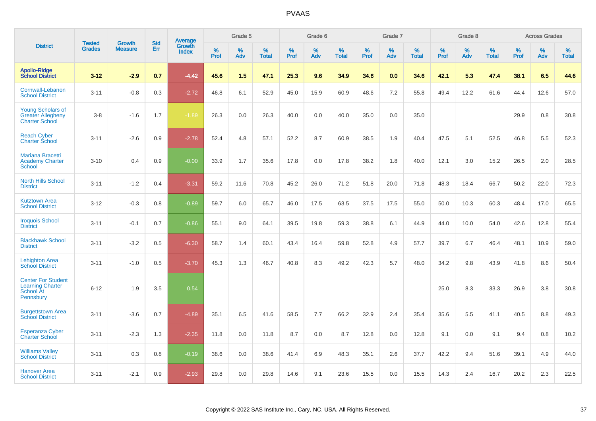|                                                                                |                                | <b>Growth</b>  | <b>Std</b> |                                   |              | Grade 5  |                   |           | Grade 6  |                   |           | Grade 7  |                   |           | Grade 8  |                   |              | <b>Across Grades</b> |                   |
|--------------------------------------------------------------------------------|--------------------------------|----------------|------------|-----------------------------------|--------------|----------|-------------------|-----------|----------|-------------------|-----------|----------|-------------------|-----------|----------|-------------------|--------------|----------------------|-------------------|
| <b>District</b>                                                                | <b>Tested</b><br><b>Grades</b> | <b>Measure</b> | <b>Err</b> | Average<br>Growth<br><b>Index</b> | $\%$<br>Prof | %<br>Adv | %<br><b>Total</b> | %<br>Prof | %<br>Adv | %<br><b>Total</b> | %<br>Prof | %<br>Adv | %<br><b>Total</b> | %<br>Prof | %<br>Adv | %<br><b>Total</b> | $\%$<br>Prof | %<br>Adv             | %<br><b>Total</b> |
| <b>Apollo-Ridge</b><br><b>School District</b>                                  | $3 - 12$                       | $-2.9$         | 0.7        | $-4.42$                           | 45.6         | 1.5      | 47.1              | 25.3      | 9.6      | 34.9              | 34.6      | 0.0      | 34.6              | 42.1      | 5.3      | 47.4              | 38.1         | 6.5                  | 44.6              |
| Cornwall-Lebanon<br><b>School District</b>                                     | $3 - 11$                       | $-0.8$         | 0.3        | $-2.72$                           | 46.8         | 6.1      | 52.9              | 45.0      | 15.9     | 60.9              | 48.6      | 7.2      | 55.8              | 49.4      | 12.2     | 61.6              | 44.4         | 12.6                 | 57.0              |
| <b>Young Scholars of</b><br><b>Greater Allegheny</b><br><b>Charter School</b>  | $3 - 8$                        | $-1.6$         | 1.7        | $-1.89$                           | 26.3         | 0.0      | 26.3              | 40.0      | 0.0      | 40.0              | 35.0      | 0.0      | 35.0              |           |          |                   | 29.9         | 0.8                  | 30.8              |
| <b>Reach Cyber</b><br><b>Charter School</b>                                    | $3 - 11$                       | $-2.6$         | 0.9        | $-2.78$                           | 52.4         | 4.8      | 57.1              | 52.2      | 8.7      | 60.9              | 38.5      | 1.9      | 40.4              | 47.5      | 5.1      | 52.5              | 46.8         | 5.5                  | 52.3              |
| <b>Mariana Bracetti</b><br><b>Academy Charter</b><br>School                    | $3 - 10$                       | 0.4            | 0.9        | $-0.00$                           | 33.9         | 1.7      | 35.6              | 17.8      | 0.0      | 17.8              | 38.2      | 1.8      | 40.0              | 12.1      | 3.0      | 15.2              | 26.5         | 2.0                  | 28.5              |
| <b>North Hills School</b><br><b>District</b>                                   | $3 - 11$                       | $-1.2$         | 0.4        | $-3.31$                           | 59.2         | 11.6     | 70.8              | 45.2      | 26.0     | 71.2              | 51.8      | 20.0     | 71.8              | 48.3      | 18.4     | 66.7              | 50.2         | 22.0                 | 72.3              |
| <b>Kutztown Area</b><br><b>School District</b>                                 | $3 - 12$                       | $-0.3$         | 0.8        | $-0.89$                           | 59.7         | 6.0      | 65.7              | 46.0      | 17.5     | 63.5              | 37.5      | 17.5     | 55.0              | 50.0      | 10.3     | 60.3              | 48.4         | 17.0                 | 65.5              |
| <b>Iroquois School</b><br><b>District</b>                                      | $3 - 11$                       | $-0.1$         | 0.7        | $-0.86$                           | 55.1         | 9.0      | 64.1              | 39.5      | 19.8     | 59.3              | 38.8      | 6.1      | 44.9              | 44.0      | 10.0     | 54.0              | 42.6         | 12.8                 | 55.4              |
| <b>Blackhawk School</b><br><b>District</b>                                     | $3 - 11$                       | $-3.2$         | 0.5        | $-6.30$                           | 58.7         | 1.4      | 60.1              | 43.4      | 16.4     | 59.8              | 52.8      | 4.9      | 57.7              | 39.7      | 6.7      | 46.4              | 48.1         | 10.9                 | 59.0              |
| <b>Lehighton Area</b><br><b>School District</b>                                | $3 - 11$                       | $-1.0$         | 0.5        | $-3.70$                           | 45.3         | 1.3      | 46.7              | 40.8      | 8.3      | 49.2              | 42.3      | 5.7      | 48.0              | 34.2      | 9.8      | 43.9              | 41.8         | 8.6                  | 50.4              |
| <b>Center For Student</b><br><b>Learning Charter</b><br>School At<br>Pennsbury | $6 - 12$                       | 1.9            | 3.5        | 0.54                              |              |          |                   |           |          |                   |           |          |                   | 25.0      | 8.3      | 33.3              | 26.9         | 3.8                  | 30.8              |
| <b>Burgettstown Area</b><br><b>School District</b>                             | $3 - 11$                       | $-3.6$         | 0.7        | $-4.89$                           | 35.1         | 6.5      | 41.6              | 58.5      | 7.7      | 66.2              | 32.9      | 2.4      | 35.4              | 35.6      | 5.5      | 41.1              | 40.5         | 8.8                  | 49.3              |
| <b>Esperanza Cyber</b><br><b>Charter School</b>                                | $3 - 11$                       | $-2.3$         | 1.3        | $-2.35$                           | 11.8         | 0.0      | 11.8              | 8.7       | 0.0      | 8.7               | 12.8      | 0.0      | 12.8              | 9.1       | 0.0      | 9.1               | 9.4          | 0.8                  | 10.2              |
| <b>Williams Valley</b><br><b>School District</b>                               | $3 - 11$                       | 0.3            | 0.8        | $-0.19$                           | 38.6         | 0.0      | 38.6              | 41.4      | 6.9      | 48.3              | 35.1      | 2.6      | 37.7              | 42.2      | 9.4      | 51.6              | 39.1         | 4.9                  | 44.0              |
| Hanover Area<br><b>School District</b>                                         | $3 - 11$                       | $-2.1$         | 0.9        | $-2.93$                           | 29.8         | 0.0      | 29.8              | 14.6      | 9.1      | 23.6              | 15.5      | 0.0      | 15.5              | 14.3      | 2.4      | 16.7              | 20.2         | 2.3                  | 22.5              |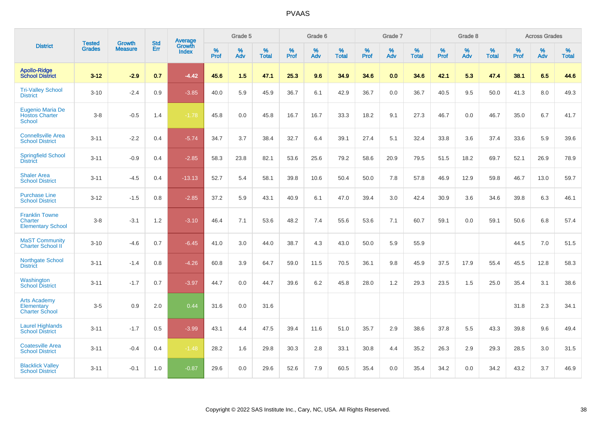|                                                                   | <b>Tested</b> | <b>Growth</b>  | <b>Std</b> | Average                |           | Grade 5  |                   |           | Grade 6  |                   |           | Grade 7  |                   |              | Grade 8  |                   |           | <b>Across Grades</b> |                   |
|-------------------------------------------------------------------|---------------|----------------|------------|------------------------|-----------|----------|-------------------|-----------|----------|-------------------|-----------|----------|-------------------|--------------|----------|-------------------|-----------|----------------------|-------------------|
| <b>District</b>                                                   | <b>Grades</b> | <b>Measure</b> | Err        | Growth<br><b>Index</b> | %<br>Prof | %<br>Adv | %<br><b>Total</b> | %<br>Prof | %<br>Adv | %<br><b>Total</b> | %<br>Prof | %<br>Adv | %<br><b>Total</b> | $\%$<br>Prof | %<br>Adv | %<br><b>Total</b> | %<br>Prof | %<br>Adv             | %<br><b>Total</b> |
| <b>Apollo-Ridge</b><br><b>School District</b>                     | $3 - 12$      | $-2.9$         | 0.7        | $-4.42$                | 45.6      | 1.5      | 47.1              | 25.3      | 9.6      | 34.9              | 34.6      | 0.0      | 34.6              | 42.1         | 5.3      | 47.4              | 38.1      | 6.5                  | 44.6              |
| <b>Tri-Valley School</b><br><b>District</b>                       | $3 - 10$      | $-2.4$         | 0.9        | $-3.85$                | 40.0      | 5.9      | 45.9              | 36.7      | 6.1      | 42.9              | 36.7      | 0.0      | 36.7              | 40.5         | 9.5      | 50.0              | 41.3      | 8.0                  | 49.3              |
| <b>Eugenio Maria De</b><br><b>Hostos Charter</b><br><b>School</b> | $3 - 8$       | $-0.5$         | 1.4        | $-1.78$                | 45.8      | 0.0      | 45.8              | 16.7      | 16.7     | 33.3              | 18.2      | 9.1      | 27.3              | 46.7         | 0.0      | 46.7              | 35.0      | 6.7                  | 41.7              |
| <b>Connellsville Area</b><br><b>School District</b>               | $3 - 11$      | $-2.2$         | 0.4        | $-5.74$                | 34.7      | 3.7      | 38.4              | 32.7      | 6.4      | 39.1              | 27.4      | 5.1      | 32.4              | 33.8         | 3.6      | 37.4              | 33.6      | 5.9                  | 39.6              |
| <b>Springfield School</b><br><b>District</b>                      | $3 - 11$      | $-0.9$         | 0.4        | $-2.85$                | 58.3      | 23.8     | 82.1              | 53.6      | 25.6     | 79.2              | 58.6      | 20.9     | 79.5              | 51.5         | 18.2     | 69.7              | 52.1      | 26.9                 | 78.9              |
| <b>Shaler Area</b><br><b>School District</b>                      | $3 - 11$      | $-4.5$         | 0.4        | $-13.13$               | 52.7      | 5.4      | 58.1              | 39.8      | 10.6     | 50.4              | 50.0      | 7.8      | 57.8              | 46.9         | 12.9     | 59.8              | 46.7      | 13.0                 | 59.7              |
| <b>Purchase Line</b><br><b>School District</b>                    | $3 - 12$      | $-1.5$         | 0.8        | $-2.85$                | 37.2      | 5.9      | 43.1              | 40.9      | 6.1      | 47.0              | 39.4      | 3.0      | 42.4              | 30.9         | 3.6      | 34.6              | 39.8      | 6.3                  | 46.1              |
| <b>Franklin Towne</b><br>Charter<br><b>Elementary School</b>      | $3 - 8$       | $-3.1$         | 1.2        | $-3.10$                | 46.4      | 7.1      | 53.6              | 48.2      | 7.4      | 55.6              | 53.6      | 7.1      | 60.7              | 59.1         | 0.0      | 59.1              | 50.6      | 6.8                  | 57.4              |
| <b>MaST Community</b><br>Charter School II                        | $3 - 10$      | $-4.6$         | 0.7        | $-6.45$                | 41.0      | 3.0      | 44.0              | 38.7      | 4.3      | 43.0              | 50.0      | 5.9      | 55.9              |              |          |                   | 44.5      | 7.0                  | 51.5              |
| Northgate School<br><b>District</b>                               | $3 - 11$      | $-1.4$         | 0.8        | $-4.26$                | 60.8      | 3.9      | 64.7              | 59.0      | 11.5     | 70.5              | 36.1      | 9.8      | 45.9              | 37.5         | 17.9     | 55.4              | 45.5      | 12.8                 | 58.3              |
| Washington<br><b>School District</b>                              | $3 - 11$      | $-1.7$         | 0.7        | $-3.97$                | 44.7      | 0.0      | 44.7              | 39.6      | 6.2      | 45.8              | 28.0      | 1.2      | 29.3              | 23.5         | 1.5      | 25.0              | 35.4      | 3.1                  | 38.6              |
| <b>Arts Academy</b><br>Elementary<br><b>Charter School</b>        | $3-5$         | 0.9            | 2.0        | 0.44                   | 31.6      | 0.0      | 31.6              |           |          |                   |           |          |                   |              |          |                   | 31.8      | 2.3                  | 34.1              |
| <b>Laurel Highlands</b><br><b>School District</b>                 | $3 - 11$      | $-1.7$         | 0.5        | $-3.99$                | 43.1      | 4.4      | 47.5              | 39.4      | 11.6     | 51.0              | 35.7      | 2.9      | 38.6              | 37.8         | 5.5      | 43.3              | 39.8      | 9.6                  | 49.4              |
| <b>Coatesville Area</b><br><b>School District</b>                 | $3 - 11$      | $-0.4$         | 0.4        | $-1.48$                | 28.2      | 1.6      | 29.8              | 30.3      | 2.8      | 33.1              | 30.8      | 4.4      | 35.2              | 26.3         | 2.9      | 29.3              | 28.5      | 3.0                  | 31.5              |
| <b>Blacklick Valley</b><br><b>School District</b>                 | $3 - 11$      | $-0.1$         | 1.0        | $-0.87$                | 29.6      | 0.0      | 29.6              | 52.6      | 7.9      | 60.5              | 35.4      | 0.0      | 35.4              | 34.2         | 0.0      | 34.2              | 43.2      | 3.7                  | 46.9              |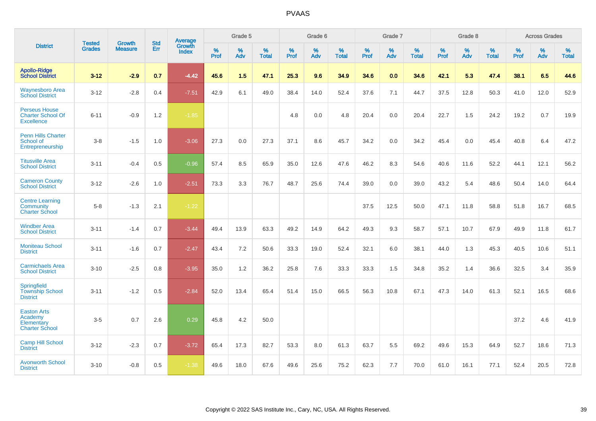|                                                                       | <b>Tested</b> | <b>Growth</b>  | <b>Std</b> | Average                |                     | Grade 5  |                   |              | Grade 6  |                   |              | Grade 7  |                   |              | Grade 8  |                   |           | <b>Across Grades</b> |                   |
|-----------------------------------------------------------------------|---------------|----------------|------------|------------------------|---------------------|----------|-------------------|--------------|----------|-------------------|--------------|----------|-------------------|--------------|----------|-------------------|-----------|----------------------|-------------------|
| <b>District</b>                                                       | <b>Grades</b> | <b>Measure</b> | Err        | Growth<br><b>Index</b> | $\%$<br><b>Prof</b> | %<br>Adv | %<br><b>Total</b> | $\%$<br>Prof | %<br>Adv | %<br><b>Total</b> | $\%$<br>Prof | %<br>Adv | %<br><b>Total</b> | $\%$<br>Prof | %<br>Adv | %<br><b>Total</b> | %<br>Prof | %<br>Adv             | %<br><b>Total</b> |
| <b>Apollo-Ridge</b><br><b>School District</b>                         | $3 - 12$      | $-2.9$         | 0.7        | $-4.42$                | 45.6                | 1.5      | 47.1              | 25.3         | 9.6      | 34.9              | 34.6         | 0.0      | 34.6              | 42.1         | 5.3      | 47.4              | 38.1      | 6.5                  | 44.6              |
| Waynesboro Area<br><b>School District</b>                             | $3 - 12$      | $-2.8$         | 0.4        | $-7.51$                | 42.9                | 6.1      | 49.0              | 38.4         | 14.0     | 52.4              | 37.6         | 7.1      | 44.7              | 37.5         | 12.8     | 50.3              | 41.0      | 12.0                 | 52.9              |
| <b>Perseus House</b><br><b>Charter School Of</b><br><b>Excellence</b> | $6 - 11$      | $-0.9$         | 1.2        | $-1.85$                |                     |          |                   | 4.8          | 0.0      | 4.8               | 20.4         | 0.0      | 20.4              | 22.7         | 1.5      | 24.2              | 19.2      | 0.7                  | 19.9              |
| <b>Penn Hills Charter</b><br>School of<br>Entrepreneurship            | $3-8$         | $-1.5$         | 1.0        | $-3.06$                | 27.3                | 0.0      | 27.3              | 37.1         | 8.6      | 45.7              | 34.2         | 0.0      | 34.2              | 45.4         | 0.0      | 45.4              | 40.8      | 6.4                  | 47.2              |
| <b>Titusville Area</b><br><b>School District</b>                      | $3 - 11$      | $-0.4$         | 0.5        | $-0.96$                | 57.4                | 8.5      | 65.9              | 35.0         | 12.6     | 47.6              | 46.2         | 8.3      | 54.6              | 40.6         | 11.6     | 52.2              | 44.1      | 12.1                 | 56.2              |
| <b>Cameron County</b><br><b>School District</b>                       | $3 - 12$      | $-2.6$         | 1.0        | $-2.51$                | 73.3                | 3.3      | 76.7              | 48.7         | 25.6     | 74.4              | 39.0         | 0.0      | 39.0              | 43.2         | 5.4      | 48.6              | 50.4      | 14.0                 | 64.4              |
| <b>Centre Learning</b><br>Community<br><b>Charter School</b>          | $5-8$         | $-1.3$         | 2.1        | $-1.22$                |                     |          |                   |              |          |                   | 37.5         | 12.5     | 50.0              | 47.1         | 11.8     | 58.8              | 51.8      | 16.7                 | 68.5              |
| <b>Windber Area</b><br><b>School District</b>                         | $3 - 11$      | $-1.4$         | 0.7        | $-3.44$                | 49.4                | 13.9     | 63.3              | 49.2         | 14.9     | 64.2              | 49.3         | 9.3      | 58.7              | 57.1         | 10.7     | 67.9              | 49.9      | 11.8                 | 61.7              |
| <b>Moniteau School</b><br><b>District</b>                             | $3 - 11$      | $-1.6$         | 0.7        | $-2.47$                | 43.4                | 7.2      | 50.6              | 33.3         | 19.0     | 52.4              | 32.1         | 6.0      | 38.1              | 44.0         | 1.3      | 45.3              | 40.5      | 10.6                 | 51.1              |
| <b>Carmichaels Area</b><br><b>School District</b>                     | $3 - 10$      | $-2.5$         | 0.8        | $-3.95$                | 35.0                | 1.2      | 36.2              | 25.8         | 7.6      | 33.3              | 33.3         | 1.5      | 34.8              | 35.2         | 1.4      | 36.6              | 32.5      | 3.4                  | 35.9              |
| Springfield<br><b>Township School</b><br><b>District</b>              | $3 - 11$      | $-1.2$         | 0.5        | $-2.84$                | 52.0                | 13.4     | 65.4              | 51.4         | 15.0     | 66.5              | 56.3         | 10.8     | 67.1              | 47.3         | 14.0     | 61.3              | 52.1      | 16.5                 | 68.6              |
| <b>Easton Arts</b><br>Academy<br>Elementary<br><b>Charter School</b>  | $3-5$         | 0.7            | 2.6        | 0.29                   | 45.8                | 4.2      | 50.0              |              |          |                   |              |          |                   |              |          |                   | 37.2      | 4.6                  | 41.9              |
| <b>Camp Hill School</b><br><b>District</b>                            | $3 - 12$      | $-2.3$         | 0.7        | $-3.72$                | 65.4                | 17.3     | 82.7              | 53.3         | 8.0      | 61.3              | 63.7         | 5.5      | 69.2              | 49.6         | 15.3     | 64.9              | 52.7      | 18.6                 | 71.3              |
| <b>Avonworth School</b><br><b>District</b>                            | $3 - 10$      | $-0.8$         | 0.5        | $-1.38$                | 49.6                | 18.0     | 67.6              | 49.6         | 25.6     | 75.2              | 62.3         | 7.7      | 70.0              | 61.0         | 16.1     | 77.1              | 52.4      | 20.5                 | 72.8              |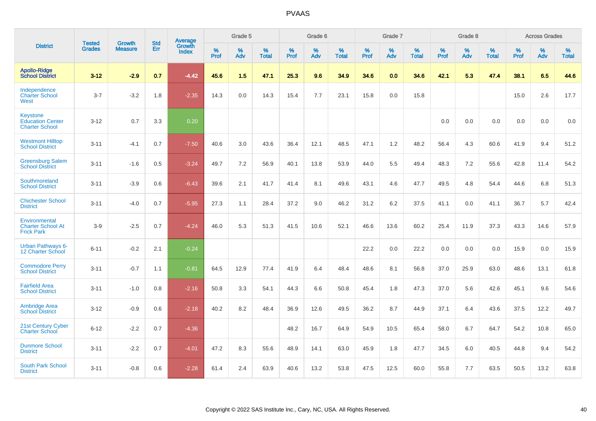|                                                                     | <b>Tested</b> | <b>Growth</b>  | <b>Std</b> | Average                       |           | Grade 5  |                   |           | Grade 6  |                   |           | Grade 7  |                   |           | Grade 8  |                   |           | <b>Across Grades</b> |                   |
|---------------------------------------------------------------------|---------------|----------------|------------|-------------------------------|-----------|----------|-------------------|-----------|----------|-------------------|-----------|----------|-------------------|-----------|----------|-------------------|-----------|----------------------|-------------------|
| <b>District</b>                                                     | <b>Grades</b> | <b>Measure</b> | Err        | <b>Growth</b><br><b>Index</b> | %<br>Prof | %<br>Adv | %<br><b>Total</b> | %<br>Prof | %<br>Adv | %<br><b>Total</b> | %<br>Prof | %<br>Adv | %<br><b>Total</b> | %<br>Prof | %<br>Adv | %<br><b>Total</b> | %<br>Prof | %<br>Adv             | %<br><b>Total</b> |
| <b>Apollo-Ridge</b><br><b>School District</b>                       | $3 - 12$      | $-2.9$         | 0.7        | $-4.42$                       | 45.6      | 1.5      | 47.1              | 25.3      | 9.6      | 34.9              | 34.6      | 0.0      | 34.6              | 42.1      | 5.3      | 47.4              | 38.1      | 6.5                  | 44.6              |
| Independence<br><b>Charter School</b><br>West                       | $3 - 7$       | $-3.2$         | 1.8        | $-2.35$                       | 14.3      | 0.0      | 14.3              | 15.4      | 7.7      | 23.1              | 15.8      | 0.0      | 15.8              |           |          |                   | 15.0      | 2.6                  | 17.7              |
| <b>Keystone</b><br><b>Education Center</b><br><b>Charter School</b> | $3 - 12$      | 0.7            | 3.3        | 0.20                          |           |          |                   |           |          |                   |           |          |                   | 0.0       | 0.0      | 0.0               | 0.0       | 0.0                  | 0.0               |
| <b>Westmont Hilltop</b><br><b>School District</b>                   | $3 - 11$      | $-4.1$         | 0.7        | $-7.50$                       | 40.6      | 3.0      | 43.6              | 36.4      | 12.1     | 48.5              | 47.1      | 1.2      | 48.2              | 56.4      | 4.3      | 60.6              | 41.9      | 9.4                  | 51.2              |
| <b>Greensburg Salem</b><br><b>School District</b>                   | $3 - 11$      | $-1.6$         | 0.5        | $-3.24$                       | 49.7      | 7.2      | 56.9              | 40.1      | 13.8     | 53.9              | 44.0      | 5.5      | 49.4              | 48.3      | 7.2      | 55.6              | 42.8      | 11.4                 | 54.2              |
| Southmoreland<br><b>School District</b>                             | $3 - 11$      | $-3.9$         | 0.6        | $-6.43$                       | 39.6      | 2.1      | 41.7              | 41.4      | 8.1      | 49.6              | 43.1      | 4.6      | 47.7              | 49.5      | 4.8      | 54.4              | 44.6      | 6.8                  | 51.3              |
| <b>Chichester School</b><br><b>District</b>                         | $3 - 11$      | $-4.0$         | 0.7        | $-5.95$                       | 27.3      | 1.1      | 28.4              | 37.2      | 9.0      | 46.2              | 31.2      | 6.2      | 37.5              | 41.1      | 0.0      | 41.1              | 36.7      | 5.7                  | 42.4              |
| Environmental<br><b>Charter School At</b><br><b>Frick Park</b>      | $3-9$         | $-2.5$         | 0.7        | $-4.24$                       | 46.0      | 5.3      | 51.3              | 41.5      | 10.6     | 52.1              | 46.6      | 13.6     | 60.2              | 25.4      | 11.9     | 37.3              | 43.3      | 14.6                 | 57.9              |
| <b>Urban Pathways 6-</b><br>12 Charter School                       | $6 - 11$      | $-0.2$         | 2.1        | $-0.24$                       |           |          |                   |           |          |                   | 22.2      | 0.0      | 22.2              | 0.0       | 0.0      | 0.0               | 15.9      | 0.0                  | 15.9              |
| <b>Commodore Perry</b><br><b>School District</b>                    | $3 - 11$      | $-0.7$         | 1.1        | $-0.81$                       | 64.5      | 12.9     | 77.4              | 41.9      | 6.4      | 48.4              | 48.6      | 8.1      | 56.8              | 37.0      | 25.9     | 63.0              | 48.6      | 13.1                 | 61.8              |
| <b>Fairfield Area</b><br><b>School District</b>                     | $3 - 11$      | $-1.0$         | 0.8        | $-2.16$                       | 50.8      | 3.3      | 54.1              | 44.3      | 6.6      | 50.8              | 45.4      | 1.8      | 47.3              | 37.0      | 5.6      | 42.6              | 45.1      | 9.6                  | 54.6              |
| <b>Ambridge Area</b><br><b>School District</b>                      | $3 - 12$      | $-0.9$         | 0.6        | $-2.18$                       | 40.2      | 8.2      | 48.4              | 36.9      | 12.6     | 49.5              | 36.2      | 8.7      | 44.9              | 37.1      | 6.4      | 43.6              | 37.5      | 12.2                 | 49.7              |
| <b>21st Century Cyber</b><br><b>Charter School</b>                  | $6 - 12$      | $-2.2$         | 0.7        | $-4.36$                       |           |          |                   | 48.2      | 16.7     | 64.9              | 54.9      | 10.5     | 65.4              | 58.0      | 6.7      | 64.7              | 54.2      | 10.8                 | 65.0              |
| <b>Dunmore School</b><br><b>District</b>                            | $3 - 11$      | $-2.2$         | 0.7        | $-4.01$                       | 47.2      | 8.3      | 55.6              | 48.9      | 14.1     | 63.0              | 45.9      | 1.8      | 47.7              | 34.5      | 6.0      | 40.5              | 44.8      | 9.4                  | 54.2              |
| <b>South Park School</b><br><b>District</b>                         | $3 - 11$      | $-0.8$         | 0.6        | $-2.28$                       | 61.4      | 2.4      | 63.9              | 40.6      | 13.2     | 53.8              | 47.5      | 12.5     | 60.0              | 55.8      | 7.7      | 63.5              | 50.5      | 13.2                 | 63.8              |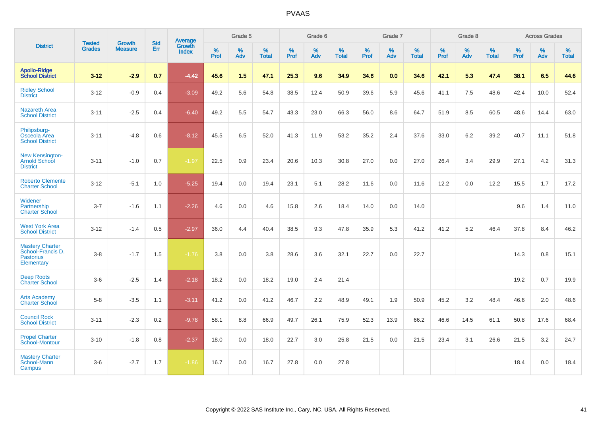|                                                                               | <b>Tested</b> | <b>Growth</b>  | <b>Std</b> | Average         |              | Grade 5  |                   |              | Grade 6  |                   |              | Grade 7  |                   |              | Grade 8  |                   |              | <b>Across Grades</b> |                   |
|-------------------------------------------------------------------------------|---------------|----------------|------------|-----------------|--------------|----------|-------------------|--------------|----------|-------------------|--------------|----------|-------------------|--------------|----------|-------------------|--------------|----------------------|-------------------|
| <b>District</b>                                                               | <b>Grades</b> | <b>Measure</b> | Err        | Growth<br>Index | $\%$<br>Prof | %<br>Adv | %<br><b>Total</b> | $\%$<br>Prof | %<br>Adv | %<br><b>Total</b> | $\%$<br>Prof | %<br>Adv | %<br><b>Total</b> | $\%$<br>Prof | %<br>Adv | %<br><b>Total</b> | $\%$<br>Prof | $\%$<br>Adv          | %<br><b>Total</b> |
| <b>Apollo-Ridge</b><br><b>School District</b>                                 | $3 - 12$      | $-2.9$         | 0.7        | $-4.42$         | 45.6         | 1.5      | 47.1              | 25.3         | 9.6      | 34.9              | 34.6         | 0.0      | 34.6              | 42.1         | 5.3      | 47.4              | 38.1         | 6.5                  | 44.6              |
| <b>Ridley School</b><br><b>District</b>                                       | $3 - 12$      | $-0.9$         | 0.4        | $-3.09$         | 49.2         | 5.6      | 54.8              | 38.5         | 12.4     | 50.9              | 39.6         | 5.9      | 45.6              | 41.1         | 7.5      | 48.6              | 42.4         | 10.0                 | 52.4              |
| <b>Nazareth Area</b><br><b>School District</b>                                | $3 - 11$      | $-2.5$         | 0.4        | $-6.40$         | 49.2         | 5.5      | 54.7              | 43.3         | 23.0     | 66.3              | 56.0         | 8.6      | 64.7              | 51.9         | 8.5      | 60.5              | 48.6         | 14.4                 | 63.0              |
| Philipsburg-<br>Osceola Area<br><b>School District</b>                        | $3 - 11$      | $-4.8$         | 0.6        | $-8.12$         | 45.5         | 6.5      | 52.0              | 41.3         | 11.9     | 53.2              | 35.2         | 2.4      | 37.6              | 33.0         | 6.2      | 39.2              | 40.7         | 11.1                 | 51.8              |
| New Kensington-<br><b>Arnold School</b><br><b>District</b>                    | $3 - 11$      | $-1.0$         | 0.7        | $-1.97$         | 22.5         | 0.9      | 23.4              | 20.6         | 10.3     | 30.8              | 27.0         | 0.0      | 27.0              | 26.4         | 3.4      | 29.9              | 27.1         | 4.2                  | 31.3              |
| <b>Roberto Clemente</b><br><b>Charter School</b>                              | $3 - 12$      | $-5.1$         | 1.0        | $-5.25$         | 19.4         | 0.0      | 19.4              | 23.1         | 5.1      | 28.2              | 11.6         | 0.0      | 11.6              | 12.2         | 0.0      | 12.2              | 15.5         | 1.7                  | 17.2              |
| Widener<br>Partnership<br><b>Charter School</b>                               | $3 - 7$       | $-1.6$         | 1.1        | $-2.26$         | 4.6          | 0.0      | 4.6               | 15.8         | 2.6      | 18.4              | 14.0         | 0.0      | 14.0              |              |          |                   | 9.6          | 1.4                  | 11.0              |
| <b>West York Area</b><br><b>School District</b>                               | $3 - 12$      | $-1.4$         | 0.5        | $-2.97$         | 36.0         | 4.4      | 40.4              | 38.5         | 9.3      | 47.8              | 35.9         | 5.3      | 41.2              | 41.2         | 5.2      | 46.4              | 37.8         | 8.4                  | 46.2              |
| <b>Mastery Charter</b><br>School-Francis D.<br><b>Pastorius</b><br>Elementary | $3-8$         | $-1.7$         | 1.5        | $-1.76$         | 3.8          | 0.0      | 3.8               | 28.6         | 3.6      | 32.1              | 22.7         | 0.0      | 22.7              |              |          |                   | 14.3         | 0.8                  | 15.1              |
| <b>Deep Roots</b><br><b>Charter School</b>                                    | $3-6$         | $-2.5$         | 1.4        | $-2.18$         | 18.2         | 0.0      | 18.2              | 19.0         | 2.4      | 21.4              |              |          |                   |              |          |                   | 19.2         | 0.7                  | 19.9              |
| <b>Arts Academy</b><br><b>Charter School</b>                                  | $5 - 8$       | $-3.5$         | 1.1        | $-3.11$         | 41.2         | 0.0      | 41.2              | 46.7         | 2.2      | 48.9              | 49.1         | 1.9      | 50.9              | 45.2         | 3.2      | 48.4              | 46.6         | 2.0                  | 48.6              |
| <b>Council Rock</b><br><b>School District</b>                                 | $3 - 11$      | $-2.3$         | $0.2\,$    | $-9.78$         | 58.1         | 8.8      | 66.9              | 49.7         | 26.1     | 75.9              | 52.3         | 13.9     | 66.2              | 46.6         | 14.5     | 61.1              | 50.8         | 17.6                 | 68.4              |
| <b>Propel Charter</b><br><b>School-Montour</b>                                | $3 - 10$      | $-1.8$         | 0.8        | $-2.37$         | 18.0         | 0.0      | 18.0              | 22.7         | 3.0      | 25.8              | 21.5         | 0.0      | 21.5              | 23.4         | 3.1      | 26.6              | 21.5         | 3.2                  | 24.7              |
| <b>Mastery Charter</b><br>School-Mann<br>Campus                               | $3-6$         | $-2.7$         | 1.7        | $-1.86$         | 16.7         | 0.0      | 16.7              | 27.8         | 0.0      | 27.8              |              |          |                   |              |          |                   | 18.4         | 0.0                  | 18.4              |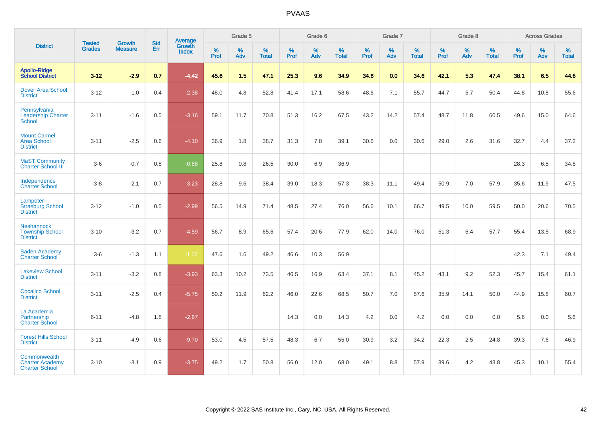|                                                                 |                                |                                 | <b>Std</b> | Average                |              | Grade 5  |                   |              | Grade 6  |                   |              | Grade 7  |                   |                     | Grade 8  |                   |                     | <b>Across Grades</b> |                   |
|-----------------------------------------------------------------|--------------------------------|---------------------------------|------------|------------------------|--------------|----------|-------------------|--------------|----------|-------------------|--------------|----------|-------------------|---------------------|----------|-------------------|---------------------|----------------------|-------------------|
| <b>District</b>                                                 | <b>Tested</b><br><b>Grades</b> | <b>Growth</b><br><b>Measure</b> | Err        | Growth<br><b>Index</b> | $\%$<br>Prof | %<br>Adv | %<br><b>Total</b> | $\%$<br>Prof | %<br>Adv | %<br><b>Total</b> | $\%$<br>Prof | %<br>Adv | %<br><b>Total</b> | $\%$<br><b>Prof</b> | %<br>Adv | %<br><b>Total</b> | $\%$<br><b>Prof</b> | %<br>Adv             | %<br><b>Total</b> |
| <b>Apollo-Ridge</b><br><b>School District</b>                   | $3 - 12$                       | $-2.9$                          | 0.7        | $-4.42$                | 45.6         | 1.5      | 47.1              | 25.3         | 9.6      | 34.9              | 34.6         | 0.0      | 34.6              | 42.1                | 5.3      | 47.4              | 38.1                | 6.5                  | 44.6              |
| <b>Dover Area School</b><br><b>District</b>                     | $3 - 12$                       | $-1.0$                          | 0.4        | $-2.38$                | 48.0         | 4.8      | 52.8              | 41.4         | 17.1     | 58.6              | 48.6         | 7.1      | 55.7              | 44.7                | 5.7      | 50.4              | 44.8                | 10.8                 | 55.6              |
| Pennsylvania<br><b>Leadership Charter</b><br><b>School</b>      | $3 - 11$                       | $-1.6$                          | 0.5        | $-3.16$                | 59.1         | 11.7     | 70.8              | 51.3         | 16.2     | 67.5              | 43.2         | 14.2     | 57.4              | 48.7                | 11.8     | 60.5              | 49.6                | 15.0                 | 64.6              |
| <b>Mount Carmel</b><br><b>Area School</b><br><b>District</b>    | $3 - 11$                       | $-2.5$                          | 0.6        | $-4.10$                | 36.9         | 1.8      | 38.7              | 31.3         | 7.8      | 39.1              | 30.6         | 0.0      | 30.6              | 29.0                | 2.6      | 31.6              | 32.7                | 4.4                  | 37.2              |
| <b>MaST Community</b><br><b>Charter School III</b>              | $3-6$                          | $-0.7$                          | 0.8        | $-0.88$                | 25.8         | 0.8      | 26.5              | 30.0         | 6.9      | 36.9              |              |          |                   |                     |          |                   | 28.3                | 6.5                  | 34.8              |
| Independence<br><b>Charter School</b>                           | $3 - 8$                        | $-2.1$                          | 0.7        | $-3.23$                | 28.8         | 9.6      | 38.4              | 39.0         | 18.3     | 57.3              | 38.3         | 11.1     | 49.4              | 50.9                | 7.0      | 57.9              | 35.6                | 11.9                 | 47.5              |
| Lampeter-<br><b>Strasburg School</b><br><b>District</b>         | $3 - 12$                       | $-1.0$                          | 0.5        | $-2.99$                | 56.5         | 14.9     | 71.4              | 48.5         | 27.4     | 76.0              | 56.6         | 10.1     | 66.7              | 49.5                | 10.0     | 59.5              | 50.0                | 20.6                 | 70.5              |
| <b>Neshannock</b><br><b>Township School</b><br><b>District</b>  | $3 - 10$                       | $-3.2$                          | 0.7        | $-4.59$                | 56.7         | 8.9      | 65.6              | 57.4         | 20.6     | 77.9              | 62.0         | 14.0     | 76.0              | 51.3                | 6.4      | 57.7              | 55.4                | 13.5                 | 68.9              |
| <b>Baden Academy</b><br><b>Charter School</b>                   | $3-6$                          | $-1.3$                          | 1.1        | $-1.32$                | 47.6         | 1.6      | 49.2              | 46.6         | 10.3     | 56.9              |              |          |                   |                     |          |                   | 42.3                | 7.1                  | 49.4              |
| <b>Lakeview School</b><br><b>District</b>                       | $3 - 11$                       | $-3.2$                          | 0.8        | $-3.93$                | 63.3         | 10.2     | 73.5              | 46.5         | 16.9     | 63.4              | 37.1         | 8.1      | 45.2              | 43.1                | 9.2      | 52.3              | 45.7                | 15.4                 | 61.1              |
| <b>Cocalico School</b><br><b>District</b>                       | $3 - 11$                       | $-2.5$                          | 0.4        | $-5.75$                | 50.2         | 11.9     | 62.2              | 46.0         | 22.6     | 68.5              | 50.7         | 7.0      | 57.6              | 35.9                | 14.1     | 50.0              | 44.9                | 15.8                 | 60.7              |
| La Academia<br>Partnership<br><b>Charter School</b>             | $6 - 11$                       | -4.8                            | 1.8        | $-2.67$                |              |          |                   | 14.3         | 0.0      | 14.3              | 4.2          | 0.0      | 4.2               | 0.0                 | 0.0      | 0.0               | 5.6                 | 0.0                  | 5.6               |
| <b>Forest Hills School</b><br><b>District</b>                   | $3 - 11$                       | $-4.9$                          | 0.6        | $-9.70$                | 53.0         | 4.5      | 57.5              | 48.3         | 6.7      | 55.0              | 30.9         | 3.2      | 34.2              | 22.3                | 2.5      | 24.8              | 39.3                | 7.6                  | 46.9              |
| Commonwealth<br><b>Charter Academy</b><br><b>Charter School</b> | $3 - 10$                       | $-3.1$                          | 0.9        | $-3.75$                | 49.2         | 1.7      | 50.8              | 56.0         | 12.0     | 68.0              | 49.1         | 8.8      | 57.9              | 39.6                | 4.2      | 43.8              | 45.3                | 10.1                 | 55.4              |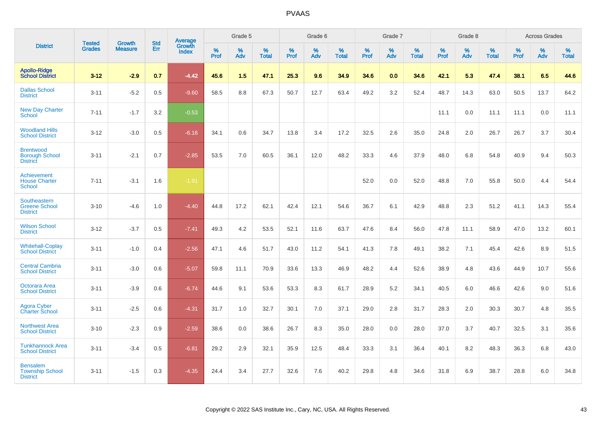|                                                              |                                |                                 | <b>Std</b> | <b>Average</b>         |           | Grade 5  |                   |           | Grade 6  |                   |           | Grade 7  |                   |           | Grade 8  |                   |           | <b>Across Grades</b> |                   |
|--------------------------------------------------------------|--------------------------------|---------------------------------|------------|------------------------|-----------|----------|-------------------|-----------|----------|-------------------|-----------|----------|-------------------|-----------|----------|-------------------|-----------|----------------------|-------------------|
| <b>District</b>                                              | <b>Tested</b><br><b>Grades</b> | <b>Growth</b><br><b>Measure</b> | Err        | Growth<br><b>Index</b> | %<br>Prof | %<br>Adv | %<br><b>Total</b> | %<br>Prof | %<br>Adv | %<br><b>Total</b> | %<br>Prof | %<br>Adv | %<br><b>Total</b> | %<br>Prof | %<br>Adv | %<br><b>Total</b> | %<br>Prof | %<br>Adv             | %<br><b>Total</b> |
| <b>Apollo-Ridge</b><br><b>School District</b>                | $3 - 12$                       | $-2.9$                          | 0.7        | $-4.42$                | 45.6      | 1.5      | 47.1              | 25.3      | 9.6      | 34.9              | 34.6      | 0.0      | 34.6              | 42.1      | 5.3      | 47.4              | 38.1      | 6.5                  | 44.6              |
| <b>Dallas School</b><br><b>District</b>                      | $3 - 11$                       | $-5.2$                          | 0.5        | $-9.60$                | 58.5      | 8.8      | 67.3              | 50.7      | 12.7     | 63.4              | 49.2      | 3.2      | 52.4              | 48.7      | 14.3     | 63.0              | 50.5      | 13.7                 | 64.2              |
| <b>New Day Charter</b><br><b>School</b>                      | $7 - 11$                       | $-1.7$                          | 3.2        | $-0.53$                |           |          |                   |           |          |                   |           |          |                   | 11.1      | 0.0      | 11.1              | 11.1      | 0.0                  | 11.1              |
| <b>Woodland Hills</b><br><b>School District</b>              | $3 - 12$                       | $-3.0$                          | 0.5        | $-6.16$                | 34.1      | 0.6      | 34.7              | 13.8      | 3.4      | 17.2              | 32.5      | 2.6      | 35.0              | 24.8      | 2.0      | 26.7              | 26.7      | 3.7                  | 30.4              |
| <b>Brentwood</b><br><b>Borough School</b><br><b>District</b> | $3 - 11$                       | $-2.1$                          | 0.7        | $-2.85$                | 53.5      | 7.0      | 60.5              | 36.1      | 12.0     | 48.2              | 33.3      | 4.6      | 37.9              | 48.0      | 6.8      | 54.8              | 40.9      | 9.4                  | 50.3              |
| Achievement<br><b>House Charter</b><br><b>School</b>         | $7 - 11$                       | $-3.1$                          | 1.6        | $-1.91$                |           |          |                   |           |          |                   | 52.0      | 0.0      | 52.0              | 48.8      | 7.0      | 55.8              | 50.0      | 4.4                  | 54.4              |
| Southeastern<br><b>Greene School</b><br><b>District</b>      | $3 - 10$                       | $-4.6$                          | 1.0        | $-4.40$                | 44.8      | 17.2     | 62.1              | 42.4      | 12.1     | 54.6              | 36.7      | 6.1      | 42.9              | 48.8      | 2.3      | 51.2              | 41.1      | 14.3                 | 55.4              |
| <b>Wilson School</b><br><b>District</b>                      | $3 - 12$                       | $-3.7$                          | 0.5        | $-7.41$                | 49.3      | 4.2      | 53.5              | 52.1      | 11.6     | 63.7              | 47.6      | 8.4      | 56.0              | 47.8      | 11.1     | 58.9              | 47.0      | 13.2                 | 60.1              |
| <b>Whitehall-Coplay</b><br><b>School District</b>            | $3 - 11$                       | $-1.0$                          | 0.4        | $-2.56$                | 47.1      | 4.6      | 51.7              | 43.0      | 11.2     | 54.1              | 41.3      | 7.8      | 49.1              | 38.2      | 7.1      | 45.4              | 42.6      | 8.9                  | 51.5              |
| <b>Central Cambria</b><br><b>School District</b>             | $3 - 11$                       | $-3.0$                          | 0.6        | $-5.07$                | 59.8      | 11.1     | 70.9              | 33.6      | 13.3     | 46.9              | 48.2      | 4.4      | 52.6              | 38.9      | 4.8      | 43.6              | 44.9      | 10.7                 | 55.6              |
| Octorara Area<br><b>School District</b>                      | $3 - 11$                       | $-3.9$                          | 0.6        | $-6.74$                | 44.6      | 9.1      | 53.6              | 53.3      | 8.3      | 61.7              | 28.9      | 5.2      | 34.1              | 40.5      | 6.0      | 46.6              | 42.6      | 9.0                  | 51.6              |
| Agora Cyber<br><b>Charter School</b>                         | $3 - 11$                       | $-2.5$                          | 0.6        | $-4.31$                | 31.7      | 1.0      | 32.7              | 30.1      | 7.0      | 37.1              | 29.0      | 2.8      | 31.7              | 28.3      | 2.0      | 30.3              | 30.7      | 4.8                  | 35.5              |
| <b>Northwest Area</b><br><b>School District</b>              | $3 - 10$                       | $-2.3$                          | 0.9        | $-2.59$                | 38.6      | 0.0      | 38.6              | 26.7      | 8.3      | 35.0              | 28.0      | 0.0      | 28.0              | 37.0      | 3.7      | 40.7              | 32.5      | 3.1                  | 35.6              |
| <b>Tunkhannock Area</b><br><b>School District</b>            | $3 - 11$                       | $-3.4$                          | 0.5        | $-6.81$                | 29.2      | 2.9      | 32.1              | 35.9      | 12.5     | 48.4              | 33.3      | 3.1      | 36.4              | 40.1      | 8.2      | 48.3              | 36.3      | 6.8                  | 43.0              |
| <b>Bensalem</b><br><b>Township School</b><br><b>District</b> | $3 - 11$                       | $-1.5$                          | 0.3        | $-4.35$                | 24.4      | 3.4      | 27.7              | 32.6      | 7.6      | 40.2              | 29.8      | 4.8      | 34.6              | 31.8      | 6.9      | 38.7              | 28.8      | 6.0                  | 34.8              |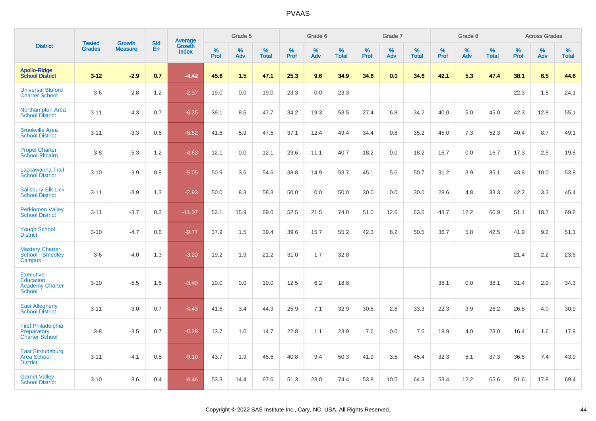|                                                                          | <b>Tested</b> | <b>Growth</b>  | <b>Std</b> | Average<br>Growth |           | Grade 5  |                   |           | Grade 6  |                   |           | Grade 7  |                   |           | Grade 8  |                   |              | <b>Across Grades</b> |                   |
|--------------------------------------------------------------------------|---------------|----------------|------------|-------------------|-----------|----------|-------------------|-----------|----------|-------------------|-----------|----------|-------------------|-----------|----------|-------------------|--------------|----------------------|-------------------|
| <b>District</b>                                                          | <b>Grades</b> | <b>Measure</b> | <b>Err</b> | <b>Index</b>      | %<br>Prof | %<br>Adv | %<br><b>Total</b> | %<br>Prof | %<br>Adv | %<br><b>Total</b> | %<br>Prof | %<br>Adv | %<br><b>Total</b> | %<br>Prof | %<br>Adv | %<br><b>Total</b> | $\%$<br>Prof | %<br>Adv             | %<br><b>Total</b> |
| <b>Apollo-Ridge</b><br><b>School District</b>                            | $3 - 12$      | $-2.9$         | 0.7        | $-4.42$           | 45.6      | 1.5      | 47.1              | 25.3      | 9.6      | 34.9              | 34.6      | 0.0      | 34.6              | 42.1      | 5.3      | 47.4              | 38.1         | 6.5                  | 44.6              |
| <b>Universal Bluford</b><br><b>Charter School</b>                        | $3-6$         | $-2.8$         | 1.2        | $-2.37$           | 19.0      | 0.0      | 19.0              | 23.3      | 0.0      | 23.3              |           |          |                   |           |          |                   | 22.3         | 1.8                  | 24.1              |
| <b>Northampton Area</b><br><b>School District</b>                        | $3 - 11$      | $-4.3$         | 0.7        | $-6.25$           | 39.1      | 8.6      | 47.7              | 34.2      | 19.3     | 53.5              | 27.4      | 6.8      | 34.2              | 40.0      | 5.0      | 45.0              | 42.3         | 12.8                 | 55.1              |
| <b>Brookville Area</b><br><b>School District</b>                         | $3 - 11$      | $-3.3$         | 0.6        | $-5.82$           | 41.6      | 5.9      | 47.5              | 37.1      | 12.4     | 49.4              | 34.4      | 0.8      | 35.2              | 45.0      | 7.3      | 52.3              | 40.4         | 8.7                  | 49.1              |
| <b>Propel Charter</b><br>School-Pitcairn                                 | $3 - 8$       | $-5.3$         | 1.2        | $-4.63$           | 12.1      | 0.0      | 12.1              | 29.6      | 11.1     | 40.7              | 18.2      | 0.0      | 18.2              | 16.7      | 0.0      | 16.7              | 17.3         | 2.5                  | 19.8              |
| Lackawanna Trail<br><b>School District</b>                               | $3 - 10$      | $-3.9$         | 0.8        | $-5.05$           | 50.9      | 3.6      | 54.6              | 38.8      | 14.9     | 53.7              | 45.1      | 5.6      | 50.7              | 31.2      | 3.9      | 35.1              | 43.8         | 10.0                 | 53.8              |
| Salisbury-Elk Lick<br><b>School District</b>                             | $3 - 11$      | $-3.9$         | 1.3        | $-2.93$           | 50.0      | 8.3      | 58.3              | 50.0      | 0.0      | 50.0              | 30.0      | 0.0      | 30.0              | 28.6      | 4.8      | 33.3              | 42.2         | 3.3                  | 45.4              |
| <b>Perkiomen Valley</b><br><b>School District</b>                        | $3 - 11$      | $-3.7$         | 0.3        | $-11.07$          | 53.1      | 15.9     | 69.0              | 52.5      | 21.5     | 74.0              | 51.0      | 12.6     | 63.6              | 48.7      | 12.2     | 60.9              | 51.1         | 18.7                 | 69.8              |
| <b>Yough School</b><br><b>District</b>                                   | $3 - 10$      | $-4.7$         | 0.6        | $-9.77$           | 37.9      | 1.5      | 39.4              | 39.6      | 15.7     | 55.2              | 42.3      | 8.2      | 50.5              | 36.7      | 5.8      | 42.5              | 41.9         | 9.2                  | 51.1              |
| <b>Mastery Charter</b><br>School - Smedley<br>Campus                     | $3-6$         | $-4.0$         | 1.3        | $-3.20$           | 19.2      | 1.9      | 21.2              | 31.0      | 1.7      | 32.8              |           |          |                   |           |          |                   | 21.4         | 2.2                  | 23.6              |
| <b>Executive</b><br><b>Education</b><br><b>Academy Charter</b><br>School | $3 - 10$      | $-5.5$         | 1.6        | $-3.40$           | 10.0      | 0.0      | 10.0              | 12.5      | 6.2      | 18.8              |           |          |                   | 38.1      | 0.0      | 38.1              | 31.4         | 2.9                  | 34.3              |
| <b>East Allegheny</b><br><b>School District</b>                          | $3 - 11$      | $-3.0$         | 0.7        | $-4.43$           | 41.6      | 3.4      | 44.9              | 25.9      | 7.1      | 32.9              | 30.8      | 2.6      | 33.3              | 22.3      | 3.9      | 26.2              | 26.8         | 4.0                  | 30.9              |
| <b>First Philadelphia</b><br>Preparatory<br><b>Charter School</b>        | $3 - 8$       | $-3.5$         | 0.7        | $-5.28$           | 13.7      | 1.0      | 14.7              | 22.8      | 1.1      | 23.9              | 7.6       | 0.0      | 7.6               | 18.9      | 4.0      | 23.0              | 16.4         | 1.6                  | 17.9              |
| <b>East Stroudsburg</b><br><b>Area School</b><br><b>District</b>         | $3 - 11$      | $-4.1$         | 0.5        | $-9.10$           | 43.7      | 1.9      | 45.6              | 40.8      | 9.4      | 50.3              | 41.9      | 3.5      | 45.4              | 32.3      | 5.1      | 37.3              | 36.5         | 7.4                  | 43.9              |
| <b>Garnet Valley</b><br><b>School District</b>                           | $3 - 10$      | $-3.6$         | 0.4        | $-9.46$           | 53.3      | 14.4     | 67.6              | 51.3      | 23.0     | 74.4              | 53.8      | 10.5     | 64.3              | 53.4      | 12.2     | 65.6              | 51.6         | 17.8                 | 69.4              |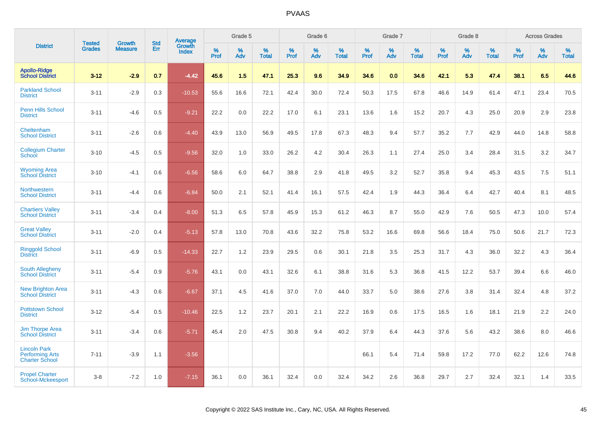|                                                                        |                                | <b>Growth</b>  | <b>Std</b> | Average                |              | Grade 5     |                      |              | Grade 6     |                      |              | Grade 7     |                      |              | Grade 8     |                   |                     | <b>Across Grades</b> |                      |
|------------------------------------------------------------------------|--------------------------------|----------------|------------|------------------------|--------------|-------------|----------------------|--------------|-------------|----------------------|--------------|-------------|----------------------|--------------|-------------|-------------------|---------------------|----------------------|----------------------|
| <b>District</b>                                                        | <b>Tested</b><br><b>Grades</b> | <b>Measure</b> | Err        | Growth<br><b>Index</b> | $\%$<br>Prof | $\%$<br>Adv | $\%$<br><b>Total</b> | $\%$<br>Prof | $\%$<br>Adv | $\%$<br><b>Total</b> | $\%$<br>Prof | $\%$<br>Adv | $\%$<br><b>Total</b> | $\%$<br>Prof | $\%$<br>Adv | %<br><b>Total</b> | $\%$<br><b>Prof</b> | $\%$<br>Adv          | $\%$<br><b>Total</b> |
| <b>Apollo-Ridge</b><br><b>School District</b>                          | $3 - 12$                       | $-2.9$         | 0.7        | $-4.42$                | 45.6         | 1.5         | 47.1                 | 25.3         | 9.6         | 34.9                 | 34.6         | 0.0         | 34.6                 | 42.1         | 5.3         | 47.4              | 38.1                | 6.5                  | 44.6                 |
| <b>Parkland School</b><br><b>District</b>                              | $3 - 11$                       | $-2.9$         | 0.3        | $-10.53$               | 55.6         | 16.6        | 72.1                 | 42.4         | 30.0        | 72.4                 | 50.3         | 17.5        | 67.8                 | 46.6         | 14.9        | 61.4              | 47.1                | 23.4                 | 70.5                 |
| <b>Penn Hills School</b><br><b>District</b>                            | $3 - 11$                       | $-4.6$         | 0.5        | $-9.21$                | 22.2         | 0.0         | 22.2                 | 17.0         | 6.1         | 23.1                 | 13.6         | 1.6         | 15.2                 | 20.7         | 4.3         | 25.0              | 20.9                | 2.9                  | 23.8                 |
| Cheltenham<br><b>School District</b>                                   | $3 - 11$                       | $-2.6$         | 0.6        | $-4.40$                | 43.9         | 13.0        | 56.9                 | 49.5         | 17.8        | 67.3                 | 48.3         | 9.4         | 57.7                 | 35.2         | 7.7         | 42.9              | 44.0                | 14.8                 | 58.8                 |
| <b>Collegium Charter</b><br>School                                     | $3 - 10$                       | $-4.5$         | 0.5        | $-9.56$                | 32.0         | 1.0         | 33.0                 | 26.2         | 4.2         | 30.4                 | 26.3         | 1.1         | 27.4                 | 25.0         | 3.4         | 28.4              | 31.5                | 3.2                  | 34.7                 |
| <b>Wyoming Area</b><br><b>School District</b>                          | $3 - 10$                       | $-4.1$         | 0.6        | $-6.56$                | 58.6         | 6.0         | 64.7                 | 38.8         | 2.9         | 41.8                 | 49.5         | 3.2         | 52.7                 | 35.8         | 9.4         | 45.3              | 43.5                | 7.5                  | 51.1                 |
| Northwestern<br><b>School District</b>                                 | $3 - 11$                       | $-4.4$         | 0.6        | $-6.84$                | 50.0         | 2.1         | 52.1                 | 41.4         | 16.1        | 57.5                 | 42.4         | 1.9         | 44.3                 | 36.4         | 6.4         | 42.7              | 40.4                | 8.1                  | 48.5                 |
| <b>Chartiers Valley</b><br><b>School District</b>                      | $3 - 11$                       | $-3.4$         | 0.4        | $-8.00$                | 51.3         | 6.5         | 57.8                 | 45.9         | 15.3        | 61.2                 | 46.3         | 8.7         | 55.0                 | 42.9         | 7.6         | 50.5              | 47.3                | 10.0                 | 57.4                 |
| <b>Great Valley</b><br><b>School District</b>                          | $3 - 11$                       | $-2.0$         | 0.4        | $-5.13$                | 57.8         | 13.0        | 70.8                 | 43.6         | 32.2        | 75.8                 | 53.2         | 16.6        | 69.8                 | 56.6         | 18.4        | 75.0              | 50.6                | 21.7                 | 72.3                 |
| <b>Ringgold School</b><br><b>District</b>                              | $3 - 11$                       | $-6.9$         | 0.5        | $-14.33$               | 22.7         | 1.2         | 23.9                 | 29.5         | 0.6         | 30.1                 | 21.8         | 3.5         | 25.3                 | 31.7         | 4.3         | 36.0              | 32.2                | 4.3                  | 36.4                 |
| South Allegheny<br><b>School District</b>                              | $3 - 11$                       | $-5.4$         | 0.9        | $-5.76$                | 43.1         | 0.0         | 43.1                 | 32.6         | 6.1         | 38.8                 | 31.6         | 5.3         | 36.8                 | 41.5         | 12.2        | 53.7              | 39.4                | 6.6                  | 46.0                 |
| <b>New Brighton Area</b><br><b>School District</b>                     | $3 - 11$                       | $-4.3$         | 0.6        | $-6.67$                | 37.1         | 4.5         | 41.6                 | 37.0         | 7.0         | 44.0                 | 33.7         | 5.0         | 38.6                 | 27.6         | 3.8         | 31.4              | 32.4                | 4.8                  | 37.2                 |
| <b>Pottstown School</b><br><b>District</b>                             | $3 - 12$                       | $-5.4$         | 0.5        | $-10.46$               | 22.5         | 1.2         | 23.7                 | 20.1         | 2.1         | 22.2                 | 16.9         | 0.6         | 17.5                 | 16.5         | 1.6         | 18.1              | 21.9                | 2.2                  | 24.0                 |
| <b>Jim Thorpe Area</b><br><b>School District</b>                       | $3 - 11$                       | $-3.4$         | 0.6        | $-5.71$                | 45.4         | 2.0         | 47.5                 | 30.8         | 9.4         | 40.2                 | 37.9         | 6.4         | 44.3                 | 37.6         | 5.6         | 43.2              | 38.6                | 8.0                  | 46.6                 |
| <b>Lincoln Park</b><br><b>Performing Arts</b><br><b>Charter School</b> | $7 - 11$                       | $-3.9$         | 1.1        | $-3.56$                |              |             |                      |              |             |                      | 66.1         | 5.4         | 71.4                 | 59.8         | 17.2        | 77.0              | 62.2                | 12.6                 | 74.8                 |
| <b>Propel Charter</b><br>School-Mckeesport                             | $3 - 8$                        | $-7.2$         | 1.0        | $-7.15$                | 36.1         | 0.0         | 36.1                 | 32.4         | 0.0         | 32.4                 | 34.2         | 2.6         | 36.8                 | 29.7         | 2.7         | 32.4              | 32.1                | 1.4                  | 33.5                 |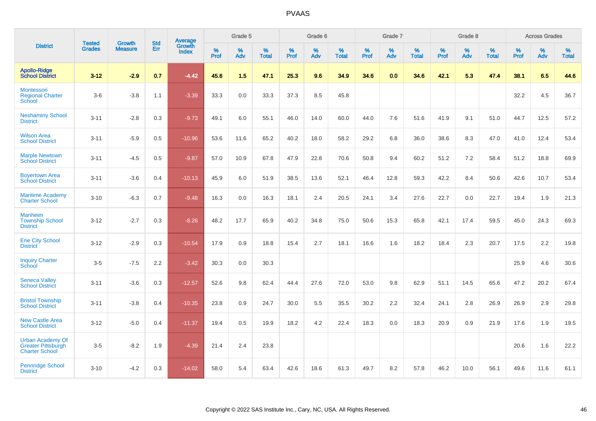|                                                                               | <b>Tested</b> | <b>Growth</b>  | <b>Std</b> | Average                |              | Grade 5  |                   |           | Grade 6  |                   |           | Grade 7  |                   |           | Grade 8  |                   |           | <b>Across Grades</b> |                   |
|-------------------------------------------------------------------------------|---------------|----------------|------------|------------------------|--------------|----------|-------------------|-----------|----------|-------------------|-----------|----------|-------------------|-----------|----------|-------------------|-----------|----------------------|-------------------|
| <b>District</b>                                                               | <b>Grades</b> | <b>Measure</b> | Err        | Growth<br><b>Index</b> | $\%$<br>Prof | %<br>Adv | %<br><b>Total</b> | %<br>Prof | %<br>Adv | %<br><b>Total</b> | %<br>Prof | %<br>Adv | %<br><b>Total</b> | %<br>Prof | %<br>Adv | %<br><b>Total</b> | %<br>Prof | %<br>Adv             | %<br><b>Total</b> |
| <b>Apollo-Ridge</b><br><b>School District</b>                                 | $3 - 12$      | $-2.9$         | 0.7        | $-4.42$                | 45.6         | 1.5      | 47.1              | 25.3      | 9.6      | 34.9              | 34.6      | 0.0      | 34.6              | 42.1      | 5.3      | 47.4              | 38.1      | 6.5                  | 44.6              |
| Montessori<br><b>Regional Charter</b><br>School                               | $3-6$         | $-3.8$         | 1.1        | $-3.39$                | 33.3         | 0.0      | 33.3              | 37.3      | 8.5      | 45.8              |           |          |                   |           |          |                   | 32.2      | 4.5                  | 36.7              |
| <b>Neshaminy School</b><br><b>District</b>                                    | $3 - 11$      | $-2.8$         | 0.3        | $-9.73$                | 49.1         | 6.0      | 55.1              | 46.0      | 14.0     | 60.0              | 44.0      | 7.6      | 51.6              | 41.9      | 9.1      | 51.0              | 44.7      | 12.5                 | 57.2              |
| <b>Wilson Area</b><br><b>School District</b>                                  | $3 - 11$      | $-5.9$         | 0.5        | $-10.96$               | 53.6         | 11.6     | 65.2              | 40.2      | 18.0     | 58.2              | 29.2      | 6.8      | 36.0              | 38.6      | 8.3      | 47.0              | 41.0      | 12.4                 | 53.4              |
| <b>Marple Newtown</b><br><b>School District</b>                               | $3 - 11$      | $-4.5$         | 0.5        | $-9.87$                | 57.0         | 10.9     | 67.8              | 47.9      | 22.8     | 70.6              | 50.8      | 9.4      | 60.2              | 51.2      | 7.2      | 58.4              | 51.2      | 18.8                 | 69.9              |
| <b>Boyertown Area</b><br><b>School District</b>                               | $3 - 11$      | $-3.6$         | 0.4        | $-10.13$               | 45.9         | 6.0      | 51.9              | 38.5      | 13.6     | 52.1              | 46.4      | 12.8     | 59.3              | 42.2      | 8.4      | 50.6              | 42.6      | 10.7                 | 53.4              |
| <b>Maritime Academy</b><br><b>Charter School</b>                              | $3 - 10$      | $-6.3$         | 0.7        | $-9.48$                | 16.3         | 0.0      | 16.3              | 18.1      | 2.4      | 20.5              | 24.1      | 3.4      | 27.6              | 22.7      | 0.0      | 22.7              | 19.4      | 1.9                  | 21.3              |
| <b>Manheim</b><br><b>Township School</b><br><b>District</b>                   | $3 - 12$      | $-2.7$         | 0.3        | $-8.26$                | 48.2         | 17.7     | 65.9              | 40.2      | 34.8     | 75.0              | 50.6      | 15.3     | 65.8              | 42.1      | 17.4     | 59.5              | 45.0      | 24.3                 | 69.3              |
| <b>Erie City School</b><br><b>District</b>                                    | $3 - 12$      | $-2.9$         | 0.3        | $-10.54$               | 17.9         | 0.9      | 18.8              | 15.4      | 2.7      | 18.1              | 16.6      | 1.6      | 18.2              | 18.4      | 2.3      | 20.7              | 17.5      | 2.2                  | 19.8              |
| <b>Inquiry Charter</b><br>School                                              | $3-5$         | $-7.5$         | 2.2        | $-3.42$                | 30.3         | 0.0      | 30.3              |           |          |                   |           |          |                   |           |          |                   | 25.9      | 4.6                  | 30.6              |
| <b>Seneca Valley</b><br><b>School District</b>                                | $3 - 11$      | $-3.6$         | 0.3        | $-12.57$               | 52.6         | 9.8      | 62.4              | 44.4      | 27.6     | 72.0              | 53.0      | 9.8      | 62.9              | 51.1      | 14.5     | 65.6              | 47.2      | 20.2                 | 67.4              |
| <b>Bristol Township</b><br><b>School District</b>                             | $3 - 11$      | $-3.8$         | 0.4        | $-10.35$               | 23.8         | 0.9      | 24.7              | 30.0      | 5.5      | 35.5              | 30.2      | 2.2      | 32.4              | 24.1      | 2.8      | 26.9              | 26.9      | 2.9                  | 29.8              |
| <b>New Castle Area</b><br><b>School District</b>                              | $3 - 12$      | $-5.0$         | 0.4        | $-11.37$               | 19.4         | 0.5      | 19.9              | 18.2      | 4.2      | 22.4              | 18.3      | 0.0      | 18.3              | 20.9      | 0.9      | 21.9              | 17.6      | 1.9                  | 19.5              |
| <b>Urban Academy Of</b><br><b>Greater Pittsburgh</b><br><b>Charter School</b> | $3-5$         | $-8.2$         | 1.9        | $-4.39$                | 21.4         | 2.4      | 23.8              |           |          |                   |           |          |                   |           |          |                   | 20.6      | 1.6                  | 22.2              |
| <b>Pennridge School</b><br><b>District</b>                                    | $3 - 10$      | $-4.2$         | 0.3        | $-14.02$               | 58.0         | 5.4      | 63.4              | 42.6      | 18.6     | 61.3              | 49.7      | 8.2      | 57.8              | 46.2      | 10.0     | 56.1              | 49.6      | 11.6                 | 61.1              |